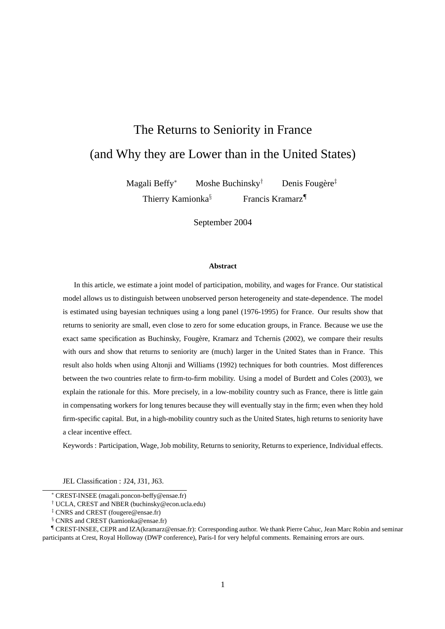# The Returns to Seniority in France (and Why they are Lower than in the United States)

Magali Beffy<sup>∗</sup> Moshe Buchinsky† Denis Fougère‡ Thierry Kamionka<sup>§</sup> Francis Kramarz<sup>¶</sup>

September 2004

#### **Abstract**

In this article, we estimate a joint model of participation, mobility, and wages for France. Our statistical model allows us to distinguish between unobserved person heterogeneity and state-dependence. The model is estimated using bayesian techniques using a long panel (1976-1995) for France. Our results show that returns to seniority are small, even close to zero for some education groups, in France. Because we use the exact same specification as Buchinsky, Fougère, Kramarz and Tchernis (2002), we compare their results with ours and show that returns to seniority are (much) larger in the United States than in France. This result also holds when using Altonji and Williams (1992) techniques for both countries. Most differences between the two countries relate to firm-to-firm mobility. Using a model of Burdett and Coles (2003), we explain the rationale for this. More precisely, in a low-mobility country such as France, there is little gain in compensating workers for long tenures because they will eventually stay in the firm; even when they hold firm-specific capital. But, in a high-mobility country such as the United States, high returns to seniority have a clear incentive effect.

Keywords : Participation, Wage, Job mobility, Returns to seniority, Returns to experience, Individual effects.

JEL Classification : J24, J31, J63.

<sup>∗</sup> CREST-INSEE (magali.poncon-beffy@ensae.fr)

<sup>†</sup> UCLA, CREST and NBER (buchinsky@econ.ucla.edu)

<sup>‡</sup> CNRS and CREST (fougere@ensae.fr)

<sup>&</sup>lt;sup>§</sup> CNRS and CREST (kamionka@ensae.fr)

<sup>¶</sup> CREST-INSEE, CEPR and IZA(kramarz@ensae.fr): Corresponding author. We thank Pierre Cahuc, Jean Marc Robin and seminar participants at Crest, Royal Holloway (DWP conference), Paris-I for very helpful comments. Remaining errors are ours.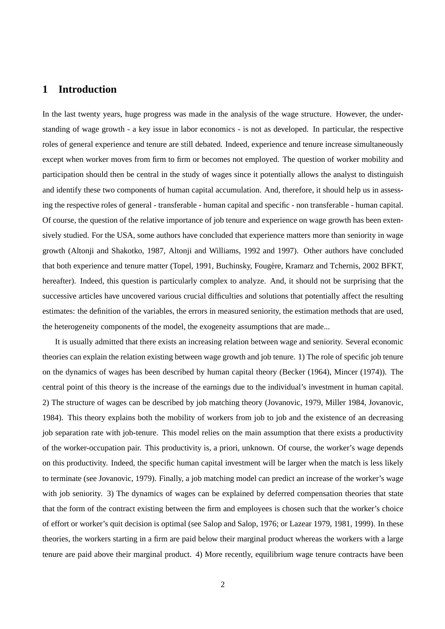## **1 Introduction**

In the last twenty years, huge progress was made in the analysis of the wage structure. However, the understanding of wage growth - a key issue in labor economics - is not as developed. In particular, the respective roles of general experience and tenure are still debated. Indeed, experience and tenure increase simultaneously except when worker moves from firm to firm or becomes not employed. The question of worker mobility and participation should then be central in the study of wages since it potentially allows the analyst to distinguish and identify these two components of human capital accumulation. And, therefore, it should help us in assessing the respective roles of general - transferable - human capital and specific - non transferable - human capital. Of course, the question of the relative importance of job tenure and experience on wage growth has been extensively studied. For the USA, some authors have concluded that experience matters more than seniority in wage growth (Altonji and Shakotko, 1987, Altonji and Williams, 1992 and 1997). Other authors have concluded that both experience and tenure matter (Topel, 1991, Buchinsky, Fougère, Kramarz and Tchernis, 2002 BFKT, hereafter). Indeed, this question is particularly complex to analyze. And, it should not be surprising that the successive articles have uncovered various crucial difficulties and solutions that potentially affect the resulting estimates: the definition of the variables, the errors in measured seniority, the estimation methods that are used, the heterogeneity components of the model, the exogeneity assumptions that are made...

It is usually admitted that there exists an increasing relation between wage and seniority. Several economic theories can explain the relation existing between wage growth and job tenure. 1) The role of specific job tenure on the dynamics of wages has been described by human capital theory (Becker (1964), Mincer (1974)). The central point of this theory is the increase of the earnings due to the individual's investment in human capital. 2) The structure of wages can be described by job matching theory (Jovanovic, 1979, Miller 1984, Jovanovic, 1984). This theory explains both the mobility of workers from job to job and the existence of an decreasing job separation rate with job-tenure. This model relies on the main assumption that there exists a productivity of the worker-occupation pair. This productivity is, a priori, unknown. Of course, the worker's wage depends on this productivity. Indeed, the specific human capital investment will be larger when the match is less likely to terminate (see Jovanovic, 1979). Finally, a job matching model can predict an increase of the worker's wage with job seniority. 3) The dynamics of wages can be explained by deferred compensation theories that state that the form of the contract existing between the firm and employees is chosen such that the worker's choice of effort or worker's quit decision is optimal (see Salop and Salop, 1976; or Lazear 1979, 1981, 1999). In these theories, the workers starting in a firm are paid below their marginal product whereas the workers with a large tenure are paid above their marginal product. 4) More recently, equilibrium wage tenure contracts have been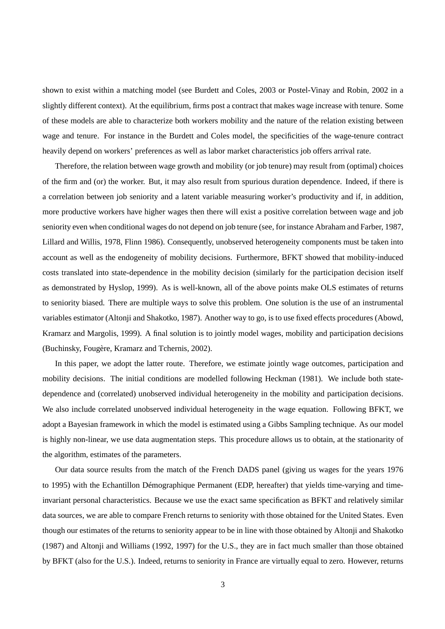shown to exist within a matching model (see Burdett and Coles, 2003 or Postel-Vinay and Robin, 2002 in a slightly different context). At the equilibrium, firms post a contract that makes wage increase with tenure. Some of these models are able to characterize both workers mobility and the nature of the relation existing between wage and tenure. For instance in the Burdett and Coles model, the specificities of the wage-tenure contract heavily depend on workers' preferences as well as labor market characteristics job offers arrival rate.

Therefore, the relation between wage growth and mobility (or job tenure) may result from (optimal) choices of the firm and (or) the worker. But, it may also result from spurious duration dependence. Indeed, if there is a correlation between job seniority and a latent variable measuring worker's productivity and if, in addition, more productive workers have higher wages then there will exist a positive correlation between wage and job seniority even when conditional wages do not depend on job tenure (see, for instance Abraham and Farber, 1987, Lillard and Willis, 1978, Flinn 1986). Consequently, unobserved heterogeneity components must be taken into account as well as the endogeneity of mobility decisions. Furthermore, BFKT showed that mobility-induced costs translated into state-dependence in the mobility decision (similarly for the participation decision itself as demonstrated by Hyslop, 1999). As is well-known, all of the above points make OLS estimates of returns to seniority biased. There are multiple ways to solve this problem. One solution is the use of an instrumental variables estimator (Altonji and Shakotko, 1987). Another way to go, is to use fixed effects procedures (Abowd, Kramarz and Margolis, 1999). A final solution is to jointly model wages, mobility and participation decisions (Buchinsky, Fougère, Kramarz and Tchernis, 2002).

In this paper, we adopt the latter route. Therefore, we estimate jointly wage outcomes, participation and mobility decisions. The initial conditions are modelled following Heckman (1981). We include both statedependence and (correlated) unobserved individual heterogeneity in the mobility and participation decisions. We also include correlated unobserved individual heterogeneity in the wage equation. Following BFKT, we adopt a Bayesian framework in which the model is estimated using a Gibbs Sampling technique. As our model is highly non-linear, we use data augmentation steps. This procedure allows us to obtain, at the stationarity of the algorithm, estimates of the parameters.

Our data source results from the match of the French DADS panel (giving us wages for the years 1976 to 1995) with the Echantillon Démographique Permanent (EDP, hereafter) that yields time-varying and timeinvariant personal characteristics. Because we use the exact same specification as BFKT and relatively similar data sources, we are able to compare French returns to seniority with those obtained for the United States. Even though our estimates of the returns to seniority appear to be in line with those obtained by Altonji and Shakotko (1987) and Altonji and Williams (1992, 1997) for the U.S., they are in fact much smaller than those obtained by BFKT (also for the U.S.). Indeed, returns to seniority in France are virtually equal to zero. However, returns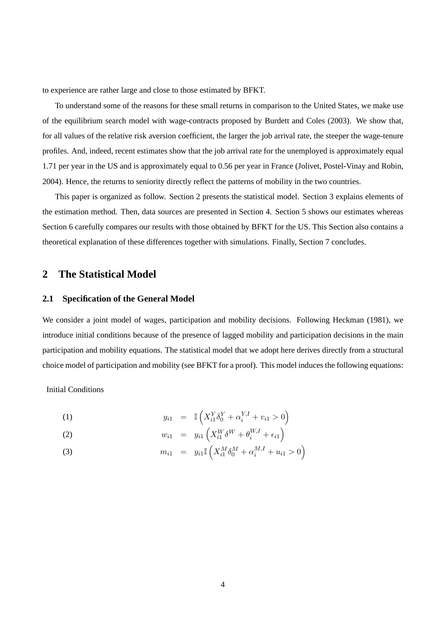to experience are rather large and close to those estimated by BFKT.

To understand some of the reasons for these small returns in comparison to the United States, we make use of the equilibrium search model with wage-contracts proposed by Burdett and Coles (2003). We show that, for all values of the relative risk aversion coefficient, the larger the job arrival rate, the steeper the wage-tenure profiles. And, indeed, recent estimates show that the job arrival rate for the unemployed is approximately equal 1.71 per year in the US and is approximately equal to 0.56 per year in France (Jolivet, Postel-Vinay and Robin, 2004). Hence, the returns to seniority directly reflect the patterns of mobility in the two countries.

This paper is organized as follow. Section 2 presents the statistical model. Section 3 explains elements of the estimation method. Then, data sources are presented in Section 4. Section 5 shows our estimates whereas Section 6 carefully compares our results with those obtained by BFKT for the US. This Section also contains a theoretical explanation of these differences together with simulations. Finally, Section 7 concludes.

### **2 The Statistical Model**

#### **2.1 Specification of the General Model**

We consider a joint model of wages, participation and mobility decisions. Following Heckman (1981), we introduce initial conditions because of the presence of lagged mobility and participation decisions in the main participation and mobility equations. The statistical model that we adopt here derives directly from a structural choice model of participation and mobility (see BFKT for a proof). This model induces the following equations:

Initial Conditions

(1) 
$$
y_{i1} = \mathbb{I}\left(X_{i1}^{Y}\delta_{0}^{Y} + \alpha_{i}^{Y,I} + v_{i1} > 0\right)
$$

(2) 
$$
w_{i1} = y_{i1} \left( X_{i1}^W \delta^W + \theta_i^{W,I} + \epsilon_{i1} \right)
$$

(3) 
$$
m_{i1} = y_{i1} \mathbb{I} \left( X_{i1}^M \delta_0^M + \alpha_i^{M,I} + u_{i1} > 0 \right)
$$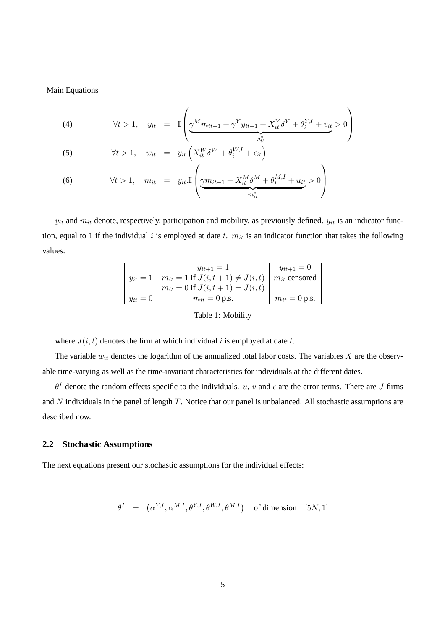Main Equations

(4) 
$$
\forall t > 1, \quad y_{it} = \mathbb{I}\left(\underbrace{\gamma^M m_{it-1} + \gamma^Y y_{it-1} + X_{it}^Y \delta^Y + \theta_i^{Y,I} + v_{it}}_{y_{it}^*} > 0\right)
$$

(5) 
$$
\forall t > 1, \quad w_{it} = y_{it} \left( X_{it}^{W} \delta^{W} + \theta_{i}^{W,I} + \epsilon_{it} \right)
$$

(6) 
$$
\forall t > 1, \quad m_{it} = y_{it} \cdot \mathbb{I} \left( \underbrace{\gamma m_{it-1} + X_{it}^M \delta^M + \theta_i^{M,I} + u_{it}}_{m_{it}^*} > 0 \right)
$$

 $y_{it}$  and  $m_{it}$  denote, respectively, participation and mobility, as previously defined.  $y_{it}$  is an indicator function, equal to 1 if the individual i is employed at date t.  $m_{it}$  is an indicator function that takes the following values:

 $\mathbf{r}$ 

|            | $y_{it+1} = 1$                                                  | $y_{it+1} = 0$         |
|------------|-----------------------------------------------------------------|------------------------|
|            | $y_{it} = 1 \mid m_{it} = 1 \text{ if } J(i, t+1) \neq J(i, t)$ | $\mid m_{it}$ censored |
|            | $m_{it} = 0$ if $J(i, t + 1) = J(i, t)$                         |                        |
| $y_{it}=0$ | $m_{it} = 0$ p.s.                                               | $m_{it} = 0$ p.s.      |

Table 1: Mobility

where  $J(i, t)$  denotes the firm at which individual i is employed at date t.

The variable  $w_{it}$  denotes the logarithm of the annualized total labor costs. The variables  $X$  are the observable time-varying as well as the time-invariant characteristics for individuals at the different dates.

 $\theta^I$  denote the random effects specific to the individuals. u, v and  $\epsilon$  are the error terms. There are J firms and  $N$  individuals in the panel of length  $T$ . Notice that our panel is unbalanced. All stochastic assumptions are described now.

#### **2.2 Stochastic Assumptions**

The next equations present our stochastic assumptions for the individual effects:

$$
\theta^I = (\alpha^{Y,I}, \alpha^{M,I}, \theta^{Y,I}, \theta^{W,I}, \theta^{M,I}) \text{ of dimension } [5N, 1]
$$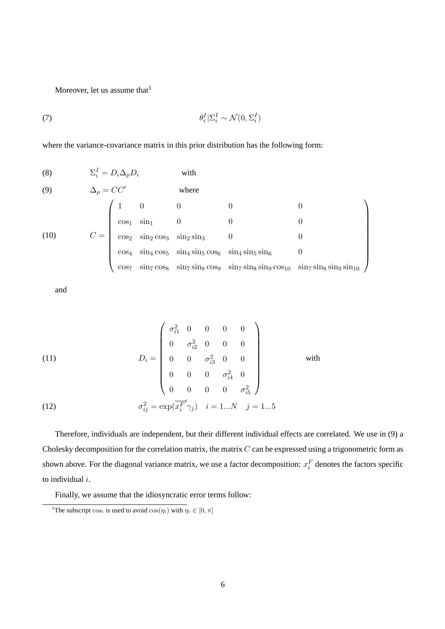Moreover, let us assume that<sup>1</sup>

$$
\theta_i^I | \Sigma_i^I \sim \mathcal{N}(0, \Sigma_i^I)
$$

where the variance-covariance matrix in this prior distribution has the following form:

(8) 
$$
\Sigma_{i}^{I} = D_{i} \Delta_{\rho} D_{i}
$$
 with  
\n(9)  $\Delta_{\rho} = CC'$  where  
\n
$$
C = \begin{pmatrix}\n1 & 0 & 0 & 0 & 0 \\
\cos_{1} & \sin_{1} & 0 & 0 & 0 \\
\cos_{2} & \sin_{2} \cos_{3} & \sin_{2} \sin_{3} & 0 & 0 \\
\cos_{4} & \sin_{4} \cos_{5} & \sin_{4} \sin_{5} \cos_{6} & \sin_{4} \sin_{5} \sin_{6} & 0 \\
\cos_{7} & \sin_{7} \cos_{8} & \sin_{7} \sin_{8} \cos_{9} & \sin_{7} \sin_{8} \sin_{9} \cos_{10} & \sin_{7} \sin_{8} \sin_{9} \sin_{10}\n\end{pmatrix}
$$

and

(11)  
\n
$$
D_{i} = \begin{pmatrix}\n\sigma_{i1}^{2} & 0 & 0 & 0 & 0 \\
0 & \sigma_{i2}^{2} & 0 & 0 & 0 \\
0 & 0 & \sigma_{i3}^{2} & 0 & 0 \\
0 & 0 & 0 & \sigma_{i4}^{2} & 0 \\
0 & 0 & 0 & 0 & \sigma_{i5}^{2}\n\end{pmatrix}
$$
 with  
\n(12)  
\n
$$
\sigma_{ij}^{2} = \exp(\overline{x_{i}^{F}}'\gamma_{j}) \quad i = 1...N \quad j = 1...5
$$

Therefore, individuals are independent, but their different individual effects are correlated. We use in (9) a Cholesky decomposition for the correlation matrix, the matrix  $C$  can be expressed using a trigonometric form as shown above. For the diagonal variance matrix, we use a factor decomposition:  $x_i^F$  denotes the factors specific to individual i.

Finally, we assume that the idiosyncratic error terms follow:

<sup>&</sup>lt;sup>1</sup>The subscript  $\cos_i$  is used to avoid  $\cos(\eta_i)$  with  $\eta_i \in [0, \pi]$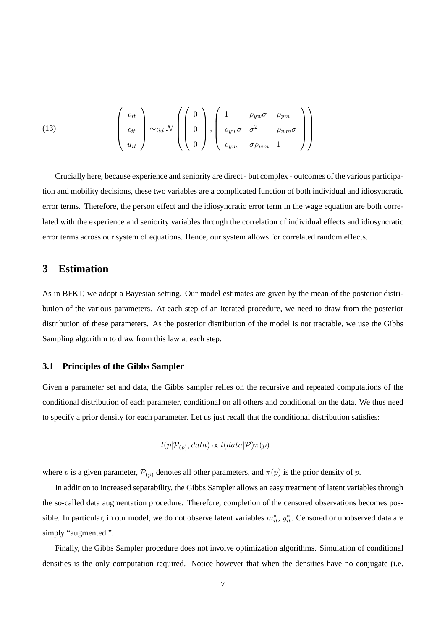(13) 
$$
\begin{pmatrix} v_{it} \\ \epsilon_{it} \\ u_{it} \end{pmatrix} \sim_{iid} \mathcal{N} \left( \begin{pmatrix} 0 \\ 0 \\ 0 \end{pmatrix}, \begin{pmatrix} 1 & \rho_{yw} \sigma & \rho_{ym} \\ \rho_{yw} \sigma & \sigma^2 & \rho_{wm} \\ \rho_{ym} & \sigma \rho_{wm} & 1 \end{pmatrix} \right)
$$

Crucially here, because experience and seniority are direct - but complex - outcomes of the various participation and mobility decisions, these two variables are a complicated function of both individual and idiosyncratic error terms. Therefore, the person effect and the idiosyncratic error term in the wage equation are both correlated with the experience and seniority variables through the correlation of individual effects and idiosyncratic error terms across our system of equations. Hence, our system allows for correlated random effects.

## **3 Estimation**

As in BFKT, we adopt a Bayesian setting. Our model estimates are given by the mean of the posterior distribution of the various parameters. At each step of an iterated procedure, we need to draw from the posterior distribution of these parameters. As the posterior distribution of the model is not tractable, we use the Gibbs Sampling algorithm to draw from this law at each step.

#### **3.1 Principles of the Gibbs Sampler**

Given a parameter set and data, the Gibbs sampler relies on the recursive and repeated computations of the conditional distribution of each parameter, conditional on all others and conditional on the data. We thus need to specify a prior density for each parameter. Let us just recall that the conditional distribution satisfies:

$$
l(p|\mathcal{P}_{(p)}, data) \propto l(data|\mathcal{P})\pi(p)
$$

where p is a given parameter,  $\mathcal{P}_{(p)}$  denotes all other parameters, and  $\pi(p)$  is the prior density of p.

In addition to increased separability, the Gibbs Sampler allows an easy treatment of latent variables through the so-called data augmentation procedure. Therefore, completion of the censored observations becomes possible. In particular, in our model, we do not observe latent variables  $m_{it}^*$ ,  $y_{it}^*$ . Censored or unobserved data are simply "augmented ".

Finally, the Gibbs Sampler procedure does not involve optimization algorithms. Simulation of conditional densities is the only computation required. Notice however that when the densities have no conjugate (i.e.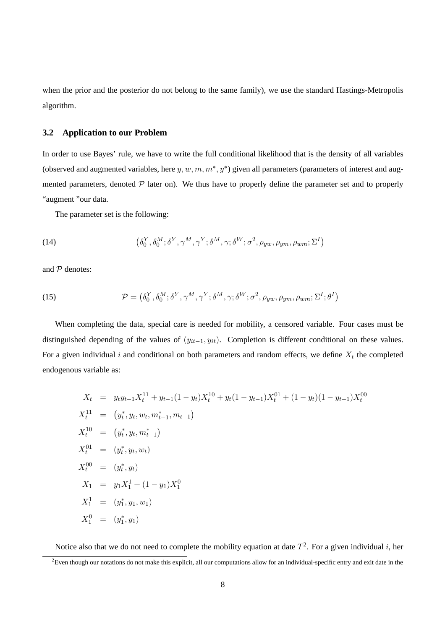when the prior and the posterior do not belong to the same family), we use the standard Hastings-Metropolis algorithm.

#### **3.2 Application to our Problem**

In order to use Bayes' rule, we have to write the full conditional likelihood that is the density of all variables (observed and augmented variables, here  $y, w, m, m^*, y^*$ ) given all parameters (parameters of interest and augmented parameters, denoted  $P$  later on). We thus have to properly define the parameter set and to properly "augment "our data.

The parameter set is the following:

(14) 
$$
(\delta_0^Y, \delta_0^M; \delta^Y, \gamma^M, \gamma^Y; \delta^M, \gamma; \delta^W; \sigma^2, \rho_{yw}, \rho_{ym}, \rho_{wm}; \Sigma^I)
$$

and  $P$  denotes:

(15) 
$$
\mathcal{P} = (\delta_0^Y, \delta_0^M; \delta^Y, \gamma^M, \gamma^Y; \delta^M, \gamma; \delta^W; \sigma^2, \rho_{yw}, \rho_{ym}, \rho_{wm}; \Sigma^I; \theta^I)
$$

When completing the data, special care is needed for mobility, a censored variable. Four cases must be distinguished depending of the values of  $(y_{it-1}, y_{it})$ . Completion is different conditional on these values. For a given individual i and conditional on both parameters and random effects, we define  $X_t$  the completed endogenous variable as:

$$
X_t = y_t y_{t-1} X_t^{11} + y_{t-1} (1 - y_t) X_t^{10} + y_t (1 - y_{t-1}) X_t^{01} + (1 - y_t) (1 - y_{t-1}) X_t^{00}
$$
  
\n
$$
X_t^{11} = (y_t^*, y_t, w_t, m_{t-1}^*, m_{t-1})
$$
  
\n
$$
X_t^{10} = (y_t^*, y_t, m_{t-1}^*)
$$
  
\n
$$
X_t^{01} = (y_t^*, y_t, w_t)
$$
  
\n
$$
X_t^{00} = (y_t^*, y_t)
$$
  
\n
$$
X_1 = y_1 X_1^1 + (1 - y_1) X_1^0
$$
  
\n
$$
X_1^1 = (y_1^*, y_1, w_1)
$$
  
\n
$$
X_1^0 = (y_t^*, y_1)
$$

Notice also that we do not need to complete the mobility equation at date  $T^2$ . For a given individual i, her

 ${}^{2}$ Even though our notations do not make this explicit, all our computations allow for an individual-specific entry and exit date in the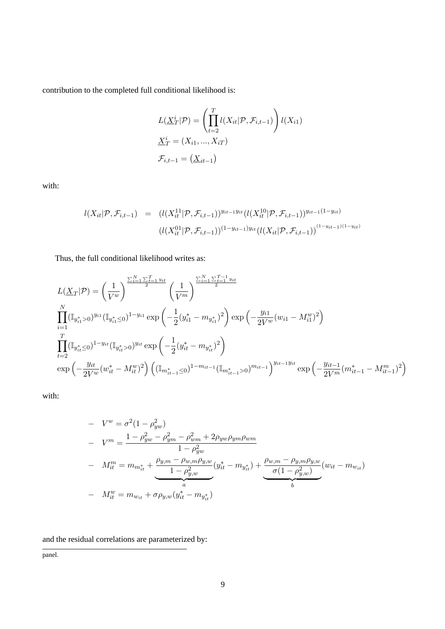contribution to the completed full conditional likelihood is:

$$
L(\underline{X}_T^i|\mathcal{P}) = \left(\prod_{t=2}^T l(X_{it}|\mathcal{P}, \mathcal{F}_{i,t-1})\right) l(X_{i1})
$$
  

$$
\underline{X}_T^i = (X_{i1}, ..., X_{iT})
$$
  

$$
\mathcal{F}_{i,t-1} = (\underline{X}_{it-1})
$$

with:

$$
l(X_{it}|\mathcal{P}, \mathcal{F}_{i,t-1}) = (l(X_{it}^{11}|\mathcal{P}, \mathcal{F}_{i,t-1}))^{y_{it-1}y_{it}}(l(X_{it}^{10}|\mathcal{P}, \mathcal{F}_{i,t-1}))^{y_{it-1}(1-y_{it})}
$$

$$
(l(X_{it}^{01}|\mathcal{P}, \mathcal{F}_{i,t-1}))^{(1-y_{it-1})y_{it}}(l(X_{it}|\mathcal{P}, \mathcal{F}_{i,t-1}))^{(1-y_{it-1})(1-y_{it})}
$$

Thus, the full conditional likelihood writes as:

$$
L(\underline{X}_{T}|\mathcal{P}) = \left(\frac{1}{V^{w}}\right)^{\frac{\sum_{i=1}^{N} \sum_{t=1}^{T} y_{it}}{2}} \left(\frac{1}{V^{m}}\right)^{\frac{\sum_{i=1}^{N} \sum_{t=1}^{T-1} y_{it}}{2}}
$$
  

$$
\prod_{i=1}^{N} (\mathbb{I}_{y_{i1}^{*}>0})^{y_{i1}} (\mathbb{I}_{y_{i1}^{*}\le0})^{1-y_{i1}} \exp\left(-\frac{1}{2}(y_{i1}^{*} - m_{y_{i1}^{*}})^{2}\right) \exp\left(-\frac{y_{i1}}{2V^{w}}(w_{i1} - M_{i1}^{w})^{2}\right)
$$
  

$$
\prod_{t=2}^{T} (\mathbb{I}_{y_{it}^{*}\le0})^{1-y_{it}} (\mathbb{I}_{y_{it}^{*}}>0)^{y_{it}} \exp\left(-\frac{1}{2}(y_{it}^{*} - m_{y_{it}^{*}})^{2}\right)
$$
  

$$
\exp\left(-\frac{y_{it}}{2V^{w}}(w_{it}^{*} - M_{it}^{w})^{2}\right) \left((\mathbb{I}_{m_{it-1}^{*}\le0})^{1-m_{it-1}} (\mathbb{I}_{m_{it-1}^{*}>0})^{m_{it-1}}\right)^{y_{it-1}y_{it}} \exp\left(-\frac{y_{it-1}}{2V^{m}}(m_{it-1}^{*} - M_{it-1}^{m})^{2}\right)
$$

with:

- 
$$
V^{w} = \sigma^{2} (1 - \rho_{yw}^{2})
$$
  
\n- 
$$
V^{m} = \frac{1 - \rho_{yw}^{2} - \rho_{ym}^{2} - \rho_{wm}^{2} + 2\rho_{yw}\rho_{ym}\rho_{wm}}{1 - \rho_{yw}^{2}}
$$
  
\n- 
$$
M_{it}^{m} = m_{m_{it}^{*}} + \underbrace{\frac{\rho_{y,m} - \rho_{w,m}\rho_{y,w}}{1 - \rho_{y,w}^{2}}}_{a} (y_{it}^{*} - m_{y_{it}^{*}}) + \underbrace{\frac{\rho_{w,m} - \rho_{y,m}\rho_{y,w}}{\sigma(1 - \rho_{y,w}^{2})}}_{b} (w_{it} - m_{w_{it}})
$$
  
\n- 
$$
M_{it}^{w} = m_{w_{it}} + \sigma\rho_{y,w} (y_{it}^{*} - m_{y_{it}^{*}})
$$

and the residual correlations are parameterized by:

panel.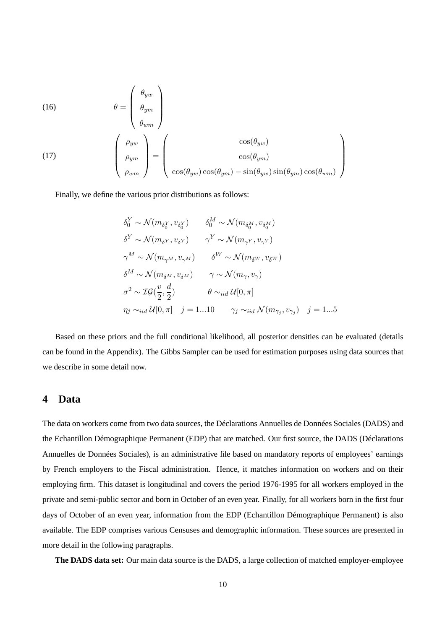(16)  
\n
$$
\theta = \begin{pmatrix} \theta_{yw} \\ \theta_{ym} \\ \theta_{wm} \end{pmatrix}
$$
\n
$$
(17)
$$
\n
$$
\begin{pmatrix} \rho_{yw} \\ \rho_{ym} \\ \rho_{wm} \end{pmatrix} = \begin{pmatrix} \cos(\theta_{yw}) \\ \cos(\theta_{yw})\cos(\theta_{ym}) \\ \cos(\theta_{yw})\cos(\theta_{ym}) - \sin(\theta_{yw})\sin(\theta_{ym})\cos(\theta_{wm}) \end{pmatrix}
$$

Finally, we define the various prior distributions as follows:

$$
\delta_0^Y \sim \mathcal{N}(m_{\delta_0^Y}, v_{\delta_0^Y}) \qquad \delta_0^M \sim \mathcal{N}(m_{\delta_0^M}, v_{\delta_0^M})
$$
  
\n
$$
\delta^Y \sim \mathcal{N}(m_{\delta^Y}, v_{\delta^Y}) \qquad \gamma^Y \sim \mathcal{N}(m_{\gamma^Y}, v_{\gamma^Y})
$$
  
\n
$$
\gamma^M \sim \mathcal{N}(m_{\gamma^M}, v_{\gamma^M}) \qquad \delta^W \sim \mathcal{N}(m_{\delta^W}, v_{\delta^W})
$$
  
\n
$$
\delta^M \sim \mathcal{N}(m_{\delta^M}, v_{\delta^M}) \qquad \gamma \sim \mathcal{N}(m_{\gamma}, v_{\gamma})
$$
  
\n
$$
\sigma^2 \sim \mathcal{IG}(\frac{v}{2}, \frac{d}{2}) \qquad \theta \sim_{iid} \mathcal{U}[0, \pi]
$$
  
\n
$$
\eta_j \sim_{iid} \mathcal{U}[0, \pi] \qquad j = 1...10 \qquad \gamma_j \sim_{iid} \mathcal{N}(m_{\gamma_j}, v_{\gamma_j}) \qquad j = 1...5
$$

Based on these priors and the full conditional likelihood, all posterior densities can be evaluated (details can be found in the Appendix). The Gibbs Sampler can be used for estimation purposes using data sources that we describe in some detail now.

## **4 Data**

The data on workers come from two data sources, the Déclarations Annuelles de Données Sociales (DADS) and the Echantillon Démographique Permanent (EDP) that are matched. Our first source, the DADS (Déclarations Annuelles de Données Sociales), is an administrative file based on mandatory reports of employees' earnings by French employers to the Fiscal administration. Hence, it matches information on workers and on their employing firm. This dataset is longitudinal and covers the period 1976-1995 for all workers employed in the private and semi-public sector and born in October of an even year. Finally, for all workers born in the first four days of October of an even year, information from the EDP (Echantillon Démographique Permanent) is also available. The EDP comprises various Censuses and demographic information. These sources are presented in more detail in the following paragraphs.

**The DADS data set:** Our main data source is the DADS, a large collection of matched employer-employee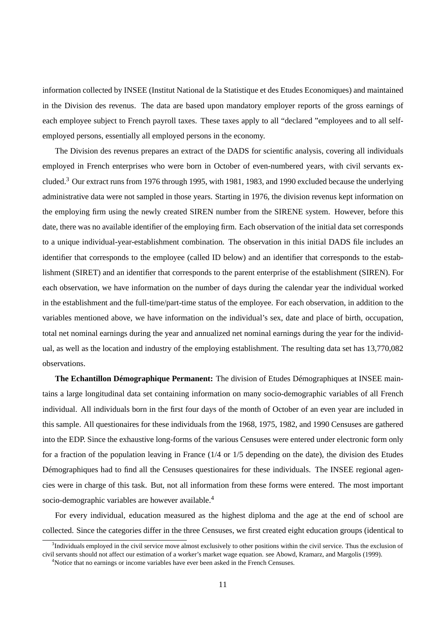information collected by INSEE (Institut National de la Statistique et des Etudes Economiques) and maintained in the Division des revenus. The data are based upon mandatory employer reports of the gross earnings of each employee subject to French payroll taxes. These taxes apply to all "declared "employees and to all selfemployed persons, essentially all employed persons in the economy.

The Division des revenus prepares an extract of the DADS for scientific analysis, covering all individuals employed in French enterprises who were born in October of even-numbered years, with civil servants excluded.<sup>3</sup> Our extract runs from 1976 through 1995, with 1981, 1983, and 1990 excluded because the underlying administrative data were not sampled in those years. Starting in 1976, the division revenus kept information on the employing firm using the newly created SIREN number from the SIRENE system. However, before this date, there was no available identifier of the employing firm. Each observation of the initial data set corresponds to a unique individual-year-establishment combination. The observation in this initial DADS file includes an identifier that corresponds to the employee (called ID below) and an identifier that corresponds to the establishment (SIRET) and an identifier that corresponds to the parent enterprise of the establishment (SIREN). For each observation, we have information on the number of days during the calendar year the individual worked in the establishment and the full-time/part-time status of the employee. For each observation, in addition to the variables mentioned above, we have information on the individual's sex, date and place of birth, occupation, total net nominal earnings during the year and annualized net nominal earnings during the year for the individual, as well as the location and industry of the employing establishment. The resulting data set has 13,770,082 observations.

**The Echantillon Démographique Permanent:** The division of Etudes Démographiques at INSEE maintains a large longitudinal data set containing information on many socio-demographic variables of all French individual. All individuals born in the first four days of the month of October of an even year are included in this sample. All questionaires for these individuals from the 1968, 1975, 1982, and 1990 Censuses are gathered into the EDP. Since the exhaustive long-forms of the various Censuses were entered under electronic form only for a fraction of the population leaving in France (1/4 or 1/5 depending on the date), the division des Etudes Démographiques had to find all the Censuses questionaires for these individuals. The INSEE regional agencies were in charge of this task. But, not all information from these forms were entered. The most important socio-demographic variables are however available.<sup>4</sup>

For every individual, education measured as the highest diploma and the age at the end of school are collected. Since the categories differ in the three Censuses, we first created eight education groups (identical to

<sup>&</sup>lt;sup>3</sup>Individuals employed in the civil service move almost exclusively to other positions within the civil service. Thus the exclusion of civil servants should not affect our estimation of a worker's market wage equation. see Abowd, Kramarz, and Margolis (1999).

<sup>&</sup>lt;sup>4</sup>Notice that no earnings or income variables have ever been asked in the French Censuses.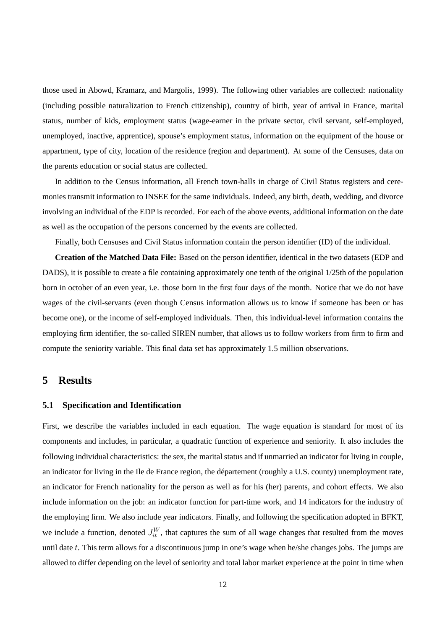those used in Abowd, Kramarz, and Margolis, 1999). The following other variables are collected: nationality (including possible naturalization to French citizenship), country of birth, year of arrival in France, marital status, number of kids, employment status (wage-earner in the private sector, civil servant, self-employed, unemployed, inactive, apprentice), spouse's employment status, information on the equipment of the house or appartment, type of city, location of the residence (region and department). At some of the Censuses, data on the parents education or social status are collected.

In addition to the Census information, all French town-halls in charge of Civil Status registers and ceremonies transmit information to INSEE for the same individuals. Indeed, any birth, death, wedding, and divorce involving an individual of the EDP is recorded. For each of the above events, additional information on the date as well as the occupation of the persons concerned by the events are collected.

Finally, both Censuses and Civil Status information contain the person identifier (ID) of the individual.

**Creation of the Matched Data File:** Based on the person identifier, identical in the two datasets (EDP and DADS), it is possible to create a file containing approximately one tenth of the original 1/25th of the population born in october of an even year, i.e. those born in the first four days of the month. Notice that we do not have wages of the civil-servants (even though Census information allows us to know if someone has been or has become one), or the income of self-employed individuals. Then, this individual-level information contains the employing firm identifier, the so-called SIREN number, that allows us to follow workers from firm to firm and compute the seniority variable. This final data set has approximately 1.5 million observations.

### **5 Results**

#### **5.1 Specification and Identification**

First, we describe the variables included in each equation. The wage equation is standard for most of its components and includes, in particular, a quadratic function of experience and seniority. It also includes the following individual characteristics: the sex, the marital status and if unmarried an indicator for living in couple, an indicator for living in the Ile de France region, the département (roughly a U.S. county) unemployment rate, an indicator for French nationality for the person as well as for his (her) parents, and cohort effects. We also include information on the job: an indicator function for part-time work, and 14 indicators for the industry of the employing firm. We also include year indicators. Finally, and following the specification adopted in BFKT, we include a function, denoted  $J_{it}^W$ , that captures the sum of all wage changes that resulted from the moves until date  $t$ . This term allows for a discontinuous jump in one's wage when he/she changes jobs. The jumps are allowed to differ depending on the level of seniority and total labor market experience at the point in time when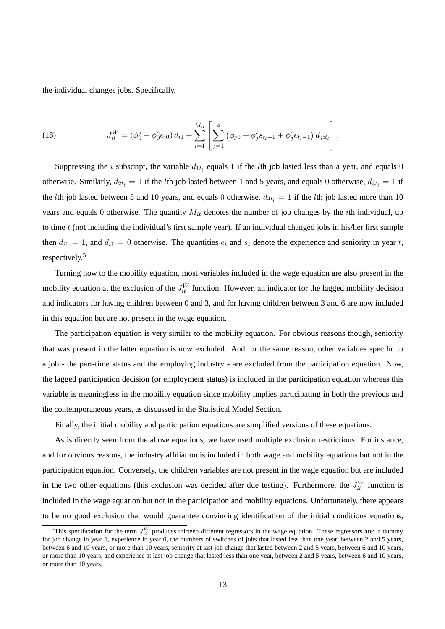the individual changes jobs. Specifically,

(18) 
$$
J_{it}^W = (\phi_0^s + \phi_0^e e_{i0}) d_{i1} + \sum_{l=1}^{M_{it}} \left[ \sum_{j=1}^4 (\phi_{j0} + \phi_j^s s_{t_l-1} + \phi_j^e e_{t_l-1}) d_{jit_l} \right].
$$

Suppressing the *i* subscript, the variable  $d_{1t_l}$  equals 1 if the *lth* job lasted less than a year, and equals 0 otherwise. Similarly,  $d_{2t_l} = 1$  if the *l*th job lasted between 1 and 5 years, and equals 0 otherwise,  $d_{3t_l} = 1$  if the *l*th job lasted between 5 and 10 years, and equals 0 otherwise,  $d_{4t_1} = 1$  if the *l*th job lasted more than 10 years and equals 0 otherwise. The quantity  $M_{it}$  denotes the number of job changes by the *i*th individual, up to time  $t$  (not including the individual's first sample year). If an individual changed jobs in his/her first sample then  $d_{i1} = 1$ , and  $d_{i1} = 0$  otherwise. The quantities  $e_t$  and  $s_t$  denote the experience and seniority in year t, respectively.<sup>5</sup>

Turning now to the mobility equation, most variables included in the wage equation are also present in the mobility equation at the exclusion of the  $J_{it}^W$  function. However, an indicator for the lagged mobility decision and indicators for having children between 0 and 3, and for having children between 3 and 6 are now included in this equation but are not present in the wage equation.

The participation equation is very similar to the mobility equation. For obvious reasons though, seniority that was present in the latter equation is now excluded. And for the same reason, other variables specific to a job - the part-time status and the employing industry - are excluded from the participation equation. Now, the lagged participation decision (or employment status) is included in the participation equation whereas this variable is meaningless in the mobility equation since mobility implies participating in both the previous and the contemporaneous years, as discussed in the Statistical Model Section.

Finally, the initial mobility and participation equations are simplified versions of these equations.

As is directly seen from the above equations, we have used multiple exclusion restrictions. For instance, and for obvious reasons, the industry affiliation is included in both wage and mobility equations but not in the participation equation. Conversely, the children variables are not present in the wage equation but are included in the two other equations (this exclusion was decided after due testing). Furthermore, the  $J_{it}^W$  function is included in the wage equation but not in the participation and mobility equations. Unfortunately, there appears to be no good exclusion that would guarantee convincing identification of the initial conditions equations,

<sup>&</sup>lt;sup>5</sup>This specification for the term  $J_{it}^{W}$  produces thirteen different regressors in the wage equation. These regressors are: a dummy for job change in year 1, experience in year 0, the numbers of switches of jobs that lasted less than one year, between 2 and 5 years, between 6 and 10 years, or more than 10 years, seniority at last job change that lasted between 2 and 5 years, between 6 and 10 years, or more than 10 years, and experience at last job change that lasted less than one year, between 2 and 5 years, between 6 and 10 years, or more than 10 years.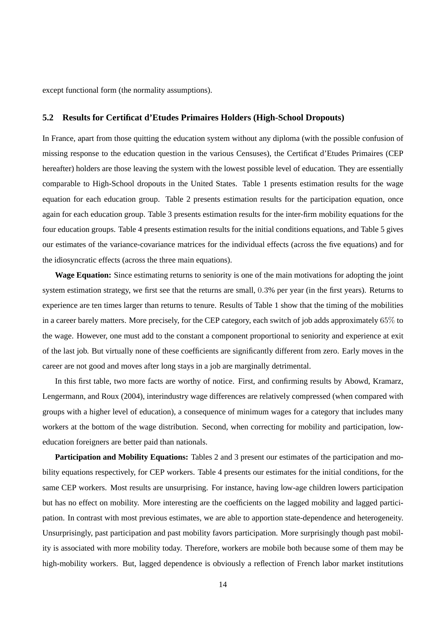except functional form (the normality assumptions).

#### **5.2 Results for Certificat d'Etudes Primaires Holders (High-School Dropouts)**

In France, apart from those quitting the education system without any diploma (with the possible confusion of missing response to the education question in the various Censuses), the Certificat d'Etudes Primaires (CEP hereafter) holders are those leaving the system with the lowest possible level of education. They are essentially comparable to High-School dropouts in the United States. Table 1 presents estimation results for the wage equation for each education group. Table 2 presents estimation results for the participation equation, once again for each education group. Table 3 presents estimation results for the inter-firm mobility equations for the four education groups. Table 4 presents estimation results for the initial conditions equations, and Table 5 gives our estimates of the variance-covariance matrices for the individual effects (across the five equations) and for the idiosyncratic effects (across the three main equations).

**Wage Equation:** Since estimating returns to seniority is one of the main motivations for adopting the joint system estimation strategy, we first see that the returns are small, 0.3% per year (in the first years). Returns to experience are ten times larger than returns to tenure. Results of Table 1 show that the timing of the mobilities in a career barely matters. More precisely, for the CEP category, each switch of job adds approximately 65% to the wage. However, one must add to the constant a component proportional to seniority and experience at exit of the last job. But virtually none of these coefficients are significantly different from zero. Early moves in the career are not good and moves after long stays in a job are marginally detrimental.

In this first table, two more facts are worthy of notice. First, and confirming results by Abowd, Kramarz, Lengermann, and Roux (2004), interindustry wage differences are relatively compressed (when compared with groups with a higher level of education), a consequence of minimum wages for a category that includes many workers at the bottom of the wage distribution. Second, when correcting for mobility and participation, loweducation foreigners are better paid than nationals.

**Participation and Mobility Equations:** Tables 2 and 3 present our estimates of the participation and mobility equations respectively, for CEP workers. Table 4 presents our estimates for the initial conditions, for the same CEP workers. Most results are unsurprising. For instance, having low-age children lowers participation but has no effect on mobility. More interesting are the coefficients on the lagged mobility and lagged participation. In contrast with most previous estimates, we are able to apportion state-dependence and heterogeneity. Unsurprisingly, past participation and past mobility favors participation. More surprisingly though past mobility is associated with more mobility today. Therefore, workers are mobile both because some of them may be high-mobility workers. But, lagged dependence is obviously a reflection of French labor market institutions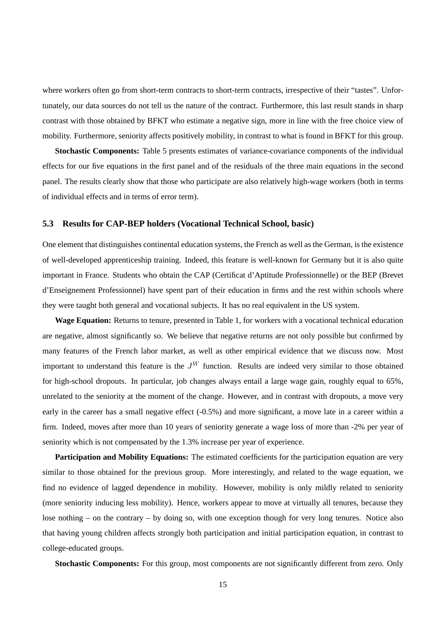where workers often go from short-term contracts to short-term contracts, irrespective of their "tastes". Unfortunately, our data sources do not tell us the nature of the contract. Furthermore, this last result stands in sharp contrast with those obtained by BFKT who estimate a negative sign, more in line with the free choice view of mobility. Furthermore, seniority affects positively mobility, in contrast to what is found in BFKT for this group.

**Stochastic Components:** Table 5 presents estimates of variance-covariance components of the individual effects for our five equations in the first panel and of the residuals of the three main equations in the second panel. The results clearly show that those who participate are also relatively high-wage workers (both in terms of individual effects and in terms of error term).

#### **5.3 Results for CAP-BEP holders (Vocational Technical School, basic)**

One element that distinguishes continental education systems, the French as well as the German, is the existence of well-developed apprenticeship training. Indeed, this feature is well-known for Germany but it is also quite important in France. Students who obtain the CAP (Certificat d'Aptitude Professionnelle) or the BEP (Brevet d'Enseignement Professionnel) have spent part of their education in firms and the rest within schools where they were taught both general and vocational subjects. It has no real equivalent in the US system.

**Wage Equation:** Returns to tenure, presented in Table 1, for workers with a vocational technical education are negative, almost significantly so. We believe that negative returns are not only possible but confirmed by many features of the French labor market, as well as other empirical evidence that we discuss now. Most important to understand this feature is the  $J^W$  function. Results are indeed very similar to those obtained for high-school dropouts. In particular, job changes always entail a large wage gain, roughly equal to 65%, unrelated to the seniority at the moment of the change. However, and in contrast with dropouts, a move very early in the career has a small negative effect (-0.5%) and more significant, a move late in a career within a firm. Indeed, moves after more than 10 years of seniority generate a wage loss of more than -2% per year of seniority which is not compensated by the 1.3% increase per year of experience.

**Participation and Mobility Equations:** The estimated coefficients for the participation equation are very similar to those obtained for the previous group. More interestingly, and related to the wage equation, we find no evidence of lagged dependence in mobility. However, mobility is only mildly related to seniority (more seniority inducing less mobility). Hence, workers appear to move at virtually all tenures, because they lose nothing – on the contrary – by doing so, with one exception though for very long tenures. Notice also that having young children affects strongly both participation and initial participation equation, in contrast to college-educated groups.

**Stochastic Components:** For this group, most components are not significantly different from zero. Only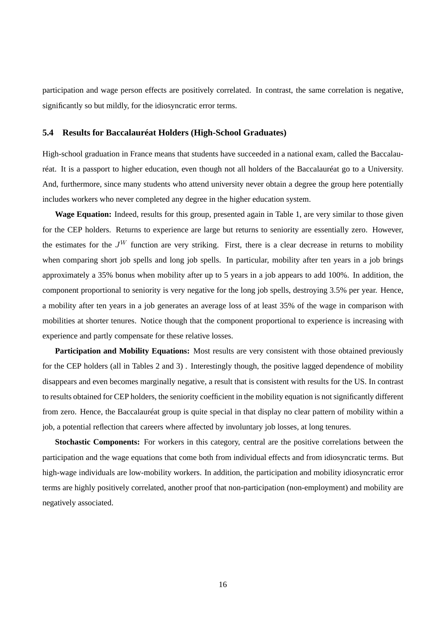participation and wage person effects are positively correlated. In contrast, the same correlation is negative, significantly so but mildly, for the idiosyncratic error terms.

#### **5.4 Results for Baccalauréat Holders (High-School Graduates)**

High-school graduation in France means that students have succeeded in a national exam, called the Baccalauréat. It is a passport to higher education, even though not all holders of the Baccalauréat go to a University. And, furthermore, since many students who attend university never obtain a degree the group here potentially includes workers who never completed any degree in the higher education system.

**Wage Equation:** Indeed, results for this group, presented again in Table 1, are very similar to those given for the CEP holders. Returns to experience are large but returns to seniority are essentially zero. However, the estimates for the  $J^W$  function are very striking. First, there is a clear decrease in returns to mobility when comparing short job spells and long job spells. In particular, mobility after ten years in a job brings approximately a 35% bonus when mobility after up to 5 years in a job appears to add 100%. In addition, the component proportional to seniority is very negative for the long job spells, destroying 3.5% per year. Hence, a mobility after ten years in a job generates an average loss of at least 35% of the wage in comparison with mobilities at shorter tenures. Notice though that the component proportional to experience is increasing with experience and partly compensate for these relative losses.

**Participation and Mobility Equations:** Most results are very consistent with those obtained previously for the CEP holders (all in Tables 2 and 3) . Interestingly though, the positive lagged dependence of mobility disappears and even becomes marginally negative, a result that is consistent with results for the US. In contrast to results obtained for CEP holders, the seniority coefficient in the mobility equation is not significantly different from zero. Hence, the Baccalauréat group is quite special in that display no clear pattern of mobility within a job, a potential reflection that careers where affected by involuntary job losses, at long tenures.

**Stochastic Components:** For workers in this category, central are the positive correlations between the participation and the wage equations that come both from individual effects and from idiosyncratic terms. But high-wage individuals are low-mobility workers. In addition, the participation and mobility idiosyncratic error terms are highly positively correlated, another proof that non-participation (non-employment) and mobility are negatively associated.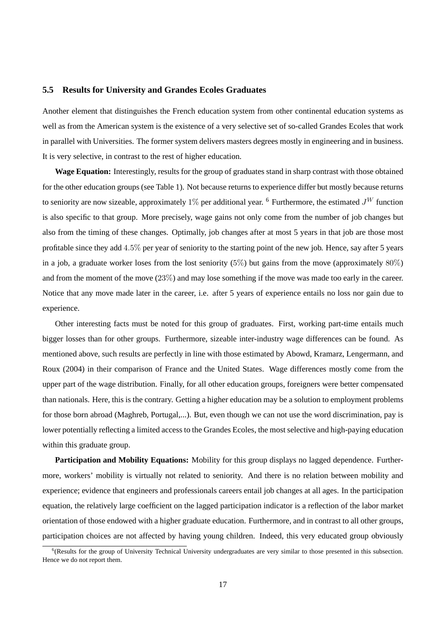#### **5.5 Results for University and Grandes Ecoles Graduates**

Another element that distinguishes the French education system from other continental education systems as well as from the American system is the existence of a very selective set of so-called Grandes Ecoles that work in parallel with Universities. The former system delivers masters degrees mostly in engineering and in business. It is very selective, in contrast to the rest of higher education.

**Wage Equation:** Interestingly, results for the group of graduates stand in sharp contrast with those obtained for the other education groups (see Table 1). Not because returns to experience differ but mostly because returns to seniority are now sizeable, approximately 1% per additional year. <sup>6</sup> Furthermore, the estimated  $J<sup>W</sup>$  function is also specific to that group. More precisely, wage gains not only come from the number of job changes but also from the timing of these changes. Optimally, job changes after at most 5 years in that job are those most profitable since they add 4.5% per year of seniority to the starting point of the new job. Hence, say after 5 years in a job, a graduate worker loses from the lost seniority  $(5\%)$  but gains from the move (approximately  $80\%$ ) and from the moment of the move (23%) and may lose something if the move was made too early in the career. Notice that any move made later in the career, i.e. after 5 years of experience entails no loss nor gain due to experience.

Other interesting facts must be noted for this group of graduates. First, working part-time entails much bigger losses than for other groups. Furthermore, sizeable inter-industry wage differences can be found. As mentioned above, such results are perfectly in line with those estimated by Abowd, Kramarz, Lengermann, and Roux (2004) in their comparison of France and the United States. Wage differences mostly come from the upper part of the wage distribution. Finally, for all other education groups, foreigners were better compensated than nationals. Here, this is the contrary. Getting a higher education may be a solution to employment problems for those born abroad (Maghreb, Portugal,...). But, even though we can not use the word discrimination, pay is lower potentially reflecting a limited access to the Grandes Ecoles, the most selective and high-paying education within this graduate group.

**Participation and Mobility Equations:** Mobility for this group displays no lagged dependence. Furthermore, workers' mobility is virtually not related to seniority. And there is no relation between mobility and experience; evidence that engineers and professionals careers entail job changes at all ages. In the participation equation, the relatively large coefficient on the lagged participation indicator is a reflection of the labor market orientation of those endowed with a higher graduate education. Furthermore, and in contrast to all other groups, participation choices are not affected by having young children. Indeed, this very educated group obviously

<sup>&</sup>lt;sup>6</sup>(Results for the group of University Technical University undergraduates are very similar to those presented in this subsection. Hence we do not report them.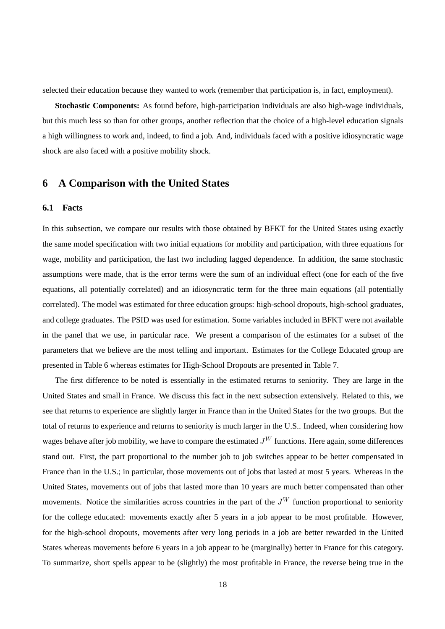selected their education because they wanted to work (remember that participation is, in fact, employment).

**Stochastic Components:** As found before, high-participation individuals are also high-wage individuals, but this much less so than for other groups, another reflection that the choice of a high-level education signals a high willingness to work and, indeed, to find a job. And, individuals faced with a positive idiosyncratic wage shock are also faced with a positive mobility shock.

## **6 A Comparison with the United States**

#### **6.1 Facts**

In this subsection, we compare our results with those obtained by BFKT for the United States using exactly the same model specification with two initial equations for mobility and participation, with three equations for wage, mobility and participation, the last two including lagged dependence. In addition, the same stochastic assumptions were made, that is the error terms were the sum of an individual effect (one for each of the five equations, all potentially correlated) and an idiosyncratic term for the three main equations (all potentially correlated). The model was estimated for three education groups: high-school dropouts, high-school graduates, and college graduates. The PSID was used for estimation. Some variables included in BFKT were not available in the panel that we use, in particular race. We present a comparison of the estimates for a subset of the parameters that we believe are the most telling and important. Estimates for the College Educated group are presented in Table 6 whereas estimates for High-School Dropouts are presented in Table 7.

The first difference to be noted is essentially in the estimated returns to seniority. They are large in the United States and small in France. We discuss this fact in the next subsection extensively. Related to this, we see that returns to experience are slightly larger in France than in the United States for the two groups. But the total of returns to experience and returns to seniority is much larger in the U.S.. Indeed, when considering how wages behave after job mobility, we have to compare the estimated  $J^W$  functions. Here again, some differences stand out. First, the part proportional to the number job to job switches appear to be better compensated in France than in the U.S.; in particular, those movements out of jobs that lasted at most 5 years. Whereas in the United States, movements out of jobs that lasted more than 10 years are much better compensated than other movements. Notice the similarities across countries in the part of the  $J<sup>W</sup>$  function proportional to seniority for the college educated: movements exactly after 5 years in a job appear to be most profitable. However, for the high-school dropouts, movements after very long periods in a job are better rewarded in the United States whereas movements before 6 years in a job appear to be (marginally) better in France for this category. To summarize, short spells appear to be (slightly) the most profitable in France, the reverse being true in the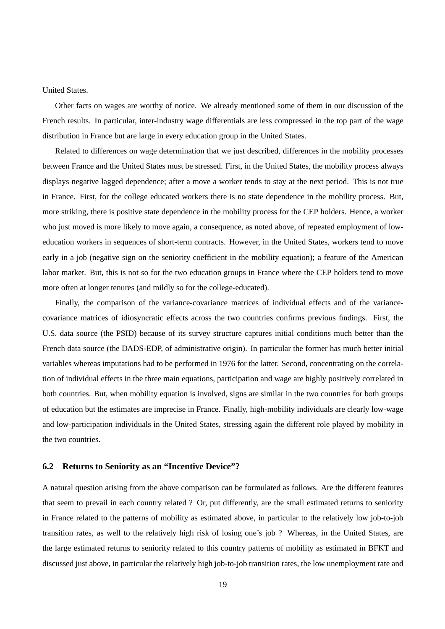United States.

Other facts on wages are worthy of notice. We already mentioned some of them in our discussion of the French results. In particular, inter-industry wage differentials are less compressed in the top part of the wage distribution in France but are large in every education group in the United States.

Related to differences on wage determination that we just described, differences in the mobility processes between France and the United States must be stressed. First, in the United States, the mobility process always displays negative lagged dependence; after a move a worker tends to stay at the next period. This is not true in France. First, for the college educated workers there is no state dependence in the mobility process. But, more striking, there is positive state dependence in the mobility process for the CEP holders. Hence, a worker who just moved is more likely to move again, a consequence, as noted above, of repeated employment of loweducation workers in sequences of short-term contracts. However, in the United States, workers tend to move early in a job (negative sign on the seniority coefficient in the mobility equation); a feature of the American labor market. But, this is not so for the two education groups in France where the CEP holders tend to move more often at longer tenures (and mildly so for the college-educated).

Finally, the comparison of the variance-covariance matrices of individual effects and of the variancecovariance matrices of idiosyncratic effects across the two countries confirms previous findings. First, the U.S. data source (the PSID) because of its survey structure captures initial conditions much better than the French data source (the DADS-EDP, of administrative origin). In particular the former has much better initial variables whereas imputations had to be performed in 1976 for the latter. Second, concentrating on the correlation of individual effects in the three main equations, participation and wage are highly positively correlated in both countries. But, when mobility equation is involved, signs are similar in the two countries for both groups of education but the estimates are imprecise in France. Finally, high-mobility individuals are clearly low-wage and low-participation individuals in the United States, stressing again the different role played by mobility in the two countries.

#### **6.2 Returns to Seniority as an "Incentive Device"?**

A natural question arising from the above comparison can be formulated as follows. Are the different features that seem to prevail in each country related ? Or, put differently, are the small estimated returns to seniority in France related to the patterns of mobility as estimated above, in particular to the relatively low job-to-job transition rates, as well to the relatively high risk of losing one's job ? Whereas, in the United States, are the large estimated returns to seniority related to this country patterns of mobility as estimated in BFKT and discussed just above, in particular the relatively high job-to-job transition rates, the low unemployment rate and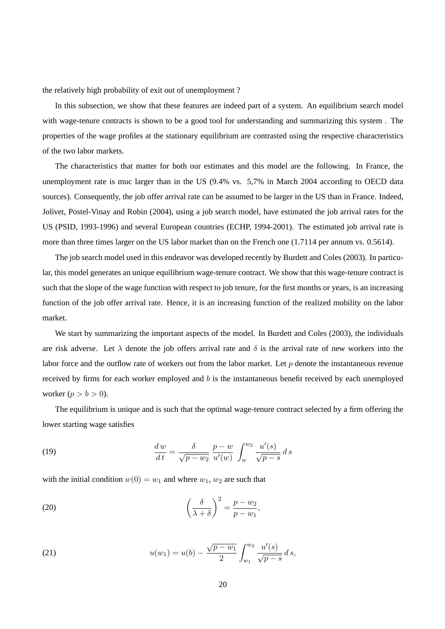the relatively high probability of exit out of unemployment ?

In this subsection, we show that these features are indeed part of a system. An equilibrium search model with wage-tenure contracts is shown to be a good tool for understanding and summarizing this system . The properties of the wage profiles at the stationary equilibrium are contrasted using the respective characteristics of the two labor markets.

The characteristics that matter for both our estimates and this model are the following. In France, the unemployment rate is muc larger than in the US (9.4% vs. 5,7% in March 2004 according to OECD data sources). Consequently, the job offer arrival rate can be assumed to be larger in the US than in France. Indeed, Jolivet, Postel-Vinay and Robin (2004), using a job search model, have estimated the job arrival rates for the US (PSID, 1993-1996) and several European countries (ECHP, 1994-2001). The estimated job arrival rate is more than three times larger on the US labor market than on the French one  $(1.7114$  per annum vs. 0.5614).

The job search model used in this endeavor was developed recently by Burdett and Coles (2003). In particular, this model generates an unique equilibrium wage-tenure contract. We show that this wage-tenure contract is such that the slope of the wage function with respect to job tenure, for the first months or years, is an increasing function of the job offer arrival rate. Hence, it is an increasing function of the realized mobility on the labor market.

We start by summarizing the important aspects of the model. In Burdett and Coles (2003), the individuals are risk adverse. Let  $\lambda$  denote the job offers arrival rate and  $\delta$  is the arrival rate of new workers into the labor force and the outflow rate of workers out from the labor market. Let  $p$  denote the instantaneous revenue received by firms for each worker employed and b is the instantaneous benefit received by each unemployed worker ( $p > b > 0$ ).

The equilibrium is unique and is such that the optimal wage-tenure contract selected by a firm offering the lower starting wage satisfies

(19) 
$$
\frac{dw}{dt} = \frac{\delta}{\sqrt{p - w_2}} \frac{p - w}{u'(w)} \int_{w}^{w_2} \frac{u'(s)}{\sqrt{p - s}} ds
$$

with the initial condition  $w(0) = w_1$  and where  $w_1, w_2$  are such that

(20) 
$$
\left(\frac{\delta}{\lambda+\delta}\right)^2 = \frac{p-w_2}{p-w_1},
$$

(21) 
$$
u(w_1) = u(b) - \frac{\sqrt{p - w_1}}{2} \int_{w_1}^{w_2} \frac{u'(s)}{\sqrt{p - s}} ds,
$$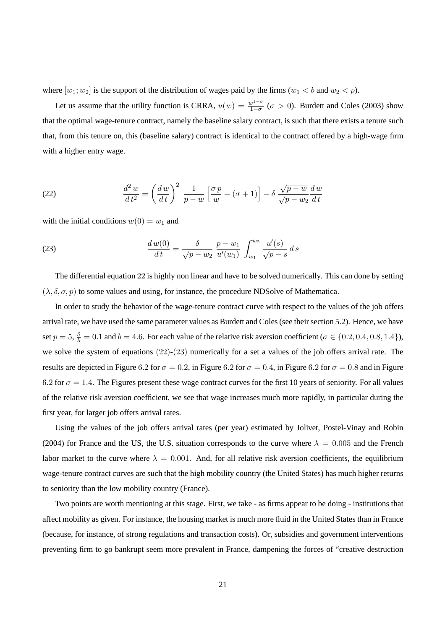where  $[w_1; w_2]$  is the support of the distribution of wages paid by the firms  $(w_1 < b$  and  $w_2 < p$ ).

Let us assume that the utility function is CRRA,  $u(w) = \frac{w^{1-\sigma}}{1-\sigma}$  ( $\sigma > 0$ ). Burdett and Coles (2003) show that the optimal wage-tenure contract, namely the baseline salary contract, is such that there exists a tenure such that, from this tenure on, this (baseline salary) contract is identical to the contract offered by a high-wage firm with a higher entry wage.

(22) 
$$
\frac{d^2 w}{dt^2} = \left(\frac{dw}{dt}\right)^2 \frac{1}{p-w} \left[\frac{\sigma p}{w} - (\sigma + 1)\right] - \delta \frac{\sqrt{p-w}}{\sqrt{p-w_2}} \frac{dw}{dt}
$$

with the initial conditions  $w(0) = w_1$  and

(23) 
$$
\frac{d w(0)}{dt} = \frac{\delta}{\sqrt{p - w_2}} \frac{p - w_1}{u'(w_1)} \int_{w_1}^{w_2} \frac{u'(s)}{\sqrt{p - s}} ds
$$

The differential equation 22 is highly non linear and have to be solved numerically. This can done by setting  $(\lambda, \delta, \sigma, p)$  to some values and using, for instance, the procedure NDSolve of Mathematica.

In order to study the behavior of the wage-tenure contract curve with respect to the values of the job offers arrival rate, we have used the same parameter values as Burdett and Coles (see their section 5.2). Hence, we have set  $p = 5$ ,  $\frac{\delta}{\lambda} = 0.1$  and  $b = 4.6$ . For each value of the relative risk aversion coefficient ( $\sigma \in \{0.2, 0.4, 0.8, 1.4\}$ ), we solve the system of equations  $(22)-(23)$  numerically for a set a values of the job offers arrival rate. The results are depicted in Figure 6.2 for  $\sigma = 0.2$ , in Figure 6.2 for  $\sigma = 0.4$ , in Figure 6.2 for  $\sigma = 0.8$  and in Figure 6.2 for  $\sigma = 1.4$ . The Figures present these wage contract curves for the first 10 years of seniority. For all values of the relative risk aversion coefficient, we see that wage increases much more rapidly, in particular during the first year, for larger job offers arrival rates.

Using the values of the job offers arrival rates (per year) estimated by Jolivet, Postel-Vinay and Robin (2004) for France and the US, the U.S. situation corresponds to the curve where  $\lambda = 0.005$  and the French labor market to the curve where  $\lambda = 0.001$ . And, for all relative risk aversion coefficients, the equilibrium wage-tenure contract curves are such that the high mobility country (the United States) has much higher returns to seniority than the low mobility country (France).

Two points are worth mentioning at this stage. First, we take - as firms appear to be doing - institutions that affect mobility as given. For instance, the housing market is much more fluid in the United States than in France (because, for instance, of strong regulations and transaction costs). Or, subsidies and government interventions preventing firm to go bankrupt seem more prevalent in France, dampening the forces of "creative destruction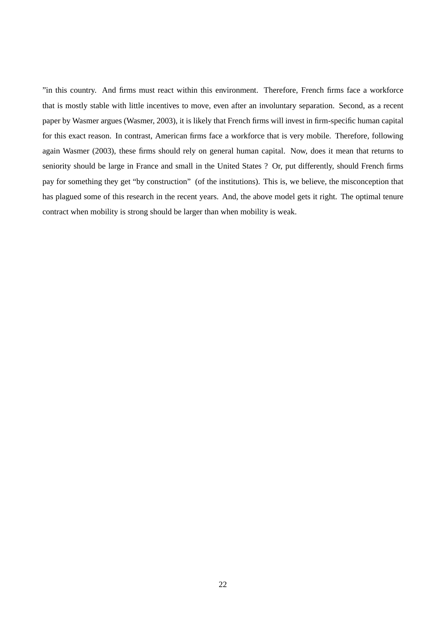"in this country. And firms must react within this environment. Therefore, French firms face a workforce that is mostly stable with little incentives to move, even after an involuntary separation. Second, as a recent paper by Wasmer argues (Wasmer, 2003), it is likely that French firms will invest in firm-specific human capital for this exact reason. In contrast, American firms face a workforce that is very mobile. Therefore, following again Wasmer (2003), these firms should rely on general human capital. Now, does it mean that returns to seniority should be large in France and small in the United States ? Or, put differently, should French firms pay for something they get "by construction" (of the institutions). This is, we believe, the misconception that has plagued some of this research in the recent years. And, the above model gets it right. The optimal tenure contract when mobility is strong should be larger than when mobility is weak.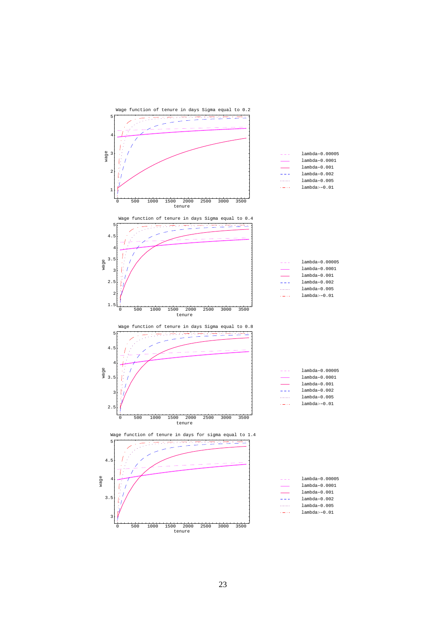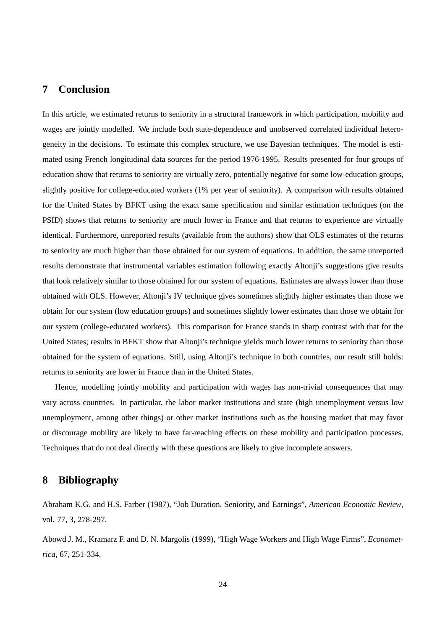## **7 Conclusion**

In this article, we estimated returns to seniority in a structural framework in which participation, mobility and wages are jointly modelled. We include both state-dependence and unobserved correlated individual heterogeneity in the decisions. To estimate this complex structure, we use Bayesian techniques. The model is estimated using French longitudinal data sources for the period 1976-1995. Results presented for four groups of education show that returns to seniority are virtually zero, potentially negative for some low-education groups, slightly positive for college-educated workers (1% per year of seniority). A comparison with results obtained for the United States by BFKT using the exact same specification and similar estimation techniques (on the PSID) shows that returns to seniority are much lower in France and that returns to experience are virtually identical. Furthermore, unreported results (available from the authors) show that OLS estimates of the returns to seniority are much higher than those obtained for our system of equations. In addition, the same unreported results demonstrate that instrumental variables estimation following exactly Altonji's suggestions give results that look relatively similar to those obtained for our system of equations. Estimates are always lower than those obtained with OLS. However, Altonji's IV technique gives sometimes slightly higher estimates than those we obtain for our system (low education groups) and sometimes slightly lower estimates than those we obtain for our system (college-educated workers). This comparison for France stands in sharp contrast with that for the United States; results in BFKT show that Altonji's technique yields much lower returns to seniority than those obtained for the system of equations. Still, using Altonji's technique in both countries, our result still holds: returns to seniority are lower in France than in the United States.

Hence, modelling jointly mobility and participation with wages has non-trivial consequences that may vary across countries. In particular, the labor market institutions and state (high unemployment versus low unemployment, among other things) or other market institutions such as the housing market that may favor or discourage mobility are likely to have far-reaching effects on these mobility and participation processes. Techniques that do not deal directly with these questions are likely to give incomplete answers.

## **8 Bibliography**

Abraham K.G. and H.S. Farber (1987), "Job Duration, Seniority, and Earnings", *American Economic Review*, vol. 77, 3, 278-297.

Abowd J. M., Kramarz F. and D. N. Margolis (1999), "High Wage Workers and High Wage Firms", *Econometrica*, 67, 251-334.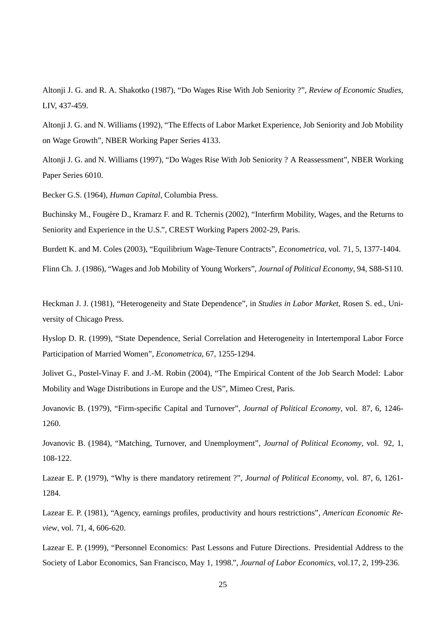Altonji J. G. and R. A. Shakotko (1987), "Do Wages Rise With Job Seniority ?", *Review of Economic Studies*, LIV, 437-459.

Altonji J. G. and N. Williams (1992), "The Effects of Labor Market Experience, Job Seniority and Job Mobility on Wage Growth", NBER Working Paper Series 4133.

Altonji J. G. and N. Williams (1997), "Do Wages Rise With Job Seniority ? A Reassessment", NBER Working Paper Series 6010.

Becker G.S. (1964), *Human Capital*, Columbia Press.

Buchinsky M., Fougère D., Kramarz F. and R. Tchernis (2002), "Interfirm Mobility, Wages, and the Returns to Seniority and Experience in the U.S.", CREST Working Papers 2002-29, Paris.

Burdett K. and M. Coles (2003), "Equilibrium Wage-Tenure Contracts", *Econometrica*, vol. 71, 5, 1377-1404.

Flinn Ch. J. (1986), "Wages and Job Mobility of Young Workers", *Journal of Political Economy*, 94, S88-S110.

Heckman J. J. (1981), "Heterogeneity and State Dependence", in *Studies in Labor Market*, Rosen S. ed., University of Chicago Press.

Hyslop D. R. (1999), "State Dependence, Serial Correlation and Heterogeneity in Intertemporal Labor Force Participation of Married Women", *Econometrica*, 67, 1255-1294.

Jolivet G., Postel-Vinay F. and J.-M. Robin (2004), "The Empirical Content of the Job Search Model: Labor Mobility and Wage Distributions in Europe and the US", Mimeo Crest, Paris.

Jovanovic B. (1979), "Firm-specific Capital and Turnover", *Journal of Political Economy*, vol. 87, 6, 1246- 1260.

Jovanovic B. (1984), "Matching, Turnover, and Unemployment", *Journal of Political Economy*, vol. 92, 1, 108-122.

Lazear E. P. (1979), "Why is there mandatory retirement ?", *Journal of Political Economy*, vol. 87, 6, 1261- 1284.

Lazear E. P. (1981), "Agency, earnings profiles, productivity and hours restrictions", *American Economic Review*, vol. 71, 4, 606-620.

Lazear E. P. (1999), "Personnel Economics: Past Lessons and Future Directions. Presidential Address to the Society of Labor Economics, San Francisco, May 1, 1998.", *Journal of Labor Economics*, vol.17, 2, 199-236.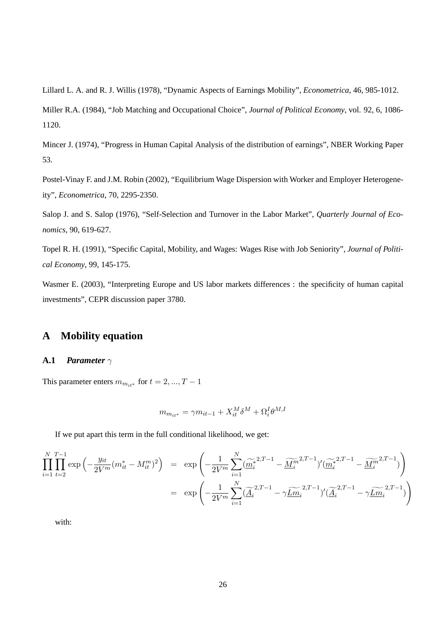Lillard L. A. and R. J. Willis (1978), "Dynamic Aspects of Earnings Mobility", *Econometrica*, 46, 985-1012.

Miller R.A. (1984), "Job Matching and Occupational Choice", *Journal of Political Economy*, vol. 92, 6, 1086- 1120.

Mincer J. (1974), "Progress in Human Capital Analysis of the distribution of earnings", NBER Working Paper 53.

Postel-Vinay F. and J.M. Robin (2002), "Equilibrium Wage Dispersion with Worker and Employer Heterogeneity", *Econometrica*, 70, 2295-2350.

Salop J. and S. Salop (1976), "Self-Selection and Turnover in the Labor Market", *Quarterly Journal of Economics*, 90, 619-627.

Topel R. H. (1991), "Specific Capital, Mobility, and Wages: Wages Rise with Job Seniority", *Journal of Political Economy*, 99, 145-175.

Wasmer E. (2003), "Interpreting Europe and US labor markets differences : the specificity of human capital investments", CEPR discussion paper 3780.

# **A Mobility equation**

#### **A.1** *Parameter* γ

This parameter enters  $m_{m_{i\ast\ast}}$  for  $t = 2, ..., T - 1$ 

$$
m_{m_{it^*}} = \gamma m_{it-1} + X_{it}^M \delta^M + \Omega_i^I \theta^{M,I}
$$

If we put apart this term in the full conditional likelihood, we get:

$$
\prod_{i=1}^{N} \prod_{t=2}^{T-1} \exp\left(-\frac{y_{it}}{2V^m} (m_{it}^* - M_{it}^m)^2\right) = \exp\left(-\frac{1}{2V^m} \sum_{i=1}^{N} (\widetilde{\underline{m}_i^*}^{2,T-1} - \widetilde{\underline{M}_i^m}^{2,T-1})'(\widetilde{\underline{m}_i^*}^{2,T-1} - \widetilde{\underline{M}_i^m}^{2,T-1})\right)
$$
  

$$
= \exp\left(-\frac{1}{2V^m} \sum_{i=1}^{N} (\widetilde{\underline{A}_i}^{2,T-1} - \gamma \widetilde{\underline{Lm}_i}^{2,T-1})'(\widetilde{\underline{A}_i}^{2,T-1} - \gamma \widetilde{\underline{Lm}_i}^{2,T-1})\right)
$$

with: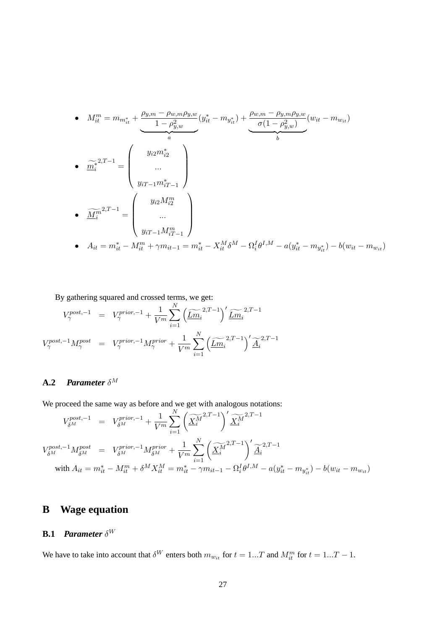• 
$$
M_{it}^{m} = m_{m_{it}^{*}} + \underbrace{\frac{\rho_{y,m} - \rho_{w,m}\rho_{y,w}}{1 - \rho_{y,w}^{2}}}_{a} (y_{it}^{*} - m_{y_{it}^{*}}) + \underbrace{\frac{\rho_{w,m} - \rho_{y,m}\rho_{y,w}}{\sigma(1 - \rho_{y,w}^{2})}(w_{it} - m_{w_{it}})}
$$
\n• 
$$
\underbrace{\widetilde{m_{i}}^{*}}^{2,T-1} = \begin{pmatrix} y_{i2}m_{i2}^{*} \\ ... \\ y_{iT-1}m_{iT-1}^{*} \end{pmatrix}
$$
\n• 
$$
\underbrace{\widetilde{M_{i}}^{m}}^{2,T-1} = \begin{pmatrix} y_{i2}M_{i2}^{m} \\ ... \\ y_{iT-1}M_{iT-1}^{m} \end{pmatrix}
$$
\n• 
$$
A_{it} = m_{it}^{*} - M_{it}^{m} + \gamma m_{it-1} = m_{it}^{*} - X_{it}^{M}\delta^{M} - \Omega_{i}^{I}\theta^{I,M} - a(y_{it}^{*} - m_{y_{it}^{*}}) - b(w_{it} - m_{w_{it}})
$$

By gathering squared and crossed terms, we get:

$$
V_{\gamma}^{post,-1} = V_{\gamma}^{prior,-1} + \frac{1}{V^m} \sum_{i=1}^{N} \left( \widetilde{\underline{Lm}}_i^{2,T-1} \right)' \widetilde{\underline{Lm}}_i^{2,T-1}
$$

$$
V_{\gamma}^{post,-1} M_{\gamma}^{post} = V_{\gamma}^{prior,-1} M_{\gamma}^{prior} + \frac{1}{V^m} \sum_{i=1}^{N} \left( \widetilde{\underline{Lm}}_i^{2,T-1} \right)' \widetilde{\underline{A}}_i^{2,T-1}
$$

## **A.2** *Parameter* δ M

We proceed the same way as before and we get with analogous notations:

$$
V_{\delta^M}^{post,-1} = V_{\delta^M}^{prior,-1} + \frac{1}{V^m} \sum_{i=1}^N \left( \widetilde{\underline{X_i^M}}^{2,T-1} \right)' \widetilde{\underline{X_i^M}}^{2,T-1}
$$
  

$$
V_{\delta^M}^{post,-1} M_{\delta^M}^{post} = V_{\delta^M}^{prior,-1} M_{\delta^M}^{prior} + \frac{1}{V^m} \sum_{i=1}^N \left( \widetilde{\underline{X_i^M}}^{2,T-1} \right)' \widetilde{\underline{A_i}}^{2,T-1}
$$
  
with  $A_{it} = m_{it}^* - M_{it}^m + \delta^M X_{it}^M = m_{it}^* - \gamma m_{it-1} - \Omega_i^I \theta^{I,M} - a(y_{it}^* - m_{y_{it}}^*) - b(w_{it} - m_{wi})$ 

# **B Wage equation**

## **B.1** *Parameter* δ W

We have to take into account that  $\delta^W$  enters both  $m_{w_{it}}$  for  $t = 1...T$  and  $M_{it}^m$  for  $t = 1...T - 1$ .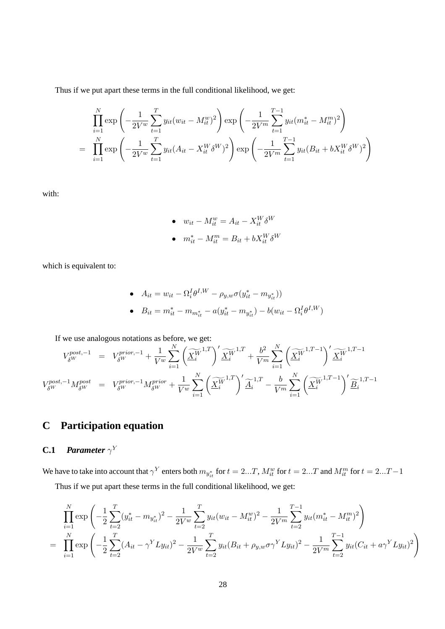Thus if we put apart these terms in the full conditional likelihood, we get:

$$
\prod_{i=1}^{N} \exp\left(-\frac{1}{2V^{w}}\sum_{t=1}^{T} y_{it}(w_{it} - M_{it}^{w})^{2}\right) \exp\left(-\frac{1}{2V^{m}}\sum_{t=1}^{T-1} y_{it}(m_{it}^{*} - M_{it}^{m})^{2}\right)
$$
\n
$$
= \prod_{i=1}^{N} \exp\left(-\frac{1}{2V^{w}}\sum_{t=1}^{T} y_{it}(A_{it} - X_{it}^{W}\delta^{W})^{2}\right) \exp\left(-\frac{1}{2V^{m}}\sum_{t=1}^{T-1} y_{it}(B_{it} + bX_{it}^{W}\delta^{W})^{2}\right)
$$

with:

\n- \n
$$
w_{it} - M_{it}^w = A_{it} - X_{it}^W \delta^W
$$
\n
\n- \n
$$
m_{it}^* - M_{it}^m = B_{it} + bX_{it}^W \delta^W
$$
\n
\n

which is equivalent to:

\n- \n
$$
A_{it} = w_{it} - \Omega_i^I \theta^{I,W} - \rho_{y,w} \sigma (y_{it}^* - m_{y_{it}^*}))
$$
\n
\n- \n
$$
B_{it} = m_{it}^* - m_{m_{it}^*} - a(y_{it}^* - m_{y_{it}^*}) - b(w_{it} - \Omega_i^I \theta^{I,W})
$$
\n
\n

If we use analogous notations as before, we get:  
\n
$$
V_{\delta W}^{post,-1} = V_{\delta W}^{prior,-1} + \frac{1}{V^w} \sum_{i=1}^N \left(\widetilde{\underline{X}_i^{W}}^{1,T}\right)' \widetilde{\underline{X}_i^{W}}^{1,T} + \frac{b^2}{V^m} \sum_{i=1}^N \left(\widetilde{\underline{X}_i^{W}}^{1,T-1}\right)' \widetilde{\underline{X}_i^{W}}^{1,T-1}
$$
\n
$$
V_{\delta W}^{post,-1} M_{\delta W}^{post} = V_{\delta W}^{prior,-1} M_{\delta W}^{prior} + \frac{1}{V^w} \sum_{i=1}^N \left(\widetilde{\underline{X}_i^{W}}^{1,T}\right)' \widetilde{\underline{A}_i}^{1,T} - \frac{b}{V^m} \sum_{i=1}^N \left(\widetilde{\underline{X}_i^{W}}^{1,T-1}\right)' \widetilde{\underline{B}_i}^{1,T-1}
$$

# **C Participation equation**

## **C.1** *Parameter*  $\gamma^Y$

We have to take into account that  $\gamma^Y$  enters both  $m_{y_{it}^*}$  for  $t=2...T$ ,  $M_{it}^w$  for  $t=2...T$  and  $M_{it}^m$  for  $t=2...T-1$ Thus if we put apart these terms in the full conditional likelihood, we get:

$$
\prod_{i=1}^{N} \exp\left(-\frac{1}{2}\sum_{t=2}^{T} (y_{it}^{*} - m_{y_{it}^{*}})^{2} - \frac{1}{2V^{w}}\sum_{t=2}^{T} y_{it}(w_{it} - M_{it}^{w})^{2} - \frac{1}{2V^{m}}\sum_{t=2}^{T-1} y_{it}(m_{it}^{*} - M_{it}^{m})^{2}\right)
$$
\n
$$
= \prod_{i=1}^{N} \exp\left(-\frac{1}{2}\sum_{t=2}^{T} (A_{it} - \gamma^{Y} L y_{it})^{2} - \frac{1}{2V^{w}}\sum_{t=2}^{T} y_{it}(B_{it} + \rho_{y,w}\sigma\gamma^{Y} L y_{it})^{2} - \frac{1}{2V^{m}}\sum_{t=2}^{T-1} y_{it}(C_{it} + a\gamma^{Y} L y_{it})^{2}\right)
$$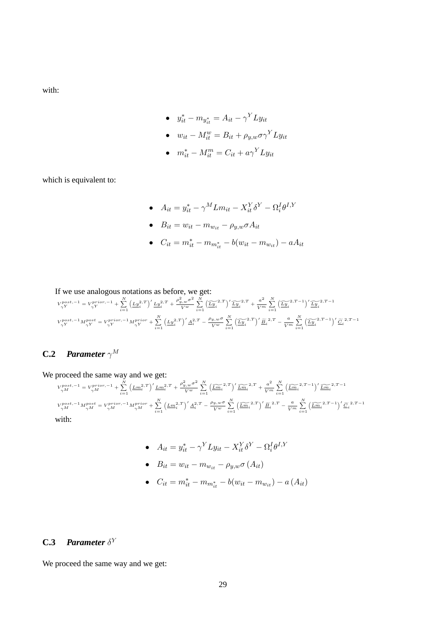with:

• 
$$
y_{it}^* - m_{y_{it}^*} = A_{it} - \gamma^Y L y_{it}
$$

• 
$$
w_{it} - M_{it}^w = B_{it} + \rho_{y,w} \sigma \gamma^Y L y_{it}
$$

• 
$$
m_{it}^* - M_{it}^m = C_{it} + a\gamma^Y L y_{it}
$$

which is equivalent to:

•  $A_{it} = y_{it}^* - \gamma^M L m_{it} - X_{it}^Y \delta^Y - \Omega_i^I \theta^{I, Y}$ 

• 
$$
B_{it} = w_{it} - m_{w_{it}} - \rho_{y,w} \sigma A_{it}
$$

•  $C_{it} = m_{it}^* - m_{m_{it}^*} - b(w_{it} - m_{w_{it}}) - aA_{it}$ 

If we use analogous notations as before, we get:  
\n
$$
V_{\gamma Y}^{post,-1} = V_{\gamma Y}^{prior,-1} + \sum_{i=1}^{N} \left( \underline{L} \underline{y}_{i}^{2,T} \right)' \underline{L} \underline{y}_{i}^{2,T} + \frac{\rho_{y,w}^{2} \sigma^{2}}{V^{w}} \sum_{i=1}^{N} \left( \underline{\widetilde{L} \underline{y}_{i}}^{2,T} \right)' \underline{\widetilde{L} \underline{y}_{i}}^{2,T} + \frac{a^{2}}{V^{w}} \sum_{i=1}^{N} \left( \underline{\widetilde{L} \underline{y}_{i}}^{2,T-1} \right)' \underline{\widetilde{L} \underline{y}_{i}}^{2,T-1}
$$
\n
$$
V_{\gamma Y}^{post,-1} M_{\gamma Y}^{post} = V_{\gamma Y}^{prior,-1} M_{\gamma Y}^{prior} + \sum_{i=1}^{N} \left( \underline{L} \underline{y}_{i}^{2,T} \right)' \underline{A}_{i}^{2,T} - \frac{\rho_{y,w} \sigma}{V^{w}} \sum_{i=1}^{N} \left( \underline{\widetilde{L} \underline{y}}^{2,T}_{i} \right)' \underline{\widetilde{B}}_{i}^{2,T} - \frac{a}{V^{m}} \sum_{i=1}^{N} \left( \underline{\widetilde{L} \underline{y}}^{2,T-1}_{i} \right)' \underline{\widetilde{C}}_{i}^{2,T-1}
$$

## **C.2** *Parameter*  $\gamma^M$

We proceed the same way and we get:  
\n
$$
V_{\gamma M}^{post,-1} = V_{\gamma M}^{prior,-1} + \sum_{i=1}^{N} \left( \underline{L m}_{i}^{2,T} \right)' \underline{L m}_{i}^{2,T} + \frac{\rho_{y,w}^{2} \sigma^{2}}{V^{w}} \sum_{i=1}^{N} \left( \underline{\widetilde{L m}}_{i}^{2,T} \right)' \underline{\widetilde{L m}}_{i}^{2,T} + \frac{a^{2}}{V^{m}} \sum_{i=1}^{N} \left( \underline{\widetilde{L m}}_{i}^{2,T-1} \right)' \underline{\widetilde{L m}}_{i}^{2,T-1}
$$
\n
$$
V_{\gamma M}^{post,-1} M_{\gamma M}^{post} = V_{\gamma M}^{prior,-1} M_{\gamma M}^{prior} + \sum_{i=1}^{N} \left( \underline{L m}_{i}^{2,T} \right)' \underline{A}_{i}^{2,T} - \frac{\rho_{y,w} \sigma}{V^{w}} \sum_{i=1}^{N} \left( \underline{\widetilde{L m}}_{i}^{2,T} \right)' \underline{\widetilde{B}}_{i}^{2,T} - \frac{a}{V^{m}} \sum_{i=1}^{N} \left( \underline{\widetilde{L m}}_{i}^{2,T-1} \right)' \underline{\widetilde{C}}_{i}^{2,T-1}
$$
\nwith:

- $A_{it} = y_{it}^* \gamma^Y L y_{it} X_{it}^Y \delta^Y \Omega_i^I \theta^{I,Y}$
- $B_{it} = w_{it} m_{w_{it}} \rho_{y,w} \sigma(A_{it})$
- $C_{it} = m_{it}^* m_{m_{it}^*} b(w_{it} m_{w_{it}}) a(A_{it})$

## **C.3** *Parameter*  $\delta^Y$

We proceed the same way and we get: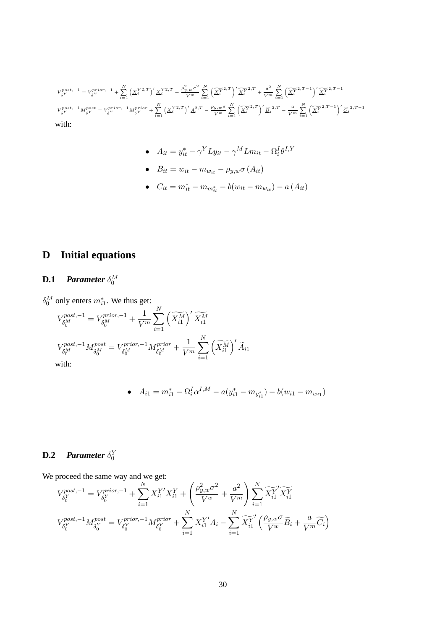$$
\begin{split} V_{\delta Y}^{post,-1} &= V_{\delta Y}^{prior,-1} + \sum_{i=1}^N \left(\underline{X}_i^{Y\,2,T}\right)' \underline{X}_i^{Y\,2,T} + \frac{\rho_{y,w}^2 \sigma^2}{V^w} \sum_{i=1}^N \left(\overline{\underline{X}_i^{Y\,2,T}}\right)' \underline{\widetilde{X}_i^{Y\,2,T}} + \frac{a^2}{V^m} \sum_{i=1}^N \left(\overline{\underline{X}_i^{Y\,2,T-1}}\right)' \underline{\widetilde{X}_i^{Y\,2,T-1}} \\ V_{\delta Y}^{post,-1} M_{\delta Y}^{post} &= V_{\delta Y}^{prior,-1} M_{\delta Y}^{prior} + \sum_{i=1}^N \left(\underline{X}_i^{Y\,2,T}\right)' \underline{A}_i^{2,T} - \frac{\rho_{y,w} \sigma}{V^w} \sum_{i=1}^N \left(\overline{\underline{X}_i^{Y\,2,T}}\right)' \underline{\widetilde{B}}_i^{2,T} - \frac{a}{V^m} \sum_{i=1}^N \left(\overline{\underline{X}_i^{Y\,2,T-1}}\right)' \underline{\widetilde{C}}_i^{2,T-1} \\ \text{with:} \end{split}
$$

• 
$$
A_{it} = y_{it}^* - \gamma^Y L y_{it} - \gamma^M L m_{it} - \Omega_i^I \theta^{I,Y}
$$

• 
$$
B_{it} = w_{it} - m_{w_{it}} - \rho_{y,w} \sigma(A_{it})
$$

•  $C_{it} = m_{it}^* - m_{m_{it}^*} - b(w_{it} - m_{w_{it}}) - a(A_{it})$ 

# **D Initial equations**

# **D.1** *Parameter*  $\delta_0^M$

 $\delta_0^M$  only enters  $m_{i1}^*$ . We thus get:

$$
\begin{split} V_{\delta_0^M}^{post,-1} &= V_{\delta_0^M}^{prior,-1} + \frac{1}{V^m} \sum_{i=1}^N \left(\widetilde{X_{i1}^M}\right)'\widetilde{X_{i1}^M} \\ V_{\delta_0^M}^{post,-1} M_{\delta_0^M}^{post} &= V_{\delta_0^M}^{prior,-1} M_{\delta_0^M}^{prior} + \frac{1}{V^m} \sum_{i=1}^N \left(\widetilde{X_{i1}^M}\right)'\widetilde{A}_{i1} \\ \text{with:} \end{split}
$$

• 
$$
A_{i1} = m_{i1}^* - \Omega_i^I \alpha^{I,M} - a(y_{i1}^* - m_{y_{i1}^*}) - b(w_{i1} - m_{w_{i1}})
$$

# **D.2** *Parameter*  $\delta_0^Y$

We proceed the same way and we get:

proceed the same way and we get:  
\n
$$
V_{\delta_0^Y}^{post,-1} = V_{\delta_0^Y}^{prior,-1} + \sum_{i=1}^N X_{i1}^{Y'} X_{i1}^Y + \left(\frac{\rho_{y,w}^2 \sigma^2}{V^w} + \frac{a^2}{V^m}\right) \sum_{i=1}^N \widetilde{X_{i1}^Y} \widetilde{X_{i1}^Y}
$$
\n
$$
V_{\delta_0^Y}^{post,-1} M_{\delta_0^Y}^{post} = V_{\delta_0^Y}^{prior,-1} M_{\delta_0^Y}^{prior} + \sum_{i=1}^N X_{i1}^{Y'} A_i - \sum_{i=1}^N \widetilde{X_{i1}^Y} \left(\frac{\rho_{y,w} \sigma}{V^w} \widetilde{B}_i + \frac{a}{V^m} \widetilde{C}_i\right)
$$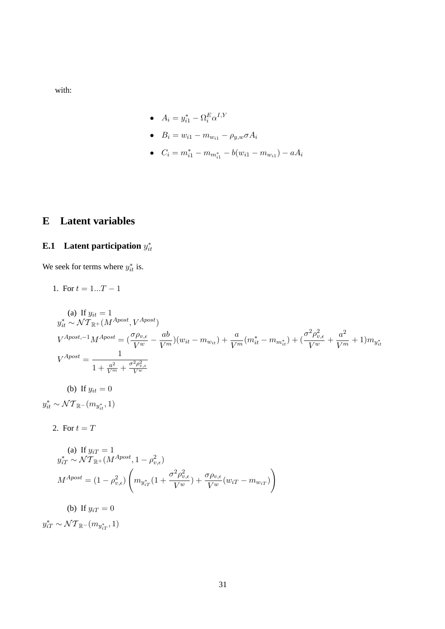with:

• 
$$
A_i = y_{i1}^* - \Omega_i^E \alpha^{I,Y}
$$

- $B_i = w_{i1} m_{w_{i1}} \rho_{y,w} \sigma A_i$
- $C_i = m_{i1}^* m_{m_{i1}^*} b(w_{i1} m_{w_{i1}}) aA_i$

# **E Latent variables**

# **E.1** Latent participation  $y_{it}^*$

We seek for terms where  $y_{it}^*$  is.

1. For 
$$
t = 1...T - 1
$$

(a) If 
$$
y_{it} = 1
$$
  
\n $y_{it}^{*} \sim \mathcal{NT}_{\mathbb{R}^{+}}(M^{Apost}, V^{Apost})$   
\n $V^{Apost,-1}M^{Apost} = \left(\frac{\sigma \rho_{v,\epsilon}}{V^{w}} - \frac{ab}{V^{m}}\right)(w_{it} - m_{w_{it}}) + \frac{a}{V^{m}}(m_{it}^{*} - m_{m_{it}^{*}}) + \left(\frac{\sigma^{2} \rho_{v,\epsilon}^{2}}{V^{w}} + \frac{a^{2}}{V^{m}} + 1\right)m_{y_{it}^{*}}$   
\n $V^{Apost} = \frac{1}{1 + \frac{a^{2}}{V^{m}} + \frac{\sigma^{2} \rho_{v,\epsilon}^{2}}{V^{w}}}$   
\n(b) If  $y_{it} = 0$   
\n $y_{it}^{*} \sim \mathcal{NT}_{\mathbb{R}^{-}}(m_{y_{it}^{*}}, 1)$ 

2. For 
$$
t = T
$$

(a) If 
$$
y_{iT} = 1
$$
  
\n
$$
y_{iT}^* \sim \mathcal{NT}_{\mathbb{R}^+}(M^{Apost}, 1 - \rho_{v,\epsilon}^2)
$$
\n
$$
M^{Apost} = (1 - \rho_{v,\epsilon}^2) \left( m_{y_{iT}^*}(1 + \frac{\sigma^2 \rho_{v,\epsilon}^2}{V^w}) + \frac{\sigma \rho_{v,\epsilon}}{V^w}(w_{iT} - m_{w_{iT}}) \right)
$$

(b) If  $y_{iT} = 0$ 

 $y_{iT}^* \sim \mathcal{NT}_{\mathbb{R}^+}(m_{y_{iT}^*}, 1)$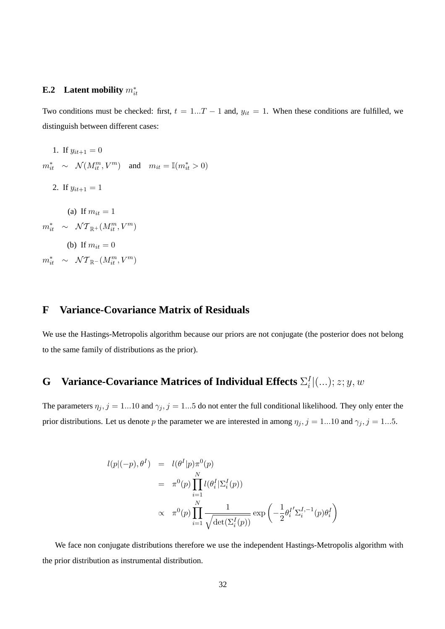# **E.2** Latent mobility  $m_{it}^*$

Two conditions must be checked: first,  $t = 1...T - 1$  and,  $y_{it} = 1$ . When these conditions are fulfilled, we distinguish between different cases:

1. If  $y_{it+1} = 0$  $m_{it}^* \sim \mathcal{N}(M_{it}^m, V^m)$  and  $m_{it} = \mathbb{I}(m_{it}^* > 0)$ 2. If  $y_{it+1} = 1$ (a) If  $m_{it} = 1$  $m_{it}^* \sim \mathcal{NT}_{\mathbb{R}^+}(M_{it}^m, V^m)$ (b) If  $m_{it} = 0$  $m_{it}^* \sim \mathcal{NT}_{\mathbb{R}^{-}}(M_{it}^m, V^m)$ 

## **F Variance-Covariance Matrix of Residuals**

We use the Hastings-Metropolis algorithm because our priors are not conjugate (the posterior does not belong to the same family of distributions as the prior).

#### **G** Variance-Covariance Matrices of Individual Effects  $\Sigma_i^I$  $_{i}^{I}|(...);z;y,w$

The parameters  $\eta_j$ ,  $j = 1...10$  and  $\gamma_j$ ,  $j = 1...5$  do not enter the full conditional likelihood. They only enter the prior distributions. Let us denote p the parameter we are interested in among  $\eta_j$ ,  $j = 1...10$  and  $\gamma_j$ ,  $j = 1...5$ .

$$
l(p|(-p), \theta^I) = l(\theta^I|p)\pi^0(p)
$$
  
=  $\pi^0(p)\prod_{i=1}^N l(\theta_i^I|\Sigma_i^I(p))$   
 $\propto \pi^0(p)\prod_{i=1}^N \frac{1}{\sqrt{\det(\Sigma_i^I(p))}} \exp\left(-\frac{1}{2}\theta_i^{I'}\Sigma_i^{I,-1}(p)\theta_i^I\right)$ 

We face non conjugate distributions therefore we use the independent Hastings-Metropolis algorithm with the prior distribution as instrumental distribution.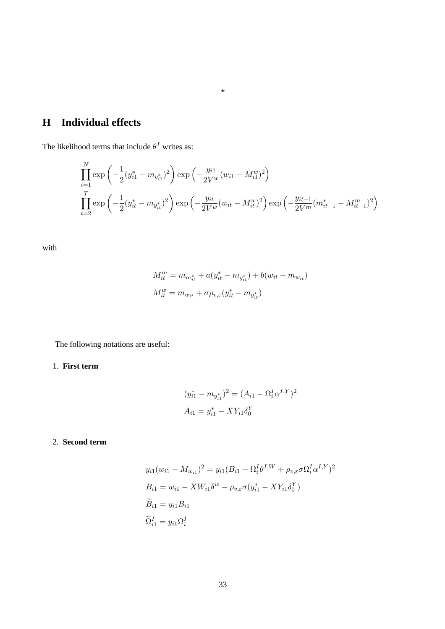# **H Individual effects**

The likelihood terms that include  $\theta^I$  writes as:

$$
\prod_{i=1}^{N} \exp\left(-\frac{1}{2}(y_{i1}^{*} - m_{y_{i1}^{*}})^{2}\right) \exp\left(-\frac{y_{i1}}{2V^{w}}(w_{i1} - M_{i1}^{w})^{2}\right)
$$
\n
$$
\prod_{t=2}^{T} \exp\left(-\frac{1}{2}(y_{it}^{*} - m_{y_{it}^{*}})^{2}\right) \exp\left(-\frac{y_{it}}{2V^{w}}(w_{it} - M_{it}^{w})^{2}\right) \exp\left(-\frac{y_{it-1}}{2V^{m}}(m_{it-1}^{*} - M_{it-1}^{m})^{2}\right)
$$

 $\star$ 

with

$$
M_{it}^m = m_{m_{it}} + a(y_{it}^* - m_{y_{it}}^*) + b(w_{it} - m_{w_{it}})
$$
  

$$
M_{it}^w = m_{w_{it}} + \sigma \rho_{v,\varepsilon}(y_{it}^* - m_{y_{it}}^*)
$$

The following notations are useful:

## 1. **First term**

$$
(y_{i1}^* - m_{y_{i1}^*})^2 = (A_{i1} - \Omega_i^I \alpha^{I,Y})^2
$$
  

$$
A_{i1} = y_{i1}^* - XY_{i1} \delta_0^Y
$$

### 2. **Second term**

$$
y_{i1}(w_{i1} - M_{w_{i1}})^2 = y_{i1}(B_{i1} - \Omega_i^I \theta^{I,W} + \rho_{v,\varepsilon} \sigma \Omega_i^I \alpha^{I,Y})^2
$$
  
\n
$$
B_{i1} = w_{i1} - XW_{i1} \delta^w - \rho_{v,\varepsilon} \sigma (y_{i1}^* - XY_{i1} \delta_0^Y)
$$
  
\n
$$
\widetilde{B}_{i1} = y_{i1}B_{i1}
$$
  
\n
$$
\widetilde{\Omega}_{i1}^I = y_{i1} \Omega_i^I
$$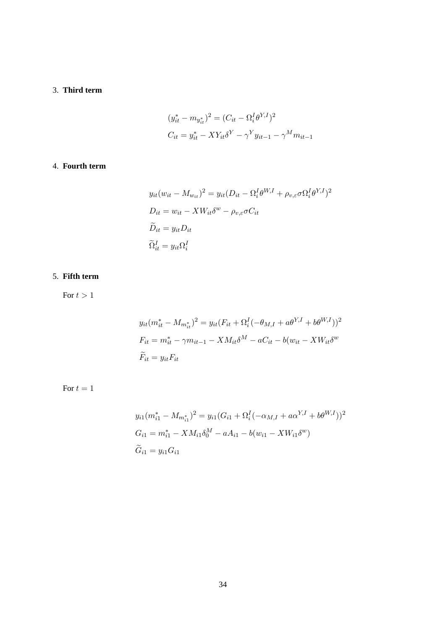## 3. **Third term**

$$
(y_{it}^* - m_{y_{it}^*})^2 = (C_{it} - \Omega_i^I \theta^{Y,I})^2
$$
  

$$
C_{it} = y_{it}^* - XY_{it} \delta^Y - \gamma^Y y_{it-1} - \gamma^M m_{it-1}
$$

#### 4. **Fourth term**

$$
y_{it}(w_{it} - M_{w_{it}})^2 = y_{it}(D_{it} - \Omega_i^I \theta^{W,I} + \rho_{v,\varepsilon} \sigma \Omega_i^I \theta^{Y,I})^2
$$
  
\n
$$
D_{it} = w_{it} - X W_{it} \delta^w - \rho_{v,\varepsilon} \sigma C_{it}
$$
  
\n
$$
\widetilde{D}_{it} = y_{it} D_{it}
$$
  
\n
$$
\widetilde{\Omega}_{it}^I = y_{it} \Omega_i^I
$$

# 5. **Fifth term**

For  $t > 1$ 

$$
y_{it}(m_{it}^* - M_{m_{it}^*})^2 = y_{it}(F_{it} + \Omega_i^I(-\theta_{M,I} + a\theta^{Y,I} + b\theta^{W,I}))^2
$$
  

$$
F_{it} = m_{it}^* - \gamma m_{it-1} - X M_{it} \delta^M - a C_{it} - b(w_{it} - X W_{it} \delta^w)
$$
  

$$
\widetilde{F}_{it} = y_{it} F_{it}
$$

For  $t = 1$ 

$$
y_{i1}(m_{i1}^* - M_{m_{i1}^*})^2 = y_{i1}(G_{i1} + \Omega_i^I(-\alpha_{M,I} + a\alpha^{Y,I} + b\theta^{W,I}))^2
$$
  
\n
$$
G_{i1} = m_{i1}^* - X M_{i1} \delta_0^M - a A_{i1} - b(w_{i1} - X W_{i1} \delta^w)
$$
  
\n
$$
\widetilde{G}_{i1} = y_{i1} G_{i1}
$$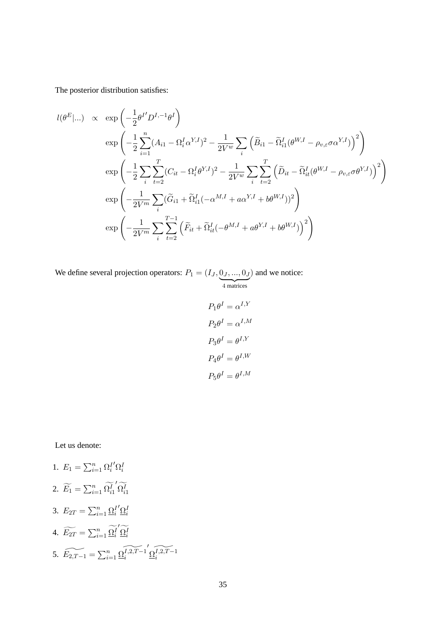The posterior distribution satisfies:

$$
l(\theta^{E} |...)
$$
  $\propto$   $\exp \left(-\frac{1}{2} \theta^{I} D^{I,-1} \theta^{I}\right)$   
\n
$$
\exp \left(-\frac{1}{2} \sum_{i=1}^{n} (A_{i1} - \Omega_{i}^{I} \alpha^{Y,I})^{2} - \frac{1}{2V^{w}} \sum_{i} \left(\widetilde{B}_{i1} - \widetilde{\Omega}_{i1}^{I} (\theta^{W,I} - \rho_{v,\varepsilon} \sigma \alpha^{Y,I})\right)^{2}\right)
$$
\n
$$
\exp \left(-\frac{1}{2} \sum_{i} \sum_{t=2}^{T} (C_{it} - \Omega_{i}^{I} \theta^{Y,I})^{2} - \frac{1}{2V^{w}} \sum_{i} \sum_{t=2}^{T} \left(\widetilde{D}_{it} - \widetilde{\Omega}_{it}^{I} (\theta^{W,I} - \rho_{v,\varepsilon} \sigma \theta^{Y,I})\right)^{2}\right)
$$
\n
$$
\exp \left(-\frac{1}{2V^{m}} \sum_{i} (\widetilde{G}_{i1} + \widetilde{\Omega}_{i1}^{I} (-\alpha^{M,I} + a\alpha^{Y,I} + b\theta^{W,I}))^{2}\right)
$$
\n
$$
\exp \left(-\frac{1}{2V^{m}} \sum_{i} \sum_{t=2}^{T-1} \left(\widetilde{F}_{it} + \widetilde{\Omega}_{it}^{I} (-\theta^{M,I} + a\theta^{Y,I} + b\theta^{W,I})\right)^{2}\right)
$$

We define several projection operators:  $P_1 = (I_J, \underbrace{0_J, ..., 0_J}$ 4 matrices ) and we notice:

$$
P_1 \theta^I = \alpha^{I,Y}
$$

$$
P_2 \theta^I = \alpha^{I,M}
$$

$$
P_3 \theta^I = \theta^{I,Y}
$$

$$
P_4 \theta^I = \theta^{I,W}
$$

$$
P_5 \theta^I = \theta^{I,M}
$$

Let us denote:

1. 
$$
E_1 = \sum_{i=1}^n \Omega_i^{I'} \Omega_i^I
$$
  
\n2. 
$$
\widetilde{E}_1 = \sum_{i=1}^n \widetilde{\Omega}_{i1}^{I'} \widetilde{\Omega}_{i1}^I
$$
  
\n3. 
$$
E_{2T} = \sum_{i=1}^n \underline{\Omega}_i^{I'} \underline{\Omega}_i^I
$$
  
\n4. 
$$
\widetilde{E_{2T}} = \sum_{i=1}^n \underline{\Omega}_i^{I'} \widetilde{\Omega}_i^I
$$
  
\n5. 
$$
\widetilde{E_{2T-1}} = \sum_{i=1}^n \underline{\Omega}_i^{I,2,T-1'} \underline{\Omega}_i^{I,2,T-1}
$$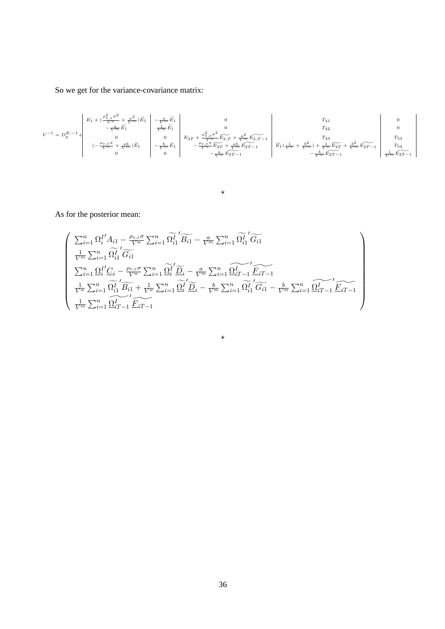So we get for the variance-covariance matrix:

$$
V^{-1} = D_0^{E, -1} + \begin{vmatrix} E_1 + (\frac{\rho_{v,\varepsilon}^2 \sigma^2}{V^w} + \frac{a^2}{V^m})\widetilde{E}_1 & 0 & T_{41} & 0 \\ -\frac{m}{V^m}\widetilde{E}_1 & 0 & 0 & T_{42} & 0 \\ 0 & 0 & 0 & 0 & T_{43} & T_{44} \\ -\frac{\rho_{v,\varepsilon} \sigma}{V^w} + \frac{ab}{V^m}\big)\widetilde{E}_1 & -\frac{b}{V^m}\widetilde{E}_1 & -\frac{\rho_{v,\varepsilon}^2}{V^w}\widetilde{E}_2 & -\frac{\rho_{v,\varepsilon}^2 \sigma^2}{V^w}\widetilde{E}_{2T} + \frac{ab}{V^m}\widetilde{E}_{2T-1} & \widetilde{E}_1(\frac{1}{V^w} + \frac{b^2}{V^m}) + \frac{1}{V^w}\widetilde{E}_{2T} + \frac{b^2}{V^m}\widetilde{E}_{2T-1} & T_{54} & T_{55} \\ 0 & 0 & -\frac{a}{V^m}\widetilde{E}_{2T-1} & -\frac{b}{V^m}\widetilde{E}_{2T-1} & -\frac{b}{V^m}\widetilde{E}_{2T-1} & -\frac{b}{V^m}\widetilde{E}_{2T-1} & -\frac{b}{V^m}\widetilde{E}_{2T-1} & \frac{1}{V^m}\widetilde{E}_{2T-1} & \frac{1}{V^m}\widetilde{E}_{2T-1} \end{vmatrix}
$$

 $\star$ 

As for the posterior mean:

$$
\begin{pmatrix}\n\sum_{i=1}^{n} \Omega_i^{I'} A_{i1} - \frac{\rho_{v,\varepsilon}\sigma}{V^w} \sum_{i=1}^{n} \widetilde{\Omega}_{i1}^{I'} \widetilde{B_{i1}} - \frac{a}{V^m} \sum_{i=1}^{n} \widetilde{\Omega}_{i1}^{I'} \widetilde{G_{i1}} \\
\frac{1}{V^m} \sum_{i=1}^{n} \widetilde{\Omega}_{i1}^{I'} \widetilde{G_{i1}} \\
\sum_{i=1}^{n} \underline{\Omega}_{i}^{I'} \underline{C_{i}} - \frac{\rho_{v,\varepsilon}\sigma}{V^w} \sum_{i=1}^{n} \widetilde{\Omega}_{i}^{I'} \widetilde{\underline{D}_{i}} - \frac{a}{V^m} \sum_{i=1}^{n} \widetilde{\Omega}_{iT-1}^{I'} \widetilde{E_{iT-1}} \\
\frac{1}{V^w} \sum_{i=1}^{n} \widetilde{\Omega}_{i1}^{I'} \widetilde{B_{i1}} + \frac{1}{V^w} \sum_{i=1}^{n} \widetilde{\Omega}_{i}^{I'} \widetilde{\underline{D}_{i}} - \frac{b}{V^m} \sum_{i=1}^{n} \widetilde{\Omega}_{i1}^{I'} \widetilde{G_{i1}} - \frac{b}{V^m} \sum_{i=1}^{n} \widetilde{\Omega}_{iT-1}^{I'} \widetilde{E_{iT-1}} \\
\frac{1}{V^m} \sum_{i=1}^{n} \widetilde{\Omega}_{iT-1}^{I'} \widetilde{E_{iT-1}}\n\end{pmatrix}
$$

 $\star$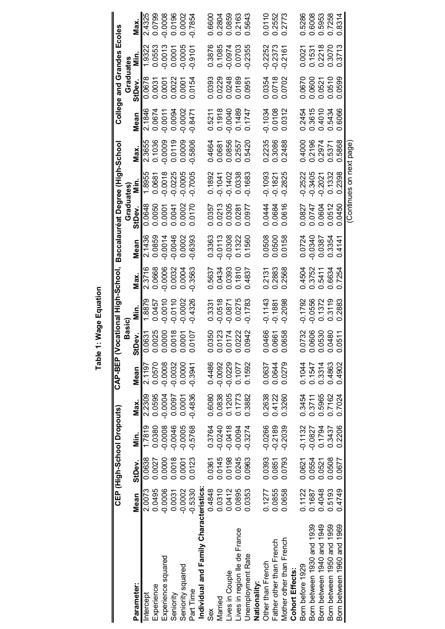|                                       |           | CEP (High-School Dropouts) |           |           |           |                        | CAP-BEP (Vocational High-School, Baccalauréat Degree (High-School |           |           |           |                        |           |           | College and Grandes Ecoles |           |           |
|---------------------------------------|-----------|----------------------------|-----------|-----------|-----------|------------------------|-------------------------------------------------------------------|-----------|-----------|-----------|------------------------|-----------|-----------|----------------------------|-----------|-----------|
|                                       |           |                            |           |           |           | Basic)                 |                                                                   |           |           | Graduates |                        |           |           | Graduates                  |           |           |
| Parameter:                            | Mean      | StDev.                     | in.<br>E  | Max.      | Mean      | Dev.<br>ಕೆ             | in.<br>Min.                                                       | Max.      | Mean      | StDev.    | nin.<br>Z              | Max.      | Mean      | StDev.                     | ς.<br>Σ   | Max.      |
| Intercept                             | 2.0073    | 0.0638                     | 1.7819    | 2.2309    | 2.1197    | .0631<br>ö             | 1.8879                                                            | 2.3716    | 2.1436    | 0.0648    | 1.8955                 | 2.3655    | 2.1846    | 0.0678                     | 1.9322    | 2.4325    |
| Experience                            | 0.0495    | 0.0027                     | 0.0380    | 0.0595    | 0.0570    | .0025<br>$\dot{\circ}$ | 0.0457                                                            | 0.0668    | 0.0859    | 0.0050    | 0.0681                 | 0.1036    | 0.0674    | 0.0031                     | 0.0553    | 0.0799    |
| Experience squared                    | $-0.0006$ | 0.0000                     | $-0.0008$ | $-0.0004$ | $-0.0008$ | .0000<br>$\dot{\circ}$ | $-0.0010$                                                         | $-0.0006$ | $-0.0014$ | 0.0007    | $-0.0018$              | $-0.0009$ | $-0.0011$ | 0.0001                     | $-0.0013$ | $-0.0008$ |
| Seniority                             | 0.0031    | 0.0018                     | $-0.0046$ | 0.0097    | $-0.0032$ | 0018<br>$\dot{\circ}$  | $-0.0110$                                                         | 0.0032    | $-0.0046$ | 0.0041    | $-0.0225$              | 0.0119    | 0.0094    | 0.0022                     | 0.0001    | 0.0196    |
| Seniority squared                     | $-0.0002$ | 0.0001                     | $-0.0005$ | 0.0001    | 0.0000    | 0001<br>Ö              | $-0.0002$                                                         | 0.0004    | 0.0002    | 0.0002    | $-0.0005$              | 0.0009    | $-0.0002$ | 0.0001                     | $-0.0005$ | 0.0002    |
| Part Time                             | $-0.5330$ | 0.0123                     | $-0.5768$ | $-0.4836$ | $-0.3941$ | 0107<br>Ö              | $-0.4326$                                                         | $-0.3563$ | $-0.6393$ | 0.0170    | $-0.7005$              | $-0.5806$ | $-0.8471$ | 0.0154                     | $-0.9101$ | $-0.7854$ |
| Individual and Family Characteristics |           |                            |           |           |           |                        |                                                                   |           |           |           |                        |           |           |                            |           |           |
| Sex                                   | 0.4848    | 0.0361                     | 0.3764    | 0.6080    | 0.4486    | .0350<br>ö             | 0.3331                                                            | 0.5637    | 0.3363    | 0.0357    | 0.1892                 | 0.4664    | 0.5211    | 0.0393                     | 0.3876    | 0.6600    |
| Married                               | 0.0310    | 0.0145                     | $-0.0240$ | 0.0838    | $-0.0092$ | .0123<br>$\bar{\circ}$ | $-0.0518$                                                         | 0.0434    | $-0.0113$ | 0.0213    | $-0.1041$              | 0.0681    | 0.1918    | 0.0229                     | 0.1085    | 0.2804    |
| Lives in Couple                       | 0.0412    | 0.0198                     | $-0.0418$ | 0.1205    | $-0.0229$ | 0174<br>$\dot{\circ}$  | $-0.0871$                                                         | 0.0393    | 0.0308    | 0.0305    | $-0.1402$              | 0.0856    | $-0.0040$ | 0.0248                     | $-0.0974$ | 0.0859    |
| lives in region lle de France         | 0.0895    | 0.0245                     | $-0.0094$ | 0.1773    | 0.1077    | 0222<br>$\dot{\circ}$  | 0.0275                                                            | 0.1810    | 0.1322    | 0.0281    | 0.0338                 | 0.2557    | 0.1489    | 0.0189                     | 0.0703    | 0.2163    |
| Jnemployment Rate                     | 0.0353    | 0.0963                     | $-0.3274$ | 0.3882    | 0.1592    | 0942<br>$\dot{\circ}$  | $-0.1783$                                                         | 0.4837    | 0.1560    | 0.0977    | $-0.1683$              | 0.5420    | 0.1747    | 0.0951                     | $-0.2355$ | 0.5643    |
| Nationality:                          |           |                            |           |           |           |                        |                                                                   |           |           |           |                        |           |           |                            |           |           |
| Other than French                     | 0.1277    | 0.0393                     | $-0.0266$ | 0.2638    | 0.0637    | 0466<br>0              | $-0.1143$                                                         | 0.2131    | 0.0508    | 0.0444    | $-0.1093$              | 0.2235    | $-0.1034$ | 0.0354                     | $-0.2252$ | 0.0110    |
| Father other than French              | 0.0855    | 0.0851                     | $-0.2189$ | 0.4122    | 0.0644    | .0661<br>ö             | $-0.1881$                                                         | 0.2883    | 0.0500    | 0.0684    | $-0.1821$              | 0.3086    | 0.0108    | 0.0718                     | $-0.2373$ | 0.2552    |
| Mother other than French              | 0.0658    | 0.0793                     | $-0.2039$ | 0.3260    | 0.0279    | .0658<br>Ö             | $-0.2098$                                                         | 0.2568    | 0.0158    | 0.0616    | $-0.2825$              | 0.2488    | 0.0312    | 0.0702                     | $-0.2167$ | 0.2773    |
| Cohort Effects:                       |           |                            |           |           |           |                        |                                                                   |           |           |           |                        |           |           |                            |           |           |
| Born before 1929                      | 0.1122    | 0.0621                     | $-0.1132$ | 0.3454    | 0.1044    | .0732<br>ö             | $-0.1792$                                                         | 0.4504    | 0.0724    | 0.0827    | $-0.2522$              | 0.4000    | 0.2454    | 0.0670                     | 0.0021    | 0.5286    |
| Born between 1930 and 1939            | 0.1687    | 0.0554                     | $-0.0827$ | 0.3711    | 0.1547    | .0606<br>Ö             | $-0.0556$                                                         | 0.3752    | $-0.0340$ | 0.0747    | $-0.3405$              | 0.2196    | 0.3615    | 0.0600                     | 0.1531    | 0.6008    |
| Born between 1940 and 1949            | 0.4048    | 0.0521                     | 0.1794    | 0.5965    | 0.3314    | 0530<br>$\dot{\circ}$  | 0.1372                                                            | 0.5411    | 0.0387    | 0.0604    | $-0.2021$              | 0.2974    | 0.4010    | 0.0521                     | 0.2218    | 0.5953    |
| Born between 1950 and 1959            | 0.5193    | 0.0508                     | 0.3437    | 0.7162    | 0.4863    | 0480<br>$\dot{\circ}$  | 0.3119                                                            | 0.6634    | 0.3354    | 0.0512    | 0.1332                 | 0.5371    | 0.5434    | 0.0510                     | 0.3070    | 0.7258    |
| Born between 1960 and 1969            | 0.4749    | 0.0677                     | 0.2206    | 0.7024    | 0.4902    | .0511<br>Ö             | 0.2883                                                            | 0.7254    | 0.4141    | 0.0450    | 0.2398                 | 0.5868    | 0.6066    | 0.0599                     | 0.3713    | 0.8314    |
|                                       |           |                            |           |           |           |                        |                                                                   |           |           |           | Continues on next page |           |           |                            |           |           |

Table 1: Wage Equation **Table 1: Wage Equation**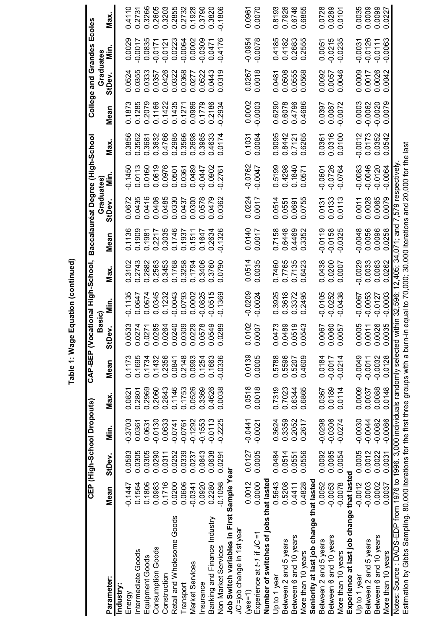|                                                                                                                                                                                                                                         |             |        | CEP (High-School Dropouts) |        | <b>CAP-BEP (Vocational</b> | Basic)                |                  | High-School,     | Baccalauréat Degree (High-Schoo        |                    |           |           |            | College and Grandes |           | Ecoles |
|-----------------------------------------------------------------------------------------------------------------------------------------------------------------------------------------------------------------------------------------|-------------|--------|----------------------------|--------|----------------------------|-----------------------|------------------|------------------|----------------------------------------|--------------------|-----------|-----------|------------|---------------------|-----------|--------|
| Parameter:                                                                                                                                                                                                                              | Mean        | StDev. | .<br>Mir                   | Max.   | Mean                       | Dev.<br>5             | in               | Max              | Mean                                   | Graduates<br>StDev | in        | Max       | Mean       | Graduates<br>StDev  | <u>Si</u> | Max.   |
| ndustry:                                                                                                                                                                                                                                |             |        |                            |        |                            |                       |                  |                  |                                        |                    |           |           |            |                     |           |        |
| Energy                                                                                                                                                                                                                                  | 0.1447      | 0.0583 | $-0.3703$                  | 0.082  | 0.1173                     | 0.0533                | $-0.1135$        | 0.3102           | 0.1136                                 | 0.0672             | $-0.1450$ | 0.3856    | 0.187      | 0.0524              | 0.0029    | 0.4110 |
| ntermediate Goods                                                                                                                                                                                                                       | 0.1564      | 0.0305 | 0.0361                     | 0.2801 | 0.1695                     | 0.0274                | 0.0647           | 2743<br>ö        | 0.1909                                 | 0.0435             | 0.0113    | 0.3562    | 0.1285     | 0.0355              | $-0.0017$ | 0.2731 |
| Equipment Goods                                                                                                                                                                                                                         | 0.1806      | 0.0305 | 0.0631                     | 0.2969 | 0.1734                     | 0.0271                | 0.0674           | 0.2882           | 0.1981                                 | 0.0416             | 0.0160    | 0.3681    | 0.2079     | 0.0333              | 0.0835    | 0.3266 |
| <b>Consumption Goods</b>                                                                                                                                                                                                                | 0.0983      | 0.0290 | $-0.0130$                  | 0.2060 | 0.1432                     | 0.0285                | 0.0345           | 0.2563           | 0.2217                                 | 0.0406             | 0.0619    | 0.3632    | 0.1166     | 0.0357              | $-0.0171$ | 0.2605 |
| Construction                                                                                                                                                                                                                            | 0.1716      | 0.0311 | 0.0633                     | 0.2843 | 0.2356                     |                       | 0.1232           | 0.3453           | 0.3035                                 | 0.0485             | 0.0976    | 0.4766    | 0.1422     | 0.0426              | $-0.0121$ | 0.3203 |
| Retail and Wholesome Goods                                                                                                                                                                                                              | 0.0200      | 0.0252 | $-0.0741$                  | 0.1146 | 0.0841                     |                       | 0.0043           | 0.1768           | 0.1746                                 | 0.0330             | 0.0501    | 0.2985    | 0.1435     | 0.0322              | 0.0223    | 0.2855 |
| ransport                                                                                                                                                                                                                                | 0.0606      | 0.0339 | $-0.0761$                  | 0.1753 | 0.2148                     |                       | 0.0793           | 0.3258           | 0.1937                                 | 0.0437             | 0.0361    | 0.3566    | 0.1271     | 0.0368              | $-0.0064$ | 0.2732 |
| Market Services                                                                                                                                                                                                                         | $-0.0341$   | 0.0237 | $-0.1292$                  | 0.0526 | 0.0993                     |                       | 0.0002           | 0.1794           | 0.1511                                 | .0300<br>ö         | 0.0489    | 0.2698    | 0.0986     | 0.0277              | 0.0002    | 0.1928 |
| nsurance                                                                                                                                                                                                                                | 0.0920      | 0.0643 | $-0.1553$                  | 0.3369 | 0.1254                     |                       | 0.0825           | 0.3406           | 0.1647                                 | 0578<br>ö          | $-0.0447$ | 0.3985    | 0.1779     | 0.0522              | $-0.0309$ | 0.3790 |
| Banking and Finance Industry                                                                                                                                                                                                            | 0.2280      | 0.0638 | $-0.0113$                  | 0.4626 | 0.1663                     |                       | 0.0515           | .3760<br>ö       | 0.2634                                 | 0479<br>ö          | 0.0902    | 0.4633    | 0.2186     | 0.0443              | 0.0471    | 0.3820 |
| <b>Non Market Services</b>                                                                                                                                                                                                              | $-0.1098$   | 0.0291 | $-0.2225$                  | 0.0038 | $-0.0336$                  | 0289<br>$\bar{\circ}$ | 0.1369           | 0790             | 0.1326                                 | 0362               | $-0.2761$ | 0.0174    | $-0.2934$  | 0.0319              | $-0.4176$ | 0.1806 |
| Job Switch variables in First                                                                                                                                                                                                           | Sample Year |        |                            |        |                            |                       |                  |                  |                                        |                    |           |           |            |                     |           |        |
| JC=job change in 1st year                                                                                                                                                                                                               |             |        |                            |        |                            |                       |                  |                  |                                        |                    |           |           |            |                     |           |        |
| $yes=1$                                                                                                                                                                                                                                 | 0.0012      | 0.0127 | $-0.0441$                  | 0.0518 | 0.0139                     | 0102<br>$\dot{\circ}$ | $-0.0209$        | 0.0514           | 0.0140                                 | 0.0224             | $-0.0762$ | 0.1031    | 0.0002     | 0.0267              | $-0.0954$ | 0.0961 |
| $\exists$ xperience at t-1 if JC =                                                                                                                                                                                                      | 0.0000      | 0.0005 | $-0.0021$                  | 0.0018 | 0.0005                     | 0.0007                | $-0.0024$        | 0.0035           | 0.0017                                 | 0.0017             | 70.0047   | 0.0084    | $-0.0003$  | 0.0018              | $-0.0078$ | 0.0070 |
| Number of switches of jobs that lasted                                                                                                                                                                                                  |             |        |                            |        |                            |                       |                  |                  |                                        |                    |           |           |            |                     |           |        |
| Up to 1 year                                                                                                                                                                                                                            | 0.5643      | 0.0484 | 0.3624                     | 0.7319 | 0.5788                     | 0.0473                | 0.3925           | 0.7460           | 0.7158                                 | 0.0514             | 0.5199    | 0.9095    | 0.6290     | 0.0481              | 0.4185    | 0.8193 |
| Between 2 and 5 years                                                                                                                                                                                                                   | 0.5208      | 0.0514 | 0.3359                     | 0.7023 | 0.5596                     | 0.0489                | 0.3618           | 0.7765           | 0.6448                                 | 0.0551             | 0.4298    | 0.8442    | 0.6078     | 0.0508              | 0.4182    | 0.7926 |
| Between 6 and 10 years                                                                                                                                                                                                                  | 0.4411      | 0.0551 | 0.2052                     | 0.6344 | 0.5207                     | 0.0519                | 0.3372           | 0.7135           | 0.4469                                 | 0.0691             | 0.1840    | 0.7121    | 0.4796     | 0.0555              | 0.2683    | 0.6746 |
| More than 10 years                                                                                                                                                                                                                      | 0.4828      | 0.0556 | .2617<br>ö                 | 0.6865 | 0.4609                     | 0543<br>$\vec{0}$     | .2495<br>$\circ$ | .6423<br>ö       | 0.3352                                 | .0755<br>ö         | 0.0571    | 0.6265    | .4686<br>ö | 0.0568              | 0.2555    | 0.6855 |
| Seniority at last job change that lasted                                                                                                                                                                                                |             |        |                            |        |                            |                       |                  |                  |                                        |                    |           |           |            |                     |           |        |
| Between 2 and 5 years                                                                                                                                                                                                                   | 0.0052      | 0.0092 | $-0.0298$                  | 0.0367 | 0.0184                     | 0.0067                | $-0.0105$        | 0.0438           | $-0.0119$                              | 0.0131             | $-0.0601$ | 0.0361    | 0.0397     | 0.0092              | 0.0051    | 0.0728 |
| Between 6 and 10 years                                                                                                                                                                                                                  | $-0.0053$   | 0.0065 | $-0.0306$                  | 0.0189 | $-0.0017$                  | 0.0060<br>0.0057      | $-0.0252$        | 0.0200           | $-0.0158$                              | 0.0133             | $-0.0726$ | 0.0316    | 0.0087     | 0.0057              | $-0.0215$ | 0.0289 |
| More than 10 years                                                                                                                                                                                                                      | $-0.0078$   | 0.0054 | $-0.0274$                  | 0.0114 | $-0.0214$                  |                       | $-0.0438$        | 0.0007           | $-0.0325$                              | 0.0113             | $-0.0764$ | 0.0100    | $-0.0072$  | 0.0046              | $-0.0235$ | 0.0101 |
| Experience at last job change that lasted                                                                                                                                                                                               |             |        |                            |        |                            |                       |                  |                  |                                        |                    |           |           |            |                     |           |        |
| Up to 1 year                                                                                                                                                                                                                            | $-0.0012$   | 0.0005 | $-0.0030$                  | 0.0009 | $-0.0049$                  | 0.0005                | $-0.0067$        | $-0.0029$        | $-0.0048$                              | 0.0011             | $-0.0083$ | $-0.0012$ | 0.0003     | 0.0009              | $-0.0031$ | 0.0035 |
| Between 2 and 5 years                                                                                                                                                                                                                   | $-0.0003$   | 0.0012 | $-0.0044$                  | 0.0037 | $-0.0011$                  | 0.0011                | $-0.0053$        | 0.0033           | 0.0056                                 | 0.0028             | $-0.0046$ | 0.0173    | $-0.0062$  | 0.0017              | $-0.0126$ | 0.0009 |
| Between 6 and 10 years                                                                                                                                                                                                                  | 0.0002      | 0.0022 | $-0.0082$                  | 0.0088 | $-0.0032$                  | 0.0026                | $-0.0127$        | 0.0063           | 0.0096                                 | 0.0065             | $-0.0120$ | 0.0352    | $-0.0020$  | 0.0026              | $-0.0111$ | 0.0099 |
| More than 10 years                                                                                                                                                                                                                      | 0.0037      | 0.0031 | $-0.0086$                  | 0.0148 | 0.0128                     | 0.0035                | $-0.0003$        | .0262<br>$\circ$ | .0258<br>ö                             | 0.0079             | $-0.0064$ | 0.0542    | 0.0079     | 0.0042              | $-0.0063$ | 0.0227 |
| Estimation by Gibbs Sampling. 80,000 iterations for the first three groups with a burn-in equal to 70,000; 30,000 iterations and 20,000 for the last<br>Notes: Source : DADS-EDP from 1976 to 1996. 3,000 individuals randomly selected |             |        |                            |        |                            | within                | 132,596;         |                  | 12,405; 34,071; and 7,579 respectively |                    |           |           |            |                     |           |        |
|                                                                                                                                                                                                                                         |             |        |                            |        |                            |                       |                  |                  |                                        |                    |           |           |            |                     |           |        |

Table 1: Wage Equation (continued) **Table 1: Wage Equation (continued)**

)<br>D ,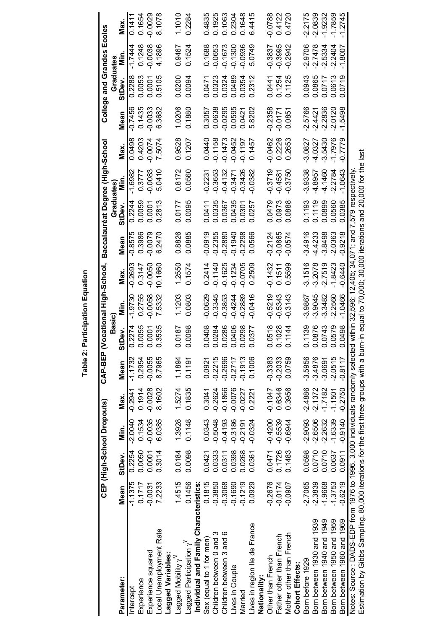Table 2: Participation Equation **Table 2: Participation Equation**

|                                                                                 |           |        | CEP (High-School Dropouts) |           | CAP-BEP (Vocational High-School, Baccalauréat Degree (High-School |                             |                                                       |           |           |           |            |           |           | College and Grandes Ecoles |           |           |
|---------------------------------------------------------------------------------|-----------|--------|----------------------------|-----------|-------------------------------------------------------------------|-----------------------------|-------------------------------------------------------|-----------|-----------|-----------|------------|-----------|-----------|----------------------------|-----------|-----------|
|                                                                                 |           |        |                            |           |                                                                   | Basic)                      |                                                       |           |           | Graduates |            |           |           | Graduates                  |           |           |
| Parameter:                                                                      | Mean      | StDev. | Min.                       | Max.      | Mean                                                              | StDev.                      | .<br>Σ                                                | Max.      | Mean      | StDev     | in.<br>Min | Max.      | Mean      | StDev.                     | .<br>Šip  | Max.      |
| Intercept                                                                       | $-1.1375$ | 0.2254 | $-2.0040$                  | $-0.2941$ | $-1.1732$                                                         | 0.2274                      | $-1.9730$                                             | $-0.2693$ | $-0.8575$ | 0.2244    | $-1.6982$  | 0.0498    | $-0.7456$ | 0.2288                     | -1.7444   | 0.1411    |
| Experience                                                                      | 0.1717    | 0.0050 | 0.1534                     | 0.1914    | 0.2954                                                            | .0055<br>$\overline{\circ}$ | 0.2755                                                | 0.3147    | 0.3986    | 0.0059    | 0.3777     | 0.4203    | 0.1435    | 0.0053                     | 0.1248    | 0.1654    |
| Experience squared                                                              | $-0.0031$ | 0.0001 | $-0.0035$                  | $-0.0028$ | $-0.0055$                                                         | 0001<br>$\overline{c}$      | $-0.0058$                                             | $-0.0050$ | $-0.0079$ | 0.0001    | $-0.0083$  | $-0.0074$ | $-0.0033$ | 0.0001                     | $-0.0038$ | $-0.0029$ |
| Local Unemployment Rate                                                         | 7.2233    | 0.3014 | 6.0385                     | 8.1602    | 8.7965                                                            | 3535<br>$\ddot{\circ}$      | 7.5332                                                | 10.1660   | 6.2470    | 0.2813    | 5.0410     | 7.5074    | 6.3682    | 0.5105                     | 4.1896    | 8.1078    |
| Lagged Variables                                                                |           |        |                            |           |                                                                   |                             |                                                       |           |           |           |            |           |           |                            |           |           |
| Lagged Mobility $\gamma^{\sf M}$                                                | 1.4515    | 0.0184 | 1.3928                     | 1.5274    | 1.1894                                                            | 0187<br>ခဲ                  | 1.1203                                                | 1.2550    | 0.8826    | 0.0177    | 0.8172     | 0.9528    | 1.0206    | 0.0200                     | 0.9467    | 1.1010    |
| Lagged Participation $\gamma^{\mathsf{Y}}$                                      | 0.1456    | 0.0098 | 0.1148                     | 0.1835    | 0.1191                                                            | .0098<br>ට                  | 0.0803                                                | 0.1574    | 0.0885    | 0.0095    | 0.0560     | 0.1207    | 0.1880    | 0.0094                     | 0.1524    | 0.2284    |
| Individual and Family Characteristics:                                          |           |        |                            |           |                                                                   |                             |                                                       |           |           |           |            |           |           |                            |           |           |
| Sex (equal to 1 for men)                                                        | 0.1815    | 0.0421 | 0.0343                     | 0.3041    | 0.0921                                                            | 0408<br>ට                   | $-0.0629$                                             | 0.2414    | 0.0919    | 0.0411    | 0.2231     | 0.0440    | 0.3057    | 0.0471                     | 0.1688    | 0.4835    |
| Children between 0 and 3                                                        | $-0.3850$ | 0.0333 | $-0.5048$                  | $-0.2624$ | $-0.2215$                                                         | 0284<br>$\bar{\circ}$       | $-0.3345$                                             | $-0.1140$ | $-0.2355$ | 0.0335    | 0.3653     | $-0.1158$ | 0.0638    | 0.0323                     | $-0.0653$ | 0.1925    |
| Children between 3 and 6                                                        | $-0.3068$ | 0.0311 | $-0.4193$                  | $-0.1866$ | $-0.2696$                                                         | .0286<br>$\bar{\circ}$      | $-0.3853$                                             | $-0.1625$ | $-0.2880$ | 0.0367    | $-0.4132$  | $-0.1473$ | $-0.0295$ | 0.0324                     | $-0.1673$ | 0.1063    |
| Lives in Couple                                                                 | $-0.1690$ | 0.0398 | $-0.3186$                  | $-0.0076$ | $-0.2717$                                                         | .0406<br>$\bar{\circ}$      | $-0.4244$                                             | $-0.1234$ | $-0.1940$ | 0.0435    | $-0.3471$  | $-0.0452$ | 0.0595    | 0.0489                     | $-0.1300$ | 0.2304    |
| Married                                                                         | $-0.1219$ | 0.0268 | $-0.2191$                  | $-0.0227$ | $-0.1913$                                                         | 0298<br>$\overline{c}$      | 0.2889                                                | $-0.0705$ | 0.2298    | 0.0301    | 0.3426     | $-0.1197$ | 0.0421    | 0.0354                     | -0.0936   | 0.1648    |
| Lives in region lle de France                                                   | 0.0929    | 0.0361 | $-0.0324$                  | 0.2221    | 0.1006                                                            | 0377<br>$\bar{\circ}$       | $-0.0416$                                             | 0.2509    | 0.0566    | 0.0257    | $-0.0382$  | 0.1457    | 5.8202    | 0.2312                     | 5.0749    | 6.4415    |
| Nationality:                                                                    |           |        |                            |           |                                                                   |                             |                                                       |           |           |           |            |           |           |                            |           |           |
| Other than French                                                               | $-0.2676$ | 0.0471 | $-0.4200$                  | $-0.1047$ | $-0.3383$                                                         | .0518<br>ට                  | $-0.5219$                                             | $-0.1432$ | $-0.2124$ | 0.0479    | $-0.3719$  | $-0.0462$ | $-0.2358$ | 0.0441                     | $-0.3837$ | $-0.0788$ |
| Father other than French                                                        | $-0.0174$ | 0.1726 | $-0.5539$                  | 0.6346    | $-0.2033$                                                         | 0.1028                      | $-0.5343$                                             | 0.1511    | $-0.0865$ | 0.0973    | $-0.4581$  | 0.2226    | $-0.017$  | 0.1254                     | $-0.3995$ | 0.4122    |
| Mother other than French                                                        | $-0.0907$ | 0.1483 | $-0.6944$                  | 0.3956    | 0.0759                                                            | 1144<br>$\dot{\circ}$       | $-0.3143$                                             | 5599<br>ö | $-0.0574$ | 0.0888    | $-0.3750$  | 0.2653    | 0.0851    | 0.1125                     | $-0.2942$ | 0.4720    |
| Cohort Effects:                                                                 |           |        |                            |           |                                                                   |                             |                                                       |           |           |           |            |           |           |                            |           |           |
| Born before 1929                                                                | $-2.7065$ | 0.0598 | $-2.9093$                  | $-2.4886$ | $-3.5956$                                                         | 1139<br>ö                   | -3.9867                                               | $-3.1516$ | $-3.4916$ | 0.1193    | $-3.9338$  | $-3.0827$ | $-2.5766$ | 0.0943                     | $-2.9706$ | $-2.2175$ |
| Born between 1930 and 1939                                                      | $-2.3839$ | 0.0710 | $-2.6506$                  | $-2.1372$ | $-3.4876$                                                         | 0.0876                      | $-3.9045$                                             | $-3.2078$ | $-4.4233$ | 0.1119    | -4.8957    | $-4.0327$ | $-2.4421$ | 0.0865                     | $-2.7478$ | $-2.0839$ |
| Born between 1940 and 1949                                                      | $-1.9668$ | 0.0710 | $-2.2632$                  | $-1.7182$ | $-3.0691$                                                         | 0743<br>$\overline{c}$      | $-3.3482$                                             | $-2.7519$ | $-3.8498$ | 0.0899    | $-4.1460$  | $-3.5430$ | $-2.2836$ | 0.0717                     | $-2.5334$ | $-1.9232$ |
| Born between 1950 and 1959                                                      | $-1.3753$ | 0.0637 | $-1,6339$                  | $-1.1501$ | $-2.0515$                                                         | 0579<br>$\overline{c}$      | $-2.2560$                                             | $-1.8423$ | $-2.0363$ | 0.0560    | $-2.2784$  | $-1.7976$ | $-2.0120$ | 0.0613                     | $-2.2404$ | $-1.7859$ |
| Born between 1960 and 1969                                                      | $-0.6219$ | 0.0911 | $-0.9140$                  | $-0.2750$ | $-0.8117$                                                         | 0498<br>$\dot{\circ}$       | $-1.0466$                                             | $-0.6440$ | $-0.9218$ | 0.0385    | $-1.0643$  | $-0.7779$ | $-1.5498$ | 0.0719                     | $-1.8007$ | $-1.2745$ |
| Notes: Source : DADS-EDP from 1976 to 1996. 3,000 individuals randomly selected |           |        |                            |           |                                                                   |                             | within 32,596; 12,405; 34,071; and 7,579 respectively |           |           |           |            |           |           |                            |           |           |

Estimation by Gibbs Sampling. 80,000 iterations for the first three groups with a burn-in equal to 70,000; 30,000 iterations and 20,000 for the last Estimation by Gibbs Sampling. 80,000 iterations for the first three groups with a burn-in equal to 70,000; 30,000 iterations and 20,000 for the last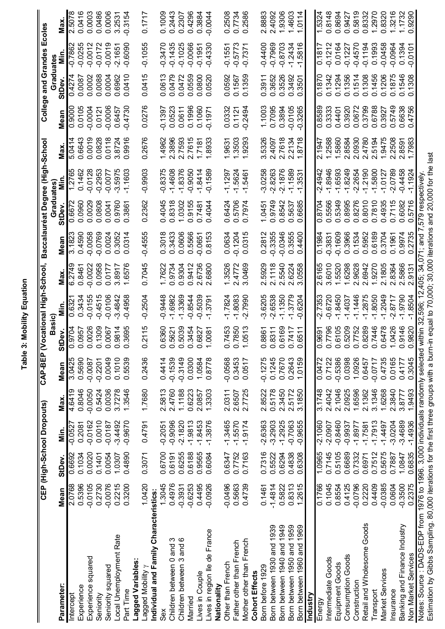|                                                                                                                              |           | CEP (High-School Dropouts) |           |           | CAP-BEP (V |                                  |            | ocational High-School, Baccalauréat Degree (High-School |                    |                  |                         |        |           |                       | College and Grandes Ecoles |           |
|------------------------------------------------------------------------------------------------------------------------------|-----------|----------------------------|-----------|-----------|------------|----------------------------------|------------|---------------------------------------------------------|--------------------|------------------|-------------------------|--------|-----------|-----------------------|----------------------------|-----------|
|                                                                                                                              |           |                            |           |           |            | <b>Basic</b>                     |            |                                                         |                    | Graduates        |                         |        |           | Graduate              |                            |           |
| Parameter:                                                                                                                   | Mean      | StDev.                     | Min.      | Max.      | Mean       | Dev.<br>5                        | in.<br>Min | Max.                                                    | Mean               | StDev            | Min                     | Max    | Mean      | StDev                 | <u>nin</u>                 | Max.      |
| Intercept                                                                                                                    | 2.0768    | 0.6692                     | $-0.0527$ | 4.6419    | 3.0425     | <b>7076</b><br>$\circ$           | 0.632      | 6.2749                                                  | 3.1823             | 0.6672           | 1.2765                  | 5.0414 | 0.9000    | 0.4274                | -0.786                     | 2.5078    |
| Experience                                                                                                                   | 0.5396    | 0.1034                     | 0.2081    | 0.8046    | 0.5690     | <b>1995</b><br>$\circ$           | 0.3434     | 0.8461                                                  | 0.4590             | 0.0960           | 0.1462                  | 0.6643 | 0.0105    | 0.0087                | $-0.0255$                  | 0.0416    |
| Experience squared                                                                                                           | $-0.0105$ | 0.0020                     | $-0.0162$ | $-0.0050$ | $-0.0087$  | .0026<br>$\circ$                 | $-0.0155$  | 0.0022                                                  | $-0.0058$          | 0.0029           | $-0.0128$               | 0.0019 | $-0.0004$ | 0.0002                | $-0.0012$                  | 0.0003    |
| Seniority                                                                                                                    | 0.2730    | 0.1401                     | 0.0010    | 0.5424    | $-0.2201$  | .1309<br>$\circ$                 | $-0.4515$  | 0.0958                                                  | $-0.0769$          | 0.0808           | $-0.2953$               | 0.0828 | 0.0121    | 0.0088                | $-0.0172$                  | 0.0486    |
| Seniority squared                                                                                                            | $-0.0076$ | 0.0054                     | $-0.0187$ | 0.0036    | 0.0049     | <b>L900</b><br>$\circ$           | $-0.0106$  | 0.0177                                                  | 0.0024             | 0.0041           | $-0.0077$               | 0.0118 | $-0.0006$ | 0.0004                | $-0.0019$                  | 0.0006    |
| Local Unemployment Rate                                                                                                      | 0.2215    | 1.0307                     | $-3.4492$ | 3.7278    | 0.1010     | .9814<br>$\circ$                 | $-3.4842$  | 3.8917                                                  | 0.3052             | 0.9760           | $-3.5975$               | 3.8724 | 0.6457    | 0.6962                | $-2.1651$                  | 3.2531    |
| Part Time                                                                                                                    | 0.3200    | 0.4890                     | $-0.9670$ | 1.3546    | 0.5539     | 3695<br>$\circ$                  | $-0.4958$  | .6576                                                   | 0.0314<br>$\circ$  | .3861<br>ö       | $-1.1603$               | 0.9916 | $-0.4730$ | 0.0410                | $-0.6090$                  | $-0.3154$ |
| Lagged Variables:                                                                                                            |           |                            |           |           |            |                                  |            |                                                         |                    |                  |                         |        |           |                       |                            |           |
| Lagged Mobility y                                                                                                            | 1.0420    | 0.3071                     | 0.4791    | 1.7680    | 0.2436     | 2115<br>$\circ$                  | $-0.2504$  | 0.7045                                                  | $-0.4555$          | 0.2362           | $-0.9903$               | 0.2676 | 0.0276    | 0.0415                | $-0.1055$                  | 0.1717    |
| Individual and Family Characteristics:                                                                                       |           |                            |           |           |            |                                  |            |                                                         |                    |                  |                         |        |           |                       |                            |           |
| Sex                                                                                                                          | 1.3045    | 0.6700                     | $-0.2051$ | 2.5813    | 0.4414     | 6360<br>0                        | $-0.9448$  | 1.7622                                                  | 0.3018             | 0.4045           | $-0.8375$               | 1.4962 | $-0.1397$ | 0.0613                | $-0.3470$                  | 0.1009    |
|                                                                                                                              | 0.4976    | 0.6191                     | $-0.9096$ | 2.4760    | $-0.1539$  | 5621<br>$\circ$                  | $-1.6982$  | 0.9734                                                  | 0.3433             | 0.8318           | $-1.4608$               | 2.3896 | 0.0523    | 0.0479                | $-0.1435$                  | 0.2443    |
| children between 0 and 3<br>Children between 3 and 6                                                                         | $-0.3931$ | 0.6255                     | $-2.1820$ | 1.1188    | $-0.3149$  | 5039<br>$\circ$                  | $-1.3369$  | 0.9304                                                  | 0.0606             | 1.0302           | $-1.8376$               | 2.7593 | 0.0611    | 0.0472                | $-0.1025$                  | 0.2307    |
| Married                                                                                                                      | $-0.6253$ | 0.6188                     | $-1.9813$ | 0.6223    | 0.0300     | 3454<br>$\circ$                  | $-0.8544$  | 0.9412                                                  | 0.5566             | 0.9155           | $-0.9050$               | 2.7615 | 0.1996    | 0.0559                | $-0.0066$                  | 0.4296    |
| Lives in Couple                                                                                                              | 0.4495    | 0.9565                     | $-1.8453$ | 2.0857    | 1.0584     | .6827<br>$\circ$                 | $-0.5039$  | 2.6736                                                  | $-0.0651$          | 0.7481           | $-1.8414$               | 1.7181 | 0.1060    | 0.0800                | $-0.1951$                  | 0.3884    |
| Lives in region lle de France                                                                                                | $-0.0926$ | 0.6084                     | $-1.3876$ | 1.3303    | 0.8778     | 0081<br>$\overline{ }$           | $-1.3791$  | .6800<br>$\mathbf{N}$                                   | 0.8153             | 0.4044           | $-0.1589$               | 1.8933 | $-0.1971$ | 0.0520                | $-0.4330$                  | $-0.0044$ |
| Nationality                                                                                                                  |           |                            |           |           |            |                                  |            |                                                         |                    |                  |                         |        |           |                       |                            |           |
| Other than French                                                                                                            | $-0.0496$ | 0.6347                     | $-1.3465$ | 2.0311    | $-0.0568$  | 7453<br>Ö                        | $-1.7824$  | 1.3526                                                  | 0.0634             | 0.6424           | $-1.1297$               | 1.9631 | 0.0332    | 0.0592                | $-0.1551$                  | 0.2508    |
| Father other than French                                                                                                     | 0.5663    | 0.7752                     | $-1.5570$ | 2.6507    | 0.3453     | 7850<br>$\circ$                  | $-1.8083$  | 2.4772                                                  | $-0.1204$          | 0.5706           | $-1.5624$               | 1.3503 | 0.1121    | 0.1567                | $-0.5773$                  | 0.7734    |
| Mother other than French                                                                                                     | 0.4739    | 0.7163                     | $-1.9174$ | 2.7725    | 0.0517     | .0513<br>$\overline{ }$          | $-2.7990$  | 3.0469                                                  | 0.0315             | 0.7974           | $-1.5461$               | 1.9293 | $-0.2494$ | 0.1359                | $-0.737$                   | 0.2586    |
| <b>Cohort Effects</b>                                                                                                        |           |                            |           |           |            |                                  |            |                                                         |                    |                  |                         |        |           |                       |                            |           |
| Born before 1929                                                                                                             | 0.1461    | 0.7316                     | $-2.6363$ | 2.8522    | $-0.1275$  | 8861<br>$\circ$                  | $-3.6205$  | 2.5929                                                  | 0.2812             | 1.0451           | $-3.0258$               | 3.5326 | 1.1003    | 0.3911                | $-0.4400$                  | 2.8883    |
| Born between 1930 and 1939                                                                                                   | $-1.4814$ | 0.5522                     | $-3.2903$ | 0.5178    | 0.1245     | .8311<br>$\circ$                 | $-2.6538$  | 2.1118                                                  | $-0.3355$          | 0.9749           | $-2.8263$               | 2.4097 | 0.7095    | 0.3652                | $-0.7969$                  | 2.4092    |
| Born between 1940 and 1949                                                                                                   | 0.5822    | 0.6294                     | $-1.2925$ | 2.3450    | 0.7670     | .6169<br>$\circ$                 | $-1.1350$  | 2.5540                                                  | $-0.0346$          | 0.8542           | $-2.1876$               | 2.7618 | 0.3894    | 0.3526                | $-0.8703$                  | 1.9306    |
| Born between 1950 and 1959                                                                                                   | 0.8313    | 0.4838                     | $-0.7063$ | 2.5172    | 0.2643     | 7417<br>$\circ$                  | $-1.3779$  | .6224<br>$\mathbf{\Omega}$                              | 0.3555             | 0.5637           | $-1.1589$               | 2.2134 | $-0.0105$ | 0.3492                | $-1.2434$                  | 1.4603    |
| 1969<br>and<br>Born between 1960                                                                                             | 1.2615    | 0.6308                     | $-0.9655$ | 3.1850    | 1.0159     | 6511<br>$\circ$                  | $-0.6204$  | .0558<br>ო                                              | $-4400$<br>$\circ$ | .6685<br>ö       | $-1.3531$               | 8718   | $-0.3265$ | 0.3501                | $-1.5816$                  | 1.0114    |
| Industry                                                                                                                     |           |                            |           |           |            |                                  |            |                                                         |                    |                  |                         |        |           |                       |                            |           |
| Energy                                                                                                                       | 0.1766    | 1.0965                     | $-2.1060$ | 3.1748    | 0.0472     | 1696<br>0                        | $-2.7353$  | 2.6165                                                  | 0.1984             | 0.8704           | 4942<br>Ņ               | 2.1947 | 0.8589    | 0.1870                | 0.1817                     | 1.5324    |
| Intermediate Goods                                                                                                           | 0.1045    | 0.7145                     | $-2.0907$ | 2.4042    | 0.7122     | 0.7796                           | $-0.6720$  | 3.6010                                                  | $-0.3831$          | 0.5566           | .8946                   | 1.2588 | 0.3333    | 0.1342                | $-0.1212$                  | 0.8148    |
| Equipment Goods                                                                                                              | 0.8554    | 0.5105                     | $-0.8460$ | 2.1046    | $-0.5386$  | .6105<br>$\circ$                 | $-1.8450$  | 1.5520                                                  | $-0.1609$          | 0.5349           | $-1.6593$               | 1.5860 | 0.4401    | 0.1294                | 0.0164                     | 0.8694    |
| <b>Consumption Goods</b>                                                                                                     | 0.4125    | 0.6689                     | $-0.9937$ | 2.0925    | 0.0398     | 5209<br>$\circ$                  | $-1.4037$  | 1.6298                                                  | 0.3966             | 0.8995           | $-1.8249$               | 2.8584 | 0.3920    | 0.1356                | $-0.1227$                  | 0.9427    |
| Construction                                                                                                                 | $-0.0796$ | 0.7332                     | $-1.8977$ | 1.6596    | 1.0926     | .7752<br>$\circ$                 | $-1.1446$  | 2.9628                                                  | 0.1534             | 0.8276           | $-2.2654$               | 2.0930 | 0.0672    | 0.1514                | $-0.4570$                  | 0.5819    |
| Retail and Wholesome Goods                                                                                                   | 0.2220    | 0.6971                     | $-1.7581$ | 2.1362    | 0.6457     | 8289<br>$\circ$                  | $-1,2875$  | 2.6942                                                  | 0.5952             | 0.8010           | $-1.2190$               | 2.4780 | 0.3799    | 0.1308                | $-0.1194$                  | 0.8332    |
| Transport                                                                                                                    | 0.4409    | 0.7512                     | $-1.7913$ | 3.1346    | $-0.0717$  | 7446<br>$\circ$                  | $-1.8050$  | 1.9270                                                  | 0.6189             | 0.7810           | $-1.5800$               | 2.5194 | 0.6788    | 456<br>$\overline{C}$ | 0.1993                     | 1.2970    |
| Market Services                                                                                                              | $-0.0385$ | 0.5675                     | $-1.4497$ | 1.6268    | 0.4735     | 6478<br>$\circ$                  | $-1.2049$  | 2.1805                                                  | 0.3704             | 0.4935           | $-1.0127$               | 1.9475 | 0.3927    | 0.1206                | $-0.0458$                  | 0.8320    |
| Insurance                                                                                                                    | 0.0604    | 0.7887                     | $-3.0204$ | 2.3840    | 0.0165     | 0426<br>$\overline{\phantom{0}}$ | $-2.8717$  | .8364<br>$\sim$                                         | 0.1961             | 0.7115           | $-2.0789$               | 2.2508 | 0.5749    | 0.1875                | $-0.0964$                  | 1.3216    |
| Banking and Finance Industry                                                                                                 | $-0.3500$ | 1.0847                     | $-3.4689$ | 3.8777    | 0.4177     | 9146<br>$\circ$                  | 1.9790     | .5866                                                   | 0.9974             | 0.6082           | $-0.4458$               | 2.8591 | 0.6638    | 0.1546                | 0.1394                     | 1.1732    |
| Non Market Services                                                                                                          | 0.2375    | 0.6835                     | $-1.4936$ | 1.9493    | 0.3045     | .9820<br>$\circ$                 | $-1.8504$  | 9131                                                    | 0.2735             | 0.5716           | $-1.1924$               | 1.7983 | 4756<br>Ö | 0.1308                | $-0.0101$                  | 0.9290    |
| Notes: Source : DADS-EDP from 1976 to 1996. 3,000 individuals randomly selected within 32,596;                               |           |                            |           |           |            |                                  |            | 34.07<br>ά<br>405.                                      | 1; and             | 579 respectively |                         |        |           |                       |                            |           |
| Estimation by Gibbs Sampling. 80,000 iterations for the first three groups with a burn-in equal to 70,000; 30,000 iterations |           |                            |           |           |            |                                  |            |                                                         |                    |                  | and 20,000 for the last |        |           |                       |                            |           |

Table 3: Mobility Equation **Table 3: Mobility Equation**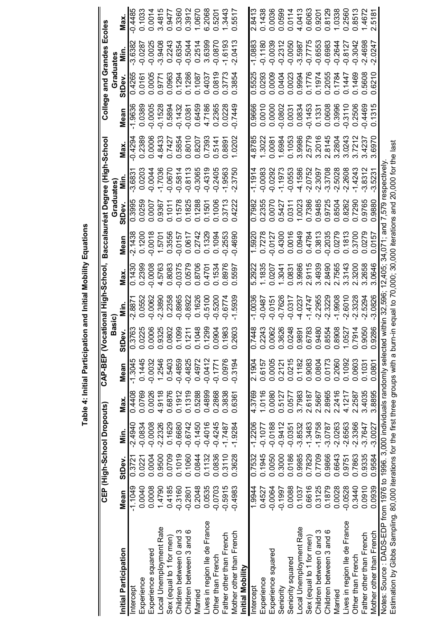|                                                                                                |           |            | CEP (High-School Dropouts) |        | <b>CAP-BEP (Vocational</b> |                                       |                           | High-School,                     |                   |                         | Baccalauréat Degree (High-School                                |                   |                         | College and Grandes |           | Ecoles              |
|------------------------------------------------------------------------------------------------|-----------|------------|----------------------------|--------|----------------------------|---------------------------------------|---------------------------|----------------------------------|-------------------|-------------------------|-----------------------------------------------------------------|-------------------|-------------------------|---------------------|-----------|---------------------|
|                                                                                                |           |            |                            |        |                            | Basic)                                |                           |                                  |                   | Graduates               |                                                                 |                   |                         | Graduates           |           |                     |
| Initial Participation                                                                          | Mean      | StDev      | Min.                       | Max.   | Mean                       | >e<br>∩<br>あ                          | Min.                      | Max                              | Mean              | StDev.                  | ς.<br>Σ                                                         | Max.              | Mean                    | <b>StDev</b>        | nin.      | Max.                |
| Intercept                                                                                      | $-1.1049$ | 0.372      | $-2.4940$                  | 0.4408 | $-1.3045$                  | 0.3763                                | $-2.887$                  | 0.1430                           | $-2.1438$         | 0.3995                  | $-3.6831$                                                       | $-0.4294$         | $-1.9636$               | 0.4265              | $-3.6382$ | $-0.4485$           |
| Experience                                                                                     | 0.0040    | 0.0221     | $-0.0834$                  | 0.0769 | 0.1445                     | 0225<br>ੱ                             | 0.0552                    | 0.2399                           | 0.1200            | 0259<br>$\bar{\circ}$   | 0.0203                                                          | 1.2389            | 0.0389                  | 0.0161              | $-0.0287$ | 0.1033              |
| Experience squared                                                                             | 0.0008    | 0.0004     | $-0.0008$                  | 0.0026 | $-0.0032$                  | 0006<br>ō                             | $-0.0062$                 | $-0.0008$                        | $-0.0018$         | 0.0007                  | $-0.0044$                                                       | 0.0006            | $-0.0005$               | 0.0005              | $-0.0025$ | 0.0014              |
| Local Unemployment Rate                                                                        | 1.4790    | 0.9500     | $-2.2326$                  | 4.9118 | 1.2546                     | 9325<br>$\ddot{\circ}$                | $-2.3890$                 | 4.5763                           | 1.5701            | 0.9367                  | $-1.7036$                                                       | 4.8433            | $-0.1528$               | 0.9771              | $-3.9408$ | 3.4815              |
| Sex (equal to 1 for men)                                                                       | 0.4185    | 0.0709     | 0.1629                     | 0.6876 | 0.5403                     | 0802<br>$\overline{O}$ $\overline{O}$ | 0.2358                    | 0.8083                           | 0.3556            | 0.1011                  | $-0.0670$                                                       | 0.7427            | 0.5894                  | 0.0963              | 0.2243    | 0.9477              |
| ო<br>Children between 0 and                                                                    | $-0.3160$ | 0.1019     | $-0.6680$                  | 0.1912 | $-0.4859$                  | 099                                   | $-0.8965$                 | $-0.0375$                        | $-0.0157$         | 0.1578                  | $-0.5814$                                                       | .5854<br>Ö        | $-0.1432$               | 0.1294              | $-0.6354$ | 0.3360              |
| Children between 3 and 6                                                                       | $-0.2801$ | 0.1060     | $-0.6742$                  | 0.1319 | $-0.4825$                  | 211<br>○                              | $-0.8922$                 | 0.0579                           | 0.0617            | 0.1825                  | $-0.8113$                                                       | 0.8010            | $-0.0381$               | 0.1286              | $-0.5044$ | 0.3912              |
| Married                                                                                        | 0.2048    | 0.0844     | $-0.1450$                  | 0.5288 | 0.4972                     | 848<br>○                              | 0.1626                    | 0.8706                           | 0.2742            | .1288<br>$\overline{c}$ | $-0.3065$                                                       | .8207<br>$\circ$  | 0.6459                  | 0.1087              | 0.2514    | 1.0670              |
| Lives in region lle de France                                                                  | 0.0535    | 0.1132     | $-0.4016$                  | 0.4899 | $-0.0412$                  | 299<br>$\circ$                        | $-0.5100$                 | 0.4701                           | 0.1329            | 0.1501                  | $-0.4319$                                                       | 1.7393<br>$\circ$ | .7186<br>$\overline{4}$ | 0.4037              | 3.6399    | 2068<br>ဖ           |
| Other than French                                                                              | $-0.0703$ | 0.0836     | $-0.4245$                  | 0.2868 | $-0.1771$                  | 904<br>$\overline{c}$                 | .5200<br>Q                | 0.1534                           | 0.1094            | 0.1006                  | $-0.2405$                                                       | .5141<br>0        | .2365<br>Ö              | 0.0819              | $-0.0870$ | 5201<br>$\circ$     |
| Father other than French                                                                       | $-0.5915$ | 0.3110     | $-1.7487$                  | 0.3838 | 0.0976                     | 983<br>$\dot{\circ}$                  | $-0.6774$                 | 0.8976                           | $-0.2553$         | 0.3713                  | .9563                                                           | 1.8891<br>$\circ$ | 0.0228                  | 0.3773              | $-1.6193$ | 1.3443              |
| Mother other than French<br>Initial Mobility                                                   | $-0.4983$ | .3628<br>Ö | $-1.9284$                  | 0.6361 | $-0.3194$                  | 2603<br>$\ddot{\circ}$                | .5939                     | 5597<br>0                        | 1.4690<br>Ģ       | 0.4222                  | .3750<br>Ņ                                                      | .0202             | 0.7449                  | .3854<br>Ö          | $-2.0413$ | 5517<br>Ö           |
| Intercept                                                                                      | 1.9944    | 0.7532     | $-1.2206$                  | 4.3769 | 2.1904                     | 7448<br>0                             | $-1.0036$                 | 5.2922                           | 1.5920            | 0.7982                  | $-1.1914$                                                       | 4.8785            | 0.9666                  | 0.5525              | $-1.0883$ | 2.8413              |
| Experience                                                                                     | 0.4527    | 0.1945     | $-0.1077$                  | 1.0116 | 0.6157                     | 0.2243                                | $-0.0487$                 | 1.1835                           | 0.7278            | 0.2355                  | $-0.0083$                                                       | 1.3022            | 0.0010                  | 0.0293              | $-0.1180$ | 0.1438              |
| Experience squared                                                                             | $-0.0064$ | 0.0050     | $-0.0188$                  | 0.0080 | 0.0005                     | 0062<br>$\circ$                       | $-0.0151$                 | 0.0207                           | $-0.0127$         | 0.0070                  | $-0.0292$                                                       | 0.0081            | 0.0000                  | 0.0009              | $-0.0039$ | 0.0036              |
| Seniority                                                                                      | $-0.1997$ | 0.3000     | $-0.9412$                  | 0.5127 | 0.2121                     | 3626<br>$\ddot{\circ}$ $\ddot{\circ}$ | $-0.7626$                 | 1.3041                           | 0.4300            | 0.5427                  | $-1.1973$                                                       | .6984             | $-0.0802$               | 0.0404              | $-0.2312$ | 0.0599              |
| Seniority squared                                                                              | 0.0088    | 0.0186     | $-0.0351$                  | 0.0577 | 0.0215                     | 0248                                  | $-0.0317$                 | 0.0831                           | 0.0016            | 0.0311                  | $-0.0553$                                                       | 1053<br>$\circ$   | 0.0031                  | 0.0023              | $-0.0050$ | 0.0114              |
| Local Unemployment Rate                                                                        | 0.1037    | 0.9985     | $-3.8532$                  | 3.7983 | 0.1182                     | 9891                                  | -4.0237                   | 3.9986                           | 0.0949            | 1.0023                  | $-4.1586$                                                       | 3.9986            | 0.0834                  | 0.9994              | $-3.5987$ | 4.0413              |
| Sex (equal to 1 for men)                                                                       | 0.6616    | 0.7829     | $-1.3483$                  | 2.6187 | 0.9083                     | 6783<br>$\circ$                       | 4747<br>$\overline{\tau}$ | 2.9115                           | 0.4784            | 0.7386                  | $-2.0752$                                                       | 2.5779            | $-0.1453$               | 0.1776              | $-0.7775$ | 0.6063              |
| ო<br>Children between 0 and                                                                    | 0.3125    | 0.7709     | $-1.9758$                  | 2.5667 | 0.0804                     | 9480<br>$\ddot{\circ}$                | $-2.2955$                 | 3.4939                           | 0.3813            | .9485<br>ö              | $-2.3097$                                                       | 3.2016            | 0.1331                  | 0.1974              | $-0.6553$ | 0.9201              |
| ဖ<br>Children between 3 and                                                                    | 0.1879    | 0.9866     | $-3.0787$                  | 2.8965 | 0.0173                     | 8554<br>$\ddot{\circ}$                | 2.3229                    | .8490<br>$\overline{\mathsf{N}}$ | $-0.2035$         | 9725<br>ö               | $-3.3708$                                                       | 8145<br>$\sim$    | 0.0608                  | 0.2055              | $-0.6983$ | 0.8129              |
| Married                                                                                        | 0.0028    | 0.6643     | $-2.0263$                  | 2.2416 | 0.2060                     | 8908<br>$\ddot{\circ}$                | 1.9908                    | 2.7565                           | 0.0279            | 8504<br>ö               | $-2.5028$                                                       | 3.2804            | 0.3996                  | 0.1784              | $-0.2644$ | 1.0338              |
| Lives in region lle de France                                                                  | $-0.0528$ | 0.9751     | $-2.6563$                  | 4.1217 | 0.1092                     | 0527<br>$\div$                        | $-2.6010$                 | 3.3143                           | 0.1813            | 0.8262                  | .2608<br>Ņ                                                      | 3.0243            | $-0.3110$               | 0.1447              | $-0.8127$ | 0.2560              |
| Other than French                                                                              | 0.3440    | 0.7863     | $-2.3366$                  | 2.2587 | 0.0603                     | 7914<br>.<br>0                        | $-2.3328$                 | .3200<br>$\mathbf{a}$            | 1.3700<br>$\circ$ | 7290<br>Õ               | .4243                                                           | 3.7212            | 0.2506                  | 0.1469              | $-0.3042$ | 0.8513              |
| Father other than French                                                                       | 0.0910    | 0.9335     | $-3.7647$                  | 3.4035 | 0.1031                     | 9050<br>$\ddot{\circ}$                | $-2.5294$                 | .2658<br>က                       | 0.0279            | .9765<br>ö              | $-3.8312$                                                       | .4237<br>က        | $-0.4469$               | 0.5608              | $-2.4698$ | 1.4672              |
| Mother other than French                                                                       | 0.0939    | 0.9584     | $-3.0027$                  | 3.8895 | 0.0801                     | 9286<br>$\circ$                       | $-3.0826$                 | .0646<br>က                       | .0157<br>ö        | 9880<br>ö               | 5231<br>ကု                                                      | .6970             | 0.1315                  | .6210<br>$\circ$    | 2.0247    | 518<br>$\mathbf{N}$ |
| Notes: Source : DADS-EDP from 1976 to 1996. 3,000 individuals randomly selected within 32,596; |           |            |                            |        |                            |                                       |                           |                                  |                   |                         | 12,405; 34,071; and 7,579 respectively                          |                   |                         |                     |           |                     |
| Estimation by Gibbs Sampling. 80,000 iterations for the first three groups with a bu           |           |            |                            |        |                            |                                       |                           |                                  |                   |                         | m-in equal to 70,000; 30,000 iterations and 20,000 for the last |                   |                         |                     |           |                     |

Table 4: Initial Participation and Initial Mobility Equations **Table 4: Initial Participation and Initial Mobility Equations**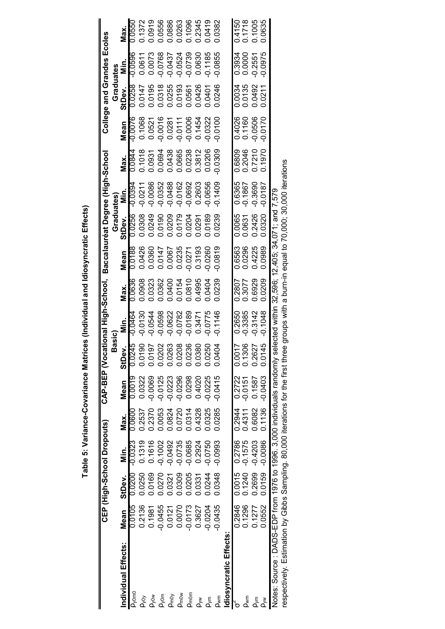|                                              |                                                                                                                                                                                                                                      |                  | CEP (High-School Dropouts) |                  | CAP-BEP (Voca                        |                                      | tional High-School,      |                            |                                                                       |                  | Baccalauréat Degree (High-School |                                      | College                              | and Grandes                                                                                                                                                                                                                                                                                                                                                                   |                        | Ecoles                                         |
|----------------------------------------------|--------------------------------------------------------------------------------------------------------------------------------------------------------------------------------------------------------------------------------------|------------------|----------------------------|------------------|--------------------------------------|--------------------------------------|--------------------------|----------------------------|-----------------------------------------------------------------------|------------------|----------------------------------|--------------------------------------|--------------------------------------|-------------------------------------------------------------------------------------------------------------------------------------------------------------------------------------------------------------------------------------------------------------------------------------------------------------------------------------------------------------------------------|------------------------|------------------------------------------------|
|                                              |                                                                                                                                                                                                                                      |                  |                            |                  |                                      | iasic)                               |                          |                            |                                                                       | Graduates)       |                                  |                                      |                                      | Graduates                                                                                                                                                                                                                                                                                                                                                                     |                        |                                                |
| ndividual Effects:                           | Mean                                                                                                                                                                                                                                 | StDev.           | in.<br>E                   | Max.             | Mean                                 | StDev                                | Min.                     | Max.                       | Mean                                                                  | StDev.<br>0.0256 |                                  | Max.                                 | Mean                                 |                                                                                                                                                                                                                                                                                                                                                                               | Min.<br>-0.0596        | Vlax.                                          |
| Dyomo                                        | 9010.0                                                                                                                                                                                                                               | 0.0200           | $-0.0323$                  | 0.0600           | 6100.0                               | 0.0245                               | $-0.0464$                | 0.0636                     |                                                                       |                  |                                  |                                      |                                      |                                                                                                                                                                                                                                                                                                                                                                               |                        | 0.0550                                         |
|                                              | 0.2136                                                                                                                                                                                                                               | 0.0250           | 0.1319                     | 0.2537           | 0.0322                               | 0.0190                               | 0.0130                   | 0.0908                     |                                                                       |                  |                                  |                                      |                                      |                                                                                                                                                                                                                                                                                                                                                                               |                        | 0.1372                                         |
|                                              | 0.1981                                                                                                                                                                                                                               | 0.0169           | 0.1616                     | 0.2370           | -0.0069                              |                                      | $-0.0544$                | 0.0323                     |                                                                       |                  |                                  |                                      |                                      |                                                                                                                                                                                                                                                                                                                                                                               | 0.0611<br>0.0073       |                                                |
| )<br>२००६ को देख हैं<br>२००६ के देख देखें दे | $-0.0455$                                                                                                                                                                                                                            | 0.0270           | $-0.1002$                  | 0.0053           | 0.0125<br>0.0223<br>0.0298<br>0.0298 | 0.0197<br>0.0202<br>0.0263<br>0.0208 | $-0.0598$                | 0.0362                     | 0.0188<br>0.0426<br>0.0360<br>0.0147<br>0.0235<br>0.0271<br>0.0271993 |                  |                                  |                                      |                                      | $\begin{array}{l} \text{S1Dex} \text{S2B} \ \text{S1D} \ \text{S2B} \ \text{S3D} \ \text{S1D} \ \text{S2D} \ \text{S3D} \ \text{S1D} \ \text{S2D} \ \text{S3D} \ \text{S1D} \ \text{S2D} \ \text{S2D} \ \text{S3D} \ \text{S3D} \ \text{S3D} \ \text{S4D} \ \text{S5D} \ \text{S5D} \ \text{S5D} \ \text{S5D} \ \text{S5D} \ \text{S5D} \ \text{S5D} \ \text{S5D} \ \text{S5$ | $-0.0768$              | 0.0919<br>0.0556<br>0.0886<br>0.1096<br>0.1096 |
|                                              | 0.0121                                                                                                                                                                                                                               | 0.0321           | $-0.0492$                  | 0.0824           |                                      |                                      | $-0.0622$                |                            |                                                                       |                  |                                  |                                      |                                      |                                                                                                                                                                                                                                                                                                                                                                               | $-0.0437$              |                                                |
|                                              | 0.0070                                                                                                                                                                                                                               | 0.0309           | $-0.0735$                  | 0.0720           |                                      |                                      | $-0.0782$                | 0.0400<br>0.0154<br>0.0810 |                                                                       |                  |                                  |                                      |                                      |                                                                                                                                                                                                                                                                                                                                                                               | $-0.0524$              |                                                |
|                                              | $-0.0173$                                                                                                                                                                                                                            | 0.0205           | 0.0685                     | 0.0314           |                                      | 0.0236                               | $-0.0189$                |                            |                                                                       |                  |                                  |                                      |                                      |                                                                                                                                                                                                                                                                                                                                                                               | -0.0739<br>0.0630      |                                                |
|                                              | 0.3627                                                                                                                                                                                                                               | 0.0331           | 0.2924                     | 0.4328           | 0.4020                               | 0.0380                               | 0.3471                   | 0.4995                     |                                                                       |                  |                                  |                                      |                                      |                                                                                                                                                                                                                                                                                                                                                                               |                        | 0.2345                                         |
|                                              | 0.0204                                                                                                                                                                                                                               | 0.0244           | 0.0750                     | 0.0325           | 0.0225                               | 0.0250                               | 0.0775                   | 0.0404                     | 0.0260                                                                | 0.0189           | 0.0656                           |                                      |                                      |                                                                                                                                                                                                                                                                                                                                                                               | $-0.1185$              | 0.0419                                         |
| wm                                           | 0.0435                                                                                                                                                                                                                               | 0.0348           | $-0.0993$                  | 0.0285           | $-0.0415$                            | 0.0404                               | $-0.1146$                | 0.0239                     | 0.0819                                                                | 0.0239           | $-0.1409$                        | 0.0309                               | $-0.0100$                            | 0.0246                                                                                                                                                                                                                                                                                                                                                                        | 0.0855                 | 0.0382                                         |
| diosyncratic Effects                         |                                                                                                                                                                                                                                      |                  |                            |                  |                                      |                                      |                          |                            |                                                                       |                  |                                  |                                      |                                      |                                                                                                                                                                                                                                                                                                                                                                               |                        |                                                |
|                                              | 0.2846                                                                                                                                                                                                                               |                  |                            |                  |                                      |                                      |                          |                            |                                                                       |                  |                                  |                                      |                                      |                                                                                                                                                                                                                                                                                                                                                                               |                        |                                                |
| <b>Lywm</b>                                  | 0.1296                                                                                                                                                                                                                               | - 0+21.0<br>1240 | 5751.0-<br>9822.0          | 0.2944<br>0.4311 | 0.2722<br>-0.0151                    | 0.0017<br>0.1306<br>0.2627<br>0.0145 | 0.2650<br>-0.3385        | 0.2807<br>0.3077           | 0.6563<br>0.0296<br>0.4225                                            | 0.0065<br>0.0631 | 0.6365<br>-0.1867                | 0.6809<br>0.2046<br>0.7210<br>0.1970 | 0.4026<br>0.1160<br>0.0506<br>0.0170 | 0.0034<br>0.0135<br>0.0492<br>0.0211                                                                                                                                                                                                                                                                                                                                          | 0.3934<br>0.0000       | 0.4150<br>0.1718<br>0.1005                     |
|                                              | 0.1277                                                                                                                                                                                                                               | 0.2699           | $-0.4203$                  | 0.6082           | 0.1587<br>-0.0403                    |                                      | $-0.3142$                | 0.6929                     |                                                                       | 0.2426<br>0.0320 | -0.3690<br>-0.0187               |                                      |                                      |                                                                                                                                                                                                                                                                                                                                                                               | $-0.2551$<br>$-0.0975$ |                                                |
|                                              | 0.5552                                                                                                                                                                                                                               | 0.0159           | $-0.0086$                  | 0.1136           |                                      |                                      | $-0.1048$                | 0.0209                     | 0.0989                                                                |                  |                                  |                                      |                                      |                                                                                                                                                                                                                                                                                                                                                                               |                        | 0.0635                                         |
|                                              | <b>TARRY STARRESS AND SECURE AND SECURE AND SECURE AND SECURE AND SECURE AND SECURE AND SECURE AND SECURE AND SECURE AND SECURE AND SECURE AND SECURE AND SECURE AND SECURE AND SECURE AND SECURE AND SECURE AND SECURE AND SECU</b> |                  |                            |                  |                                      |                                      | ishin a shekarar ta 2012 |                            | アー・・アイン アク・リクア クア・シクリ りり                                              |                  | くてい                              |                                      |                                      |                                                                                                                                                                                                                                                                                                                                                                               |                        |                                                |

Notes: Source : DADS-EDP from 1976 to 1996. 3,000 individuals randomly selected within 32,596; 12,405; 34,071; and 7,579<br>respectively. Estimation by Gibbs Sampling. 80,000 iterations for the first three groups with a burnrespectively. Estimation by Gibbs Sampling. 80,000 iterations for the first three groups with a burn-in equal to 70,000; 30,000 iterations Notes: Source : DADS-EDP from 1976 to 1996. 3,000 individuals randomly selected within 32,596; 12,405; 34,071; and 7,579

Table 5: Variance-Covariance Matrices (Individual and Idiosyncratic Effects) **Table 5: Variance-Covariance Matrices (Individual and Idiosyncratic Effects)**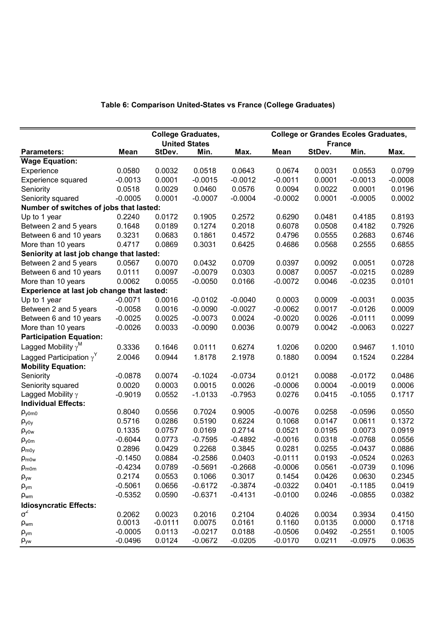## **Table 6: Comparison United-States vs France (College Graduates)**

|                                            |             |           | <b>College Graduates,</b> |           |           | <b>College or Grandes Ecoles Graduates,</b> |           |           |
|--------------------------------------------|-------------|-----------|---------------------------|-----------|-----------|---------------------------------------------|-----------|-----------|
|                                            |             |           | <b>United States</b>      |           |           | <b>France</b>                               |           |           |
| <b>Parameters:</b>                         | <b>Mean</b> | StDev.    | Min.                      | Max.      | Mean      | StDev.                                      | Min.      | Max.      |
| <b>Wage Equation:</b>                      |             |           |                           |           |           |                                             |           |           |
| Experience                                 | 0.0580      | 0.0032    | 0.0518                    | 0.0643    | 0.0674    | 0.0031                                      | 0.0553    | 0.0799    |
| Experience squared                         | $-0.0013$   | 0.0001    | $-0.0015$                 | $-0.0012$ | $-0.0011$ | 0.0001                                      | $-0.0013$ | $-0.0008$ |
| Seniority                                  | 0.0518      | 0.0029    | 0.0460                    | 0.0576    | 0.0094    | 0.0022                                      | 0.0001    | 0.0196    |
| Seniority squared                          | $-0.0005$   | 0.0001    | $-0.0007$                 | $-0.0004$ | $-0.0002$ | 0.0001                                      | $-0.0005$ | 0.0002    |
| Number of switches of jobs that lasted:    |             |           |                           |           |           |                                             |           |           |
| Up to 1 year                               | 0.2240      | 0.0172    | 0.1905                    | 0.2572    | 0.6290    | 0.0481                                      | 0.4185    | 0.8193    |
| Between 2 and 5 years                      | 0.1648      | 0.0189    | 0.1274                    | 0.2018    | 0.6078    | 0.0508                                      | 0.4182    | 0.7926    |
| Between 6 and 10 years                     | 0.3231      | 0.0683    | 0.1861                    | 0.4572    | 0.4796    | 0.0555                                      | 0.2683    | 0.6746    |
| More than 10 years                         | 0.4717      | 0.0869    | 0.3031                    | 0.6425    | 0.4686    | 0.0568                                      | 0.2555    | 0.6855    |
| Seniority at last job change that lasted:  |             |           |                           |           |           |                                             |           |           |
| Between 2 and 5 years                      | 0.0567      | 0.0070    | 0.0432                    | 0.0709    | 0.0397    | 0.0092                                      | 0.0051    | 0.0728    |
| Between 6 and 10 years                     | 0.0111      | 0.0097    | $-0.0079$                 | 0.0303    | 0.0087    | 0.0057                                      | $-0.0215$ | 0.0289    |
| More than 10 years                         | 0.0062      | 0.0055    | $-0.0050$                 | 0.0166    | $-0.0072$ | 0.0046                                      | $-0.0235$ | 0.0101    |
| Experience at last job change that lasted: |             |           |                           |           |           |                                             |           |           |
| Up to 1 year                               | $-0.0071$   | 0.0016    | $-0.0102$                 | $-0.0040$ | 0.0003    | 0.0009                                      | $-0.0031$ | 0.0035    |
| Between 2 and 5 years                      | $-0.0058$   | 0.0016    | $-0.0090$                 | $-0.0027$ | $-0.0062$ | 0.0017                                      | $-0.0126$ | 0.0009    |
| Between 6 and 10 years                     | $-0.0025$   | 0.0025    | $-0.0073$                 | 0.0024    | $-0.0020$ | 0.0026                                      | $-0.0111$ | 0.0099    |
| More than 10 years                         | $-0.0026$   | 0.0033    | $-0.0090$                 | 0.0036    | 0.0079    | 0.0042                                      | $-0.0063$ | 0.0227    |
| <b>Participation Equation:</b>             |             |           |                           |           |           |                                             |           |           |
| Lagged Mobility $\gamma^M$                 | 0.3336      | 0.1646    | 0.0111                    | 0.6274    | 1.0206    | 0.0200                                      | 0.9467    | 1.1010    |
| Lagged Participation $\gamma^Y$            | 2.0046      | 0.0944    | 1.8178                    | 2.1978    | 0.1880    | 0.0094                                      | 0.1524    | 0.2284    |
| <b>Mobility Equation:</b>                  |             |           |                           |           |           |                                             |           |           |
| Seniority                                  | $-0.0878$   | 0.0074    | $-0.1024$                 | $-0.0734$ | 0.0121    | 0.0088                                      | $-0.0172$ | 0.0486    |
| Seniority squared                          | 0.0020      | 0.0003    | 0.0015                    | 0.0026    | $-0.0006$ | 0.0004                                      | $-0.0019$ | 0.0006    |
| Lagged Mobility $\gamma$                   | $-0.9019$   | 0.0552    | $-1.0133$                 | $-0.7953$ | 0.0276    | 0.0415                                      | $-0.1055$ | 0.1717    |
| <b>Individual Effects:</b>                 |             |           |                           |           |           |                                             |           |           |
| $\rho_{y0m0}$                              | 0.8040      | 0.0556    | 0.7024                    | 0.9005    | $-0.0076$ | 0.0258                                      | $-0.0596$ | 0.0550    |
| $\rho_{\text{y0y}}$                        | 0.5716      | 0.0286    | 0.5190                    | 0.6224    | 0.1068    | 0.0147                                      | 0.0611    | 0.1372    |
| $\rho_{\text{yaw}}$                        | 0.1335      | 0.0757    | 0.0169                    | 0.2714    | 0.0521    | 0.0195                                      | 0.0073    | 0.0919    |
| $\rho_{\text{y0m}}$                        | $-0.6044$   | 0.0773    | $-0.7595$                 | $-0.4892$ | $-0.0016$ | 0.0318                                      | $-0.0768$ | 0.0556    |
| $\rho_{m0y}$                               | 0.2896      | 0.0429    | 0.2268                    | 0.3845    | 0.0281    | 0.0255                                      | $-0.0437$ | 0.0886    |
| $\rho_{m0w}$                               | $-0.1450$   | 0.0884    | $-0.2586$                 | 0.0403    | $-0.0111$ | 0.0193                                      | $-0.0524$ | 0.0263    |
| $\rho_{\text{mom}}$                        | $-0.4234$   | 0.0789    | $-0.5691$                 | $-0.2668$ | $-0.0006$ | 0.0561                                      | $-0.0739$ | 0.1096    |
| $\rho_{yw}$                                | 0.2174      | 0.0553    | 0.1066                    | 0.3017    | 0.1454    | 0.0426                                      | 0.0630    | 0.2345    |
| $\rho_{ym}$                                | $-0.5061$   | 0.0656    | $-0.6172$                 | $-0.3874$ | $-0.0322$ | 0.0401                                      | $-0.1185$ | 0.0419    |
| $\rho_{wm}$                                | $-0.5352$   | 0.0590    | $-0.6371$                 | $-0.4131$ | $-0.0100$ | 0.0246                                      | $-0.0855$ | 0.0382    |
| <b>Idiosyncratic Effects:</b>              |             |           |                           |           |           |                                             |           |           |
| $\sigma^2$                                 | 0.2062      | 0.0023    | 0.2016                    | 0.2104    | 0.4026    | 0.0034                                      | 0.3934    | 0.4150    |
| $\rho_{wm}$                                | 0.0013      | $-0.0111$ | 0.0075                    | 0.0161    | 0.1160    | 0.0135                                      | 0.0000    | 0.1718    |
| $\rho_{ym}$                                | $-0.0005$   | 0.0113    | $-0.0217$                 | 0.0188    | $-0.0506$ | 0.0492                                      | $-0.2551$ | 0.1005    |
| $\rho_{yw}$                                | $-0.0496$   | 0.0124    | $-0.0672$                 | $-0.0205$ | $-0.0170$ | 0.0211                                      | $-0.0975$ | 0.0635    |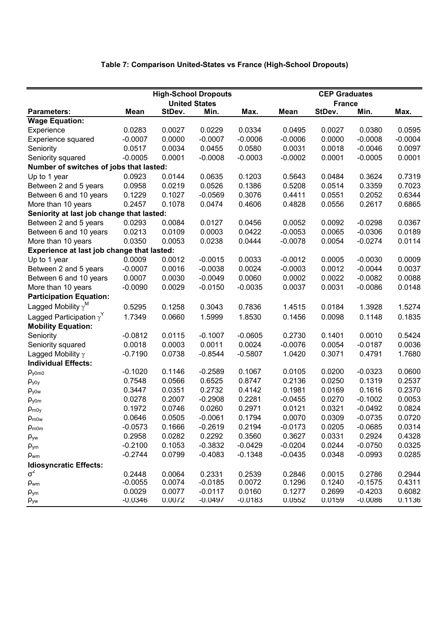## **Table 7: Comparison United-States vs France (High-School Dropouts)**

|                                            |             |        | <b>High-School Dropouts</b> |           |             | <b>CEP Graduates</b> |           |           |
|--------------------------------------------|-------------|--------|-----------------------------|-----------|-------------|----------------------|-----------|-----------|
|                                            |             |        | <b>United States</b>        |           |             | <b>France</b>        |           |           |
| <b>Parameters:</b>                         | <b>Mean</b> | StDev. | Min.                        | Max.      | <b>Mean</b> | StDev.               | Min.      | Max.      |
| <b>Wage Equation:</b>                      |             |        |                             |           |             |                      |           |           |
| Experience                                 | 0.0283      | 0.0027 | 0.0229                      | 0.0334    | 0.0495      | 0.0027               | 0.0380    | 0.0595    |
| Experience squared                         | $-0.0007$   | 0.0000 | $-0.0007$                   | $-0.0006$ | $-0.0006$   | 0.0000               | $-0.0008$ | $-0.0004$ |
| Seniority                                  | 0.0517      | 0.0034 | 0.0455                      | 0.0580    | 0.0031      | 0.0018               | $-0.0046$ | 0.0097    |
| Seniority squared                          | $-0.0005$   | 0.0001 | $-0.0008$                   | $-0.0003$ | $-0.0002$   | 0.0001               | $-0.0005$ | 0.0001    |
| Number of switches of jobs that lasted:    |             |        |                             |           |             |                      |           |           |
| Up to 1 year                               | 0.0923      | 0.0144 | 0.0635                      | 0.1203    | 0.5643      | 0.0484               | 0.3624    | 0.7319    |
| Between 2 and 5 years                      | 0.0958      | 0.0219 | 0.0526                      | 0.1386    | 0.5208      | 0.0514               | 0.3359    | 0.7023    |
| Between 6 and 10 years                     | 0.1229      | 0.1027 | $-0.0569$                   | 0.3076    | 0.4411      | 0.0551               | 0.2052    | 0.6344    |
| More than 10 years                         | 0.2457      | 0.1078 | 0.0474                      | 0.4606    | 0.4828      | 0.0556               | 0.2617    | 0.6865    |
| Seniority at last job change that lasted:  |             |        |                             |           |             |                      |           |           |
| Between 2 and 5 years                      | 0.0293      | 0.0084 | 0.0127                      | 0.0456    | 0.0052      | 0.0092               | $-0.0298$ | 0.0367    |
| Between 6 and 10 years                     | 0.0213      | 0.0109 | 0.0003                      | 0.0422    | $-0.0053$   | 0.0065               | $-0.0306$ | 0.0189    |
| More than 10 years                         | 0.0350      | 0.0053 | 0.0238                      | 0.0444    | $-0.0078$   | 0.0054               | $-0.0274$ | 0.0114    |
| Experience at last job change that lasted: |             |        |                             |           |             |                      |           |           |
| Up to 1 year                               | 0.0009      | 0.0012 | $-0.0015$                   | 0.0033    | $-0.0012$   | 0.0005               | $-0.0030$ | 0.0009    |
| Between 2 and 5 years                      | $-0.0007$   | 0.0016 | $-0.0038$                   | 0.0024    | $-0.0003$   | 0.0012               | $-0.0044$ | 0.0037    |
| Between 6 and 10 years                     | 0.0007      | 0.0030 | $-0.0049$                   | 0.0060    | 0.0002      | 0.0022               | $-0.0082$ | 0.0088    |
| More than 10 years                         | $-0.0090$   | 0.0029 | $-0.0150$                   | $-0.0035$ | 0.0037      | 0.0031               | $-0.0086$ | 0.0148    |
| <b>Participation Equation:</b>             |             |        |                             |           |             |                      |           |           |
| Lagged Mobility $\gamma^M$                 | 0.5295      | 0.1258 | 0.3043                      | 0.7836    | 1.4515      | 0.0184               | 1.3928    | 1.5274    |
| Lagged Participation $\gamma^Y$            | 1.7349      | 0.0660 | 1.5999                      | 1.8530    | 0.1456      | 0.0098               | 0.1148    | 0.1835    |
| <b>Mobility Equation:</b>                  |             |        |                             |           |             |                      |           |           |
| Seniority                                  | $-0.0812$   | 0.0115 | $-0.1007$                   | $-0.0605$ | 0.2730      | 0.1401               | 0.0010    | 0.5424    |
| Seniority squared                          | 0.0018      | 0.0003 | 0.0011                      | 0.0024    | $-0.0076$   | 0.0054               | $-0.0187$ | 0.0036    |
| Lagged Mobility $\gamma$                   | $-0.7190$   | 0.0738 | $-0.8544$                   | $-0.5807$ | 1.0420      | 0.3071               | 0.4791    | 1.7680    |
| <b>Individual Effects:</b>                 |             |        |                             |           |             |                      |           |           |
| $\rho_{y0m0}$                              | $-0.1020$   | 0.1146 | $-0.2589$                   | 0.1067    | 0.0105      | 0.0200               | $-0.0323$ | 0.0600    |
| $\rho_{\text{y0y}}$                        | 0.7548      | 0.0566 | 0.6525                      | 0.8747    | 0.2136      | 0.0250               | 0.1319    | 0.2537    |
| $\rho_{\text{y0w}}$                        | 0.3447      | 0.0351 | 0.2732                      | 0.4142    | 0.1981      | 0.0169               | 0.1616    | 0.2370    |
| $\rho_{\text{y0m}}$                        | 0.0278      | 0.2007 | $-0.2908$                   | 0.2281    | $-0.0455$   | 0.0270               | $-0.1002$ | 0.0053    |
| $\rho_{m0y}$                               | 0.1972      | 0.0746 | 0.0260                      | 0.2971    | 0.0121      | 0.0321               | $-0.0492$ | 0.0824    |
| $\rho_{m0w}$                               | 0.0646      | 0.0505 | $-0.0061$                   | 0.1794    | 0.0070      | 0.0309               | $-0.0735$ | 0.0720    |
| $\rho_{\text{m0m}}$                        | $-0.0573$   | 0.1666 | $-0.2619$                   | 0.2194    | $-0.0173$   | 0.0205               | $-0.0685$ | 0.0314    |
| $\rho_{yw}$                                | 0.2958      | 0.0282 | 0.2292                      | 0.3560    | 0.3627      | 0.0331               | 0.2924    | 0.4328    |
| $\rho_{\text{ym}}$                         | $-0.2100$   | 0.1053 | $-0.3832$                   | $-0.0429$ | $-0.0204$   | 0.0244               | $-0.0750$ | 0.0325    |
| $\rho_{wm}$                                | $-0.2744$   | 0.0799 | $-0.4083$                   | $-0.1348$ | $-0.0435$   | 0.0348               | $-0.0993$ | 0.0285    |
| <b>Idiosyncratic Effects:</b>              |             |        |                             |           |             |                      |           |           |
| $\sigma^2$                                 | 0.2448      | 0.0064 | 0.2331                      | 0.2539    | 0.2846      | 0.0015               | 0.2786    | 0.2944    |
| Pwm                                        | $-0.0055$   | 0.0074 | $-0.0185$                   | 0.0072    | 0.1296      | 0.1240               | $-0.1575$ | 0.4311    |
| $\rho_{ym}$                                | 0.0029      | 0.0077 | $-0.0117$                   | 0.0160    | 0.1277      | 0.2699               | $-0.4203$ | 0.6082    |
| $\rho_{yw}$                                | $-0.0346$   | 0.0072 | $-0.0497$                   | $-0.0183$ | 0.0552      | 0.0159               | $-0.0086$ | 0.1136    |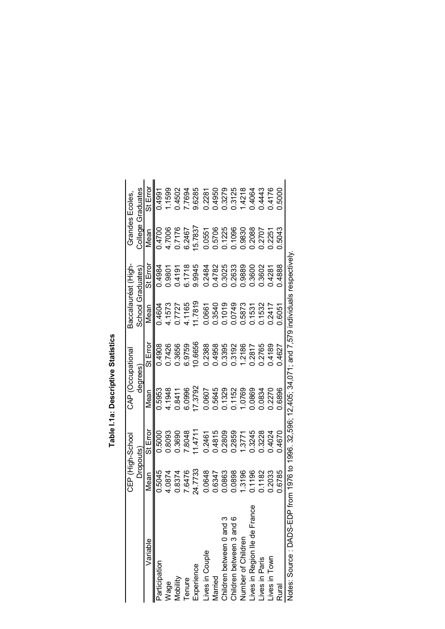|                                   | CEP (High-School |                                                                                 | CAP (Occupational |          | Baccalauréat (High- |          | <b>Grandes Ecoles</b> |                   |
|-----------------------------------|------------------|---------------------------------------------------------------------------------|-------------------|----------|---------------------|----------|-----------------------|-------------------|
|                                   | Dropouts)        |                                                                                 | degrees           |          | School Graduates    |          |                       | College Graduates |
| Variable                          | Mean             | St Error                                                                        | Mean              | St Error | Nean                | St Error | Mean                  | St Erroi          |
| Participation                     | 0.5045           | 0.5000                                                                          | 0.5953            | 0.4908   | 0.4604              | 0.4984   | 0.4700                | 0.4991            |
| Wage                              | 4.0874           | 0.8093                                                                          | 4.1948            | 0.7426   | 4.1573              | 086.0    | 4.7006                | .1599             |
| Mobility                          | 0.8374           | 0.3690                                                                          | 0.8411            | 0.3656   | 17727               | 0.4191   | 0.7176                | 0.4502            |
| Tenure                            | 7.6476           | 7.8048                                                                          | 6.0996            | 6.9759   | 4.1165              | 6.1718   | 6.2467                | 7694              |
| Experience                        | 24.7733          | 1.471                                                                           | 7.3792            | 0.6656   | 1.7819              | 9.9945   | 5.7837                | 9.6285            |
| Lives in Couple                   | 0.0648           | 0.2461                                                                          | 0607              | 0.2388   | 0.0661              | 0.2484   | 0.0551                | 0.2281            |
| Married                           | 0.6347           | 0.4815                                                                          | 0.5645            | 0.4958   | 0.3540              | 0.4782   | 0.5706                | 0.4950            |
| Children between 0 and 3          | 0.0863           | 0.2809                                                                          | 0.1329            | 0.3395   | 0.1019              | 1.3025   | 0.1225                | 0.3279            |
| Children between 3 and 6          | 0.0898           | 0.2859                                                                          | 0.1152            | 0.3192   | 0.0749              | 0.2633   | 0.1096                | 0.3125            |
| Number of Children                | .3196            | 1.3771                                                                          | .0769             | .2186    | 0.5873              | 0.9889   | 06880                 | .4218             |
| ၓိ<br>lives in Region IIe de Fran | 0.1196           | 0.3245                                                                          | 0.0869            | 0.2817   | 0.1531              | 0.3600   | 0.2088                | 0.4064            |
| Lives in Paris                    | 0.1182           | 0.3228                                                                          | 0834              | 0.2765   | 1532                | 0.3602   | 0.2707                | 0.4443            |
| Lives in Town                     | 0.2033           | 0.4024                                                                          | 0.2270            | 0.4189   | 0.241               | 0.4281   | 0.2251                | 0.4176            |
| <b>Rural</b>                      | 0.6785           | 0.4670                                                                          | 0.6896            | 14627    | 0.6051              | 0.4888   | 0.5043                | ,5000             |
| Notes: Source : DADS-ED           |                  | P from 1976 to 1996. 32,596; 12,405; 34,071; and 7,579 individuals respectively |                   |          |                     |          |                       |                   |

Table I.1a: Descriptive Statistics **Table I.1a: Descriptive Statistics**